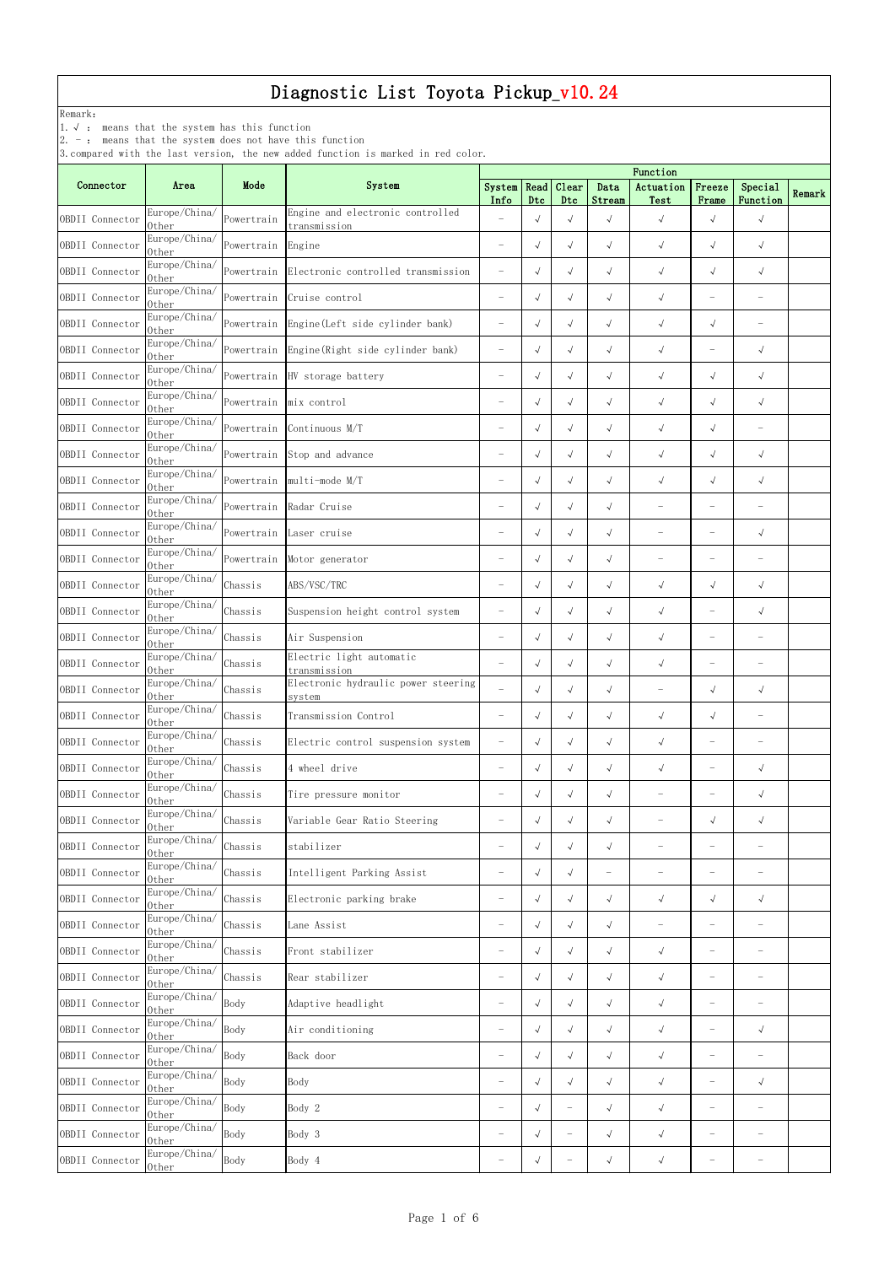| Connector       | Area                                                 | Mode                   | o, compared write the rast version, the new added runction is marked in red coror. |                               |            |                          |                          | Function                 |                          |                                   |        |
|-----------------|------------------------------------------------------|------------------------|------------------------------------------------------------------------------------|-------------------------------|------------|--------------------------|--------------------------|--------------------------|--------------------------|-----------------------------------|--------|
|                 |                                                      |                        | System                                                                             | System   Read   Clear<br>Info | Dtc        | Dtc                      | Data<br>Stream           | Actuation<br>Test        | Freeze<br>Frame          | Special<br>Function               | Remark |
| OBDII Connector | Europe/China/<br>0ther                               | Powertrain             | Engine and electronic controlled<br>transmission                                   | $\overline{\phantom{0}}$      | $\sqrt{ }$ | $\sqrt{ }$               | $\sqrt{ }$               | $\sqrt{ }$               | $\sqrt{ }$               | $\sqrt{}$                         |        |
| OBDII Connector | Europe/China/<br>0ther                               | Powertrain             | Engine                                                                             | $\overline{\phantom{m}}$      | $\sqrt{ }$ | $\sqrt{ }$               | $\sqrt{ }$               | $\sqrt{ }$               | $\sqrt{ }$               | $\sqrt{ }$                        |        |
| OBDII Connector | Europe/China/<br>0ther                               | Powertrain             | Electronic controlled transmission                                                 | $\overline{\phantom{0}}$      | $\sqrt{ }$ | $\sqrt{ }$               | $\sqrt{ }$               | $\sqrt{ }$               | $\sqrt{ }$               | $\sqrt{ }$                        |        |
| OBDII Connector | Europe/China/<br>0ther                               | Powertrain             | Cruise control                                                                     | $\overline{\phantom{m}}$      | $\sqrt{ }$ | $\sqrt{ }$               | $\sqrt{ }$               | $\sqrt{ }$               | $\overline{\phantom{m}}$ | $\overline{\phantom{m}}$          |        |
| OBDII Connector | Europe/China/<br>0ther                               |                        | Powertrain Engine (Left side cylinder bank)                                        | $\overline{\phantom{m}}$      | $\sqrt{ }$ | $\sqrt{ }$               | $\sqrt{ }$               | $\sqrt{ }$               | $\sqrt{ }$               | $\overline{\phantom{m}}$          |        |
| OBDII Connector | Europe/China/<br>0ther                               |                        | Powertrain Engine (Right side cylinder bank)                                       | $\overline{\phantom{m}}$      | $\sqrt{ }$ | $\sqrt{ }$               | $\sqrt{ }$               | $\sqrt{ }$               | $\overline{\phantom{m}}$ | $\sqrt{ }$                        |        |
| OBDII Connector | Europe/China/<br>0ther                               |                        | Powertrain HV storage battery                                                      | $\overline{\phantom{m}}$      | $\sqrt{ }$ | $\sqrt{ }$               | $\sqrt{ }$               | $\sqrt{ }$               | $\sqrt{ }$               | $\sqrt{ }$                        |        |
| OBDII Connector | Europe/China/<br>0ther                               | Powertrain mix control |                                                                                    | $\overline{\phantom{a}}$      | $\sqrt{ }$ | $\sqrt{ }$               | $\sqrt{ }$               | $\sqrt{ }$               | $\sqrt{ }$               | $\sqrt{ }$                        |        |
| OBDII Connector | Europe/China/<br>0ther                               |                        | Powertrain Continuous M/T                                                          | $\overline{\phantom{m}}$      | $\sqrt{ }$ | $\sqrt{ }$               | $\sqrt{ }$               | $\sqrt{ }$               | $\sqrt{ }$               | $\overline{\phantom{m}}$          |        |
| OBDII Connector | Europe/China/<br>0ther                               | Powertrain             | Stop and advance                                                                   | $\overline{\phantom{0}}$      | $\sqrt{ }$ | $\sqrt{ }$               | $\sqrt{ }$               | $\sqrt{ }$               | $\sqrt{ }$               | $\sqrt{ }$                        |        |
| OBDII Connector | Europe/China/<br>0ther                               | Powertrain             | multi-mode M/T                                                                     | $\overline{\phantom{0}}$      | $\sqrt{ }$ | $\sqrt{ }$               | $\sqrt{ }$               | $\sqrt{ }$               | $\sqrt{ }$               | $\sqrt{ }$                        |        |
| OBDII Connector | Europe/China/<br>0ther                               | Powertrain             | Radar Cruise                                                                       | $\overline{\phantom{m}}$      | $\sqrt{ }$ | $\sqrt{ }$               | $\sqrt{ }$               | $\overline{\phantom{0}}$ | $\overline{\phantom{0}}$ |                                   |        |
| OBDII Connector | Europe/China/<br>0ther                               | Powertrain             | Laser cruise                                                                       | $\overline{\phantom{0}}$      | $\sqrt{ }$ | $\sqrt{ }$               | $\sqrt{ }$               | $\overline{\phantom{0}}$ | $\overline{\phantom{0}}$ | $\sqrt{ }$                        |        |
| OBDII Connector | Europe/China/<br>0ther                               | Powertrain             | Motor generator                                                                    | $\overline{\phantom{m}}$      | $\sqrt{ }$ | $\sqrt{ }$               | $\sqrt{ }$               | $\overline{\phantom{0}}$ | $\overline{\phantom{0}}$ |                                   |        |
| OBDII Connector | Europe/China/<br>0ther                               | Chassis                | ABS/VSC/TRC                                                                        | $\overline{\phantom{0}}$      | $\sqrt{ }$ | $\sqrt{ }$               | $\sqrt{ }$               | $\sqrt{ }$               | $\sqrt{ }$               | $\sqrt{ }$                        |        |
| OBDII Connector | Europe/China/<br>0ther                               | Chassis                | Suspension height control system                                                   |                               | $\sqrt{ }$ | $\sqrt{ }$               | $\sqrt{ }$               | $\sqrt{ }$               | $\overline{\phantom{0}}$ | $\sqrt{ }$                        |        |
| OBDII Connector | Europe/China/<br>0ther                               | Chassis                | Air Suspension                                                                     |                               | $\sqrt{ }$ | $\sqrt{ }$               | $\sqrt{ }$               | $\sqrt{ }$               | $\overline{\phantom{0}}$ |                                   |        |
| OBDII Connector | Europe/China/<br>0ther                               | Chassis                | Electric light automatic<br>transmission                                           | $\overline{\phantom{0}}$      | $\sqrt{ }$ | $\sqrt{ }$               | $\sqrt{ }$               | $\sqrt{ }$               | $\overline{\phantom{0}}$ | $\overline{\phantom{0}}$          |        |
| OBDII Connector | Europe/China/                                        | Chassis                | Electronic hydraulic power steering                                                | $\overline{\phantom{0}}$      | $\sqrt{ }$ | $\sqrt{ }$               | $\sqrt{ }$               | $\overline{\phantom{0}}$ | $\sqrt{ }$               | $\sqrt{ }$                        |        |
| OBDII Connector | 0ther<br>Europe/China/                               | Chassis                | system<br>Transmission Control                                                     | $\overline{\phantom{m}}$      | $\sqrt{ }$ | $\sqrt{ }$               | $\sqrt{ }$               | $\sqrt{}$                | $\sqrt{ }$               | $\qquad \qquad$                   |        |
| OBDII Connector | 0ther<br>Europe/China/                               | Chassis                | Electric control suspension system                                                 | $\overline{\phantom{a}}$      | $\sqrt{ }$ | $\sqrt{ }$               | $\sqrt{ }$               | $\sqrt{ }$               | $\overline{\phantom{m}}$ |                                   |        |
| OBDII Connector | 0ther<br>Europe/China/                               | Chassis                | 4 wheel drive                                                                      | $\overline{\phantom{m}}$      | $\sqrt{ }$ | $\sqrt{ }$               | $\sqrt{ }$               | $\sqrt{ }$               | $\overline{\phantom{0}}$ | $\sqrt{ }$                        |        |
| OBDII Connector | 0ther<br>Europe/China/                               | Chassis                | Tire pressure monitor                                                              | $\overline{\phantom{m}}$      | $\sqrt{ }$ | $\sqrt{ }$               | $\sqrt{ }$               | $\overline{\phantom{0}}$ | $\overline{\phantom{0}}$ | $\sqrt{ }$                        |        |
| OBDII Connector | 0ther<br>Europe/China/                               | Chassis                | Variable Gear Ratio Steering                                                       |                               | $\sqrt{ }$ | $\sqrt{ }$               | $\sqrt{ }$               |                          | $\sqrt{}$                | $\sqrt{ }$                        |        |
| OBDII Connector | 0ther<br>Europe/China/                               | Chassis                | stabilizer                                                                         | $\overline{\phantom{m}}$      | $\sqrt{ }$ | $\sqrt{ }$               | $\sqrt{ }$               |                          |                          |                                   |        |
| OBDII Connector | 0ther<br>Europe/China/                               | Chassis                | Intelligent Parking Assist                                                         |                               | $\sqrt{ }$ | $\sqrt{ }$               | $\overline{\phantom{0}}$ |                          | $\overline{\phantom{0}}$ |                                   |        |
| OBDII Connector | 0ther<br>Europe/China/                               | Chassis                | Electronic parking brake                                                           | $\overline{\phantom{m}}$      | $\sqrt{ }$ | $\sqrt{ }$               | $\sqrt{ }$               | $\sqrt{ }$               | $\sqrt{}$                | $\sqrt{ }$                        |        |
| OBDII Connector | 0ther<br>Europe/China/                               | Chassis                | Lane Assist                                                                        | $\overline{\phantom{0}}$      | $\sqrt{ }$ | $\sqrt{ }$               | $\sqrt{ }$               | $\overline{\phantom{0}}$ | $\overline{\phantom{0}}$ | $\overline{\phantom{0}}$          |        |
| OBDII Connector | 0ther<br>Europe/China/                               | Chassis                | Front stabilizer                                                                   | $\overline{\phantom{m}}$      | $\sqrt{ }$ | $\sqrt{ }$               | $\sqrt{ }$               | $\sqrt{ }$               | $\overline{\phantom{m}}$ | $\overline{\phantom{m}}$          |        |
| OBDII Connector | 0ther<br>Europe/China/                               | Chassis                | Rear stabilizer                                                                    | $\overline{\phantom{a}}$      | $\sqrt{ }$ | $\sqrt{ }$               | $\sqrt{ }$               | $\sqrt{ }$               | $\overline{\phantom{0}}$ | $\overbrace{\phantom{123221111}}$ |        |
| OBDII Connector | 0ther<br>Europe/China/                               | Body                   | Adaptive headlight                                                                 | $\overline{\phantom{0}}$      | $\sqrt{ }$ | $\sqrt{ }$               | $\sqrt{ }$               | $\sqrt{ }$               | $\overline{\phantom{m}}$ | $\overline{\phantom{a}}$          |        |
| OBDII Connector | 0ther<br>Europe/China/                               | Body                   | Air conditioning                                                                   | $\overline{\phantom{0}}$      | $\sqrt{ }$ | $\sqrt{ }$               | $\sqrt{ }$               | $\sqrt{ }$               | $\overline{\phantom{0}}$ | $\sqrt{ }$                        |        |
| OBDII Connector | 0ther<br>Europe/China/                               | Body                   | Back door                                                                          | $\overline{\phantom{0}}$      | $\sqrt{ }$ | $\sqrt{ }$               | $\sqrt{ }$               | $\sqrt{ }$               | $\overline{\phantom{0}}$ | $\overline{\phantom{0}}$          |        |
| OBDII Connector | 0ther<br>Europe/China/                               |                        |                                                                                    | $\overline{\phantom{0}}$      | $\sqrt{ }$ | $\sqrt{ }$               | $\sqrt{ }$               |                          | $\overline{\phantom{m}}$ |                                   |        |
|                 | 0ther<br>$\frac{V_{\text{enc}}}{Europe/China}/$ Body | Body                   | Body                                                                               |                               |            |                          |                          | $\sqrt{ }$               |                          | $\sqrt{ }$                        |        |
| OBDII Connector | 0ther<br>Europe/China/                               |                        | Body 2                                                                             |                               | $\sqrt{ }$ |                          | $\sqrt{ }$               | $\sqrt{}$                |                          |                                   |        |
| OBDII Connector | 0ther<br>Europe/China/                               | Body                   | Body 3                                                                             | $\overline{\phantom{m}}$      | $\sqrt{ }$ | $\overline{\phantom{m}}$ | $\sqrt{ }$               | $\sqrt{ }$               | $\overline{\phantom{m}}$ | $\overbrace{\phantom{123221111}}$ |        |
| OBDII Connector | 0ther                                                | Body                   | Body 4                                                                             | $\overline{\phantom{m}}$      | $\sqrt{ }$ | $\overline{\phantom{0}}$ | $\sqrt{ }$               | $\sqrt{ }$               | $\overline{\phantom{m}}$ | $\qquad \qquad$                   |        |

Remark:

1.√ : means that the system has this function

2. - : means that the system does not have this function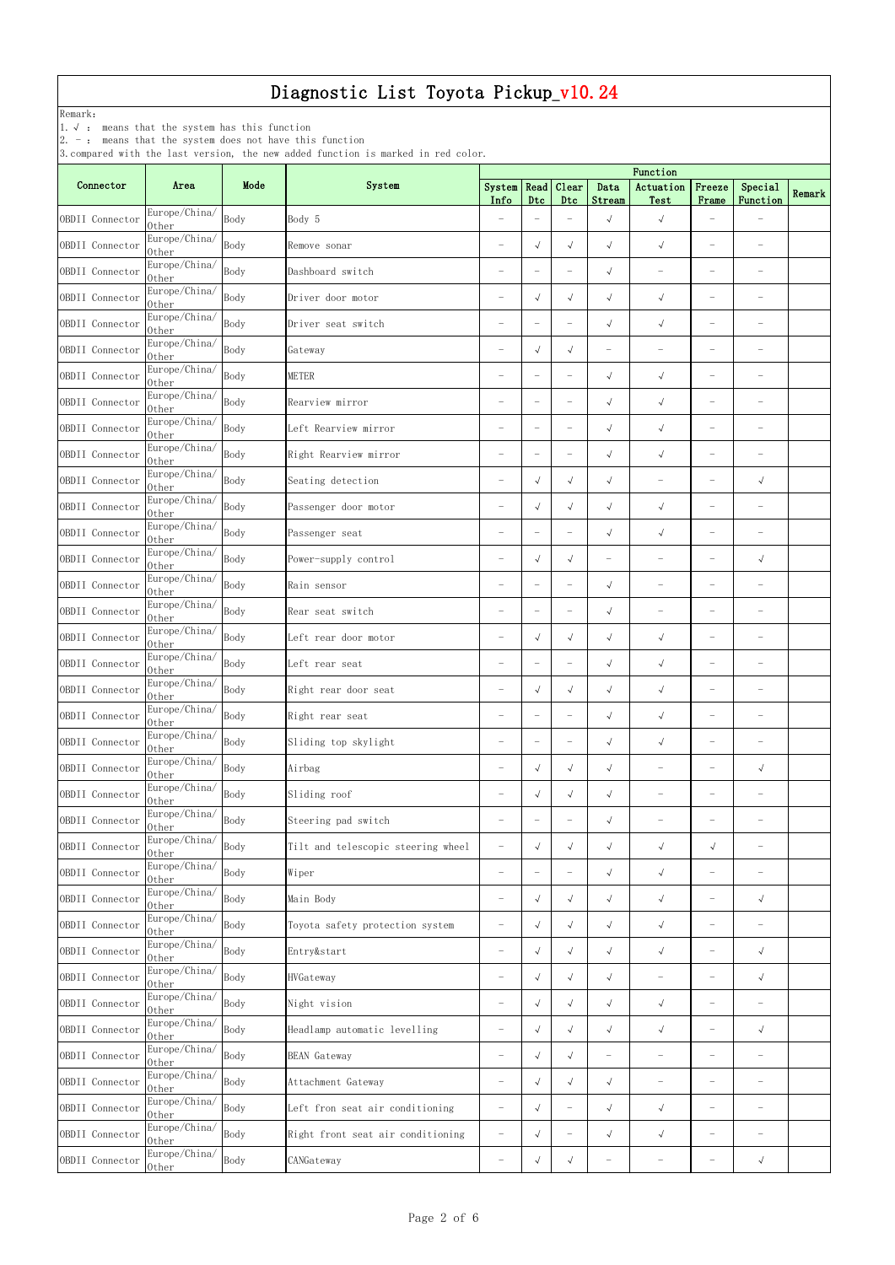Remark:

1.√ : means that the system has this function

2. - : means that the system does not have this function

| Connector       | Area                   | Mode | System                             | System                   | Read                            | Clear                    | Data                     | Function<br>Actuation             | Freeze                   | Special                           |        |
|-----------------|------------------------|------|------------------------------------|--------------------------|---------------------------------|--------------------------|--------------------------|-----------------------------------|--------------------------|-----------------------------------|--------|
|                 | Europe/China/          |      |                                    | Info                     | Dtc                             | Dtc                      | Stream                   | Test                              | Frame                    | Function                          | Remark |
| OBDII Connector | 0ther                  | Body | Body 5                             | $\overline{\phantom{0}}$ | $\overline{\phantom{m}}$        |                          | $\sqrt{ }$               | $\sqrt{ }$                        |                          |                                   |        |
| OBDII Connector | Europe/China/<br>0ther | Body | Remove sonar                       | $\overline{\phantom{m}}$ | $\sqrt{ }$                      | $\sqrt{ }$               | $\sqrt{ }$               | $\sqrt{ }$                        | $\overline{\phantom{0}}$ | $\overbrace{\phantom{123221111}}$ |        |
| OBDII Connector | Europe/China/<br>0ther | Body | Dashboard switch                   | $\overline{\phantom{0}}$ | $\hspace{0.1mm}-\hspace{0.1mm}$ |                          | $\sqrt{ }$               | $\overline{\phantom{a}}$          | $\overline{\phantom{0}}$ | $\overbrace{\phantom{123221111}}$ |        |
| OBDII Connector | Europe/China/<br>0ther | Body | Driver door motor                  | $\overline{\phantom{0}}$ | $\sqrt{ }$                      | $\sqrt{ }$               | $\sqrt{ }$               | $\sqrt{ }$                        | $\overline{\phantom{0}}$ | $\overline{\phantom{0}}$          |        |
| OBDII Connector | Europe/China/<br>0ther | Body | Driver seat switch                 | $\overline{\phantom{0}}$ | $\overline{\phantom{m}}$        | $\qquad \qquad -$        | $\sqrt{ }$               | $\sqrt{ }$                        | $\overline{\phantom{0}}$ | $\overline{\phantom{a}}$          |        |
| OBDII Connector | Europe/China/<br>0ther | Body | Gateway                            | $\overline{\phantom{0}}$ | $\sqrt{ }$                      | $\sqrt{ }$               | $\overline{\phantom{0}}$ | $\overline{\phantom{m}}$          | $\overline{\phantom{m}}$ | $\overline{\phantom{m}}$          |        |
| OBDII Connector | Europe/China/<br>0ther | Body | <b>METER</b>                       | $\overline{\phantom{m}}$ | $\overline{\phantom{m}}$        | $\qquad \qquad -$        | $\sqrt{ }$               | $\sqrt{ }$                        | $\overline{\phantom{m}}$ | $\overbrace{\phantom{123221111}}$ |        |
| OBDII Connector | Europe/China/<br>0ther | Body | Rearview mirror                    | $\overline{\phantom{0}}$ | $\overline{\phantom{m}}$        | $\qquad \qquad -$        | $\sqrt{ }$               | $\sqrt{ }$                        | $\overline{\phantom{0}}$ | $\overline{\phantom{m}}$          |        |
| OBDII Connector | Europe/China/<br>0ther | Body | Left Rearview mirror               | $\overline{\phantom{m}}$ | $\overline{\phantom{a}}$        | $\overline{\phantom{0}}$ | $\sqrt{ }$               | $\sqrt{}$                         | $\overline{\phantom{0}}$ | $\overline{\phantom{a}}$          |        |
| OBDII Connector | Europe/China/<br>0ther | Body | Right Rearview mirror              | $\overline{\phantom{0}}$ | $\overline{\phantom{m}}$        | $\overline{\phantom{0}}$ | $\sqrt{ }$               | $\sqrt{ }$                        |                          |                                   |        |
| OBDII Connector | Europe/China/<br>0ther | Body | Seating detection                  | L,                       | $\sqrt{ }$                      | $\sqrt{ }$               | $\sqrt{ }$               |                                   | $\overline{\phantom{0}}$ | $\sqrt{ }$                        |        |
| OBDII Connector | Europe/China/<br>0ther | Body | Passenger door motor               | $\overline{\phantom{0}}$ | $\sqrt{ }$                      | $\sqrt{ }$               | $\sqrt{ }$               | $\sqrt{ }$                        |                          | $\overline{\phantom{a}}$          |        |
| OBDII Connector | Europe/China/<br>0ther | Body | Passenger seat                     | $\overline{\phantom{0}}$ | $\overline{\phantom{m}}$        |                          | $\sqrt{ }$               | $\sqrt{ }$                        | $\overline{\phantom{0}}$ | $\overline{\phantom{m}}$          |        |
| OBDII Connector | Europe/China/<br>0ther | Body | Power-supply control               | $\overline{\phantom{0}}$ | $\sqrt{ }$                      | $\sqrt{ }$               | $\overline{\phantom{0}}$ | $\overbrace{\phantom{123221111}}$ | $\overline{\phantom{0}}$ | $\sqrt{ }$                        |        |
| OBDII Connector | Europe/China/<br>0ther | Body | Rain sensor                        |                          | $\overline{\phantom{m}}$        | $\qquad \qquad -$        | $\sqrt{ }$               | $\overbrace{\phantom{123221111}}$ |                          | $\overline{\phantom{a}}$          |        |
| OBDII Connector | Europe/China/<br>Other | Body | Rear seat switch                   | $\overline{\phantom{0}}$ | $\overline{\phantom{m}}$        | $\overline{\phantom{0}}$ | $\sqrt{ }$               | $\overline{\phantom{0}}$          | $\overline{\phantom{m}}$ | $\overline{\phantom{m}}$          |        |
| OBDII Connector | Europe/China/<br>0ther | Body | Left rear door motor               | $\overline{\phantom{0}}$ | $\sqrt{ }$                      | $\sqrt{ }$               | $\sqrt{ }$               | $\sqrt{ }$                        | $\overline{\phantom{m}}$ |                                   |        |
| OBDII Connector | Europe/China/<br>0ther | Body | Left rear seat                     | $\overline{\phantom{0}}$ | $\overline{\phantom{m}}$        | $\qquad \qquad -$        | $\sqrt{ }$               | $\sqrt{}$                         | $\overline{\phantom{0}}$ | $\overline{\phantom{a}}$          |        |
| OBDII Connector | Europe/China/<br>0ther | Body | Right rear door seat               | $\overline{\phantom{m}}$ | $\sqrt{ }$                      | $\sqrt{ }$               | $\sqrt{ }$               | $\sqrt{}$                         | $\overline{\phantom{0}}$ | $\overline{\phantom{a}}$          |        |
| OBDII Connector | Europe/China/<br>0ther | Body | Right rear seat                    |                          | $\overline{\phantom{m}}$        | $\overline{\phantom{0}}$ | $\sqrt{ }$               | $\sqrt{ }$                        |                          |                                   |        |
| OBDII Connector | Europe/China/<br>0ther | Body | Sliding top skylight               | $\overline{\phantom{0}}$ | $\overline{\phantom{m}}$        |                          | $\sqrt{ }$               | $\sqrt{ }$                        | $\overline{\phantom{0}}$ |                                   |        |
| OBDII Connector | Europe/China/<br>0ther | Body | Airbag                             | $\overline{\phantom{a}}$ | $\sqrt{ }$                      | $\sqrt{ }$               | $\sqrt{ }$               | $\overline{\phantom{0}}$          | $\overline{\phantom{0}}$ | $\sqrt{ }$                        |        |
| OBDII Connector | Europe/China/<br>0ther | Body | Sliding roof                       | $\overline{\phantom{0}}$ | $\sqrt{ }$                      | $\sqrt{ }$               | $\sqrt{ }$               | $\overbrace{\phantom{123221111}}$ | $\overline{\phantom{0}}$ |                                   |        |
| OBDII Connector | Europe/China/<br>0ther | Body | Steering pad switch                | $\overline{\phantom{0}}$ | $\overline{\phantom{m}}$        |                          | $\sqrt{ }$               | $\overbrace{\phantom{123221111}}$ | $\overline{\phantom{0}}$ |                                   |        |
| OBDII Connector | Europe/China/<br>0ther | Body | Tilt and telescopic steering wheel | $\overline{\phantom{m}}$ | $\sqrt{ }$                      | $\sqrt{ }$               | $\sqrt{ }$               | $\sqrt{ }$                        | $\sqrt{ }$               | $\overline{\phantom{0}}$          |        |
| OBDII Connector | Europe/China/<br>0ther | Body | Wiper                              | $\overline{\phantom{0}}$ | $\overline{\phantom{m}}$        |                          | $\sqrt{ }$               | $\sqrt{ }$                        | $\overline{\phantom{0}}$ | $\overline{\phantom{a}}$          |        |
| OBDII Connector | Europe/China/<br>0ther | Body | Main Body                          | $\overline{\phantom{m}}$ | $\sqrt{ }$                      | $\sqrt{ }$               | $\sqrt{ }$               | $\sqrt{ }$                        | $\overline{\phantom{m}}$ | $\sqrt{ }$                        |        |
| OBDII Connector | Europe/China/<br>0ther | Body | Toyota safety protection system    | $\overline{\phantom{m}}$ | $\sqrt{ }$                      | $\sqrt{ }$               | $\sqrt{ }$               | $\sqrt{}$                         | $\overline{\phantom{0}}$ | $\overline{\phantom{0}}$          |        |
| OBDII Connector | Europe/China/<br>0ther | Body | Entry&start                        | $\overline{\phantom{0}}$ | $\sqrt{ }$                      | $\sqrt{ }$               | $\sqrt{ }$               | $\sqrt{}$                         | $\overline{\phantom{0}}$ | $\sqrt{ }$                        |        |
| OBDII Connector | Europe/China/<br>0ther | Body | HVGateway                          | $\overline{\phantom{0}}$ | $\sqrt{ }$                      | $\sqrt{ }$               | $\sqrt{ }$               | $\qquad \qquad -$                 |                          | $\sqrt{ }$                        |        |
| OBDII Connector | Europe/China/<br>0ther | Body | Night vision                       | $\overline{\phantom{0}}$ | $\sqrt{ }$                      | $\sqrt{ }$               | $\sqrt{ }$               | $\sqrt{ }$                        | $\overline{\phantom{0}}$ | $\overline{\phantom{a}}$          |        |
| OBDII Connector | Europe/China/<br>0ther | Body | Headlamp automatic levelling       | $\overline{\phantom{m}}$ | $\sqrt{ }$                      | $\sqrt{ }$               | $\sqrt{ }$               | $\sqrt{ }$                        | $\overline{\phantom{0}}$ | $\sqrt{ }$                        |        |
| OBDII Connector | Europe/China/<br>0ther | Body | <b>BEAN</b> Gateway                | $\overline{\phantom{m}}$ | $\sqrt{ }$                      | $\sqrt{ }$               | $\overline{\phantom{0}}$ | $\overline{\phantom{0}}$          | $\overline{\phantom{0}}$ | $\overline{\phantom{m}}$          |        |
| OBDII Connector | Europe/China/<br>0ther | Body | Attachment Gateway                 | $\overline{\phantom{m}}$ | $\sqrt{ }$                      | $\sqrt{ }$               | $\sqrt{ }$               | $\overbrace{\phantom{123221111}}$ | $\overline{\phantom{0}}$ | $\overline{\phantom{a}}$          |        |
| OBDII Connector | Europe/China/<br>0ther | Body | Left fron seat air conditioning    |                          |                                 |                          |                          |                                   |                          |                                   |        |
| OBDII Connector | Europe/China/<br>0ther | Body | Right front seat air conditioning  | $\overline{\phantom{0}}$ | $\sqrt{ }$                      | $\overline{\phantom{0}}$ | $\sqrt{ }$               | $\sqrt{ }$                        | $\overline{\phantom{m}}$ | $\overline{\phantom{m}}$          |        |
| OBDII Connector | Europe/China/<br>Other | Body | CANGateway                         | $\overline{\phantom{0}}$ | $\sqrt{ }$                      | $\sqrt{ }$               | $\overline{\phantom{0}}$ | $\overline{\phantom{m}}$          | $\overline{\phantom{m}}$ | $\sqrt{ }$                        |        |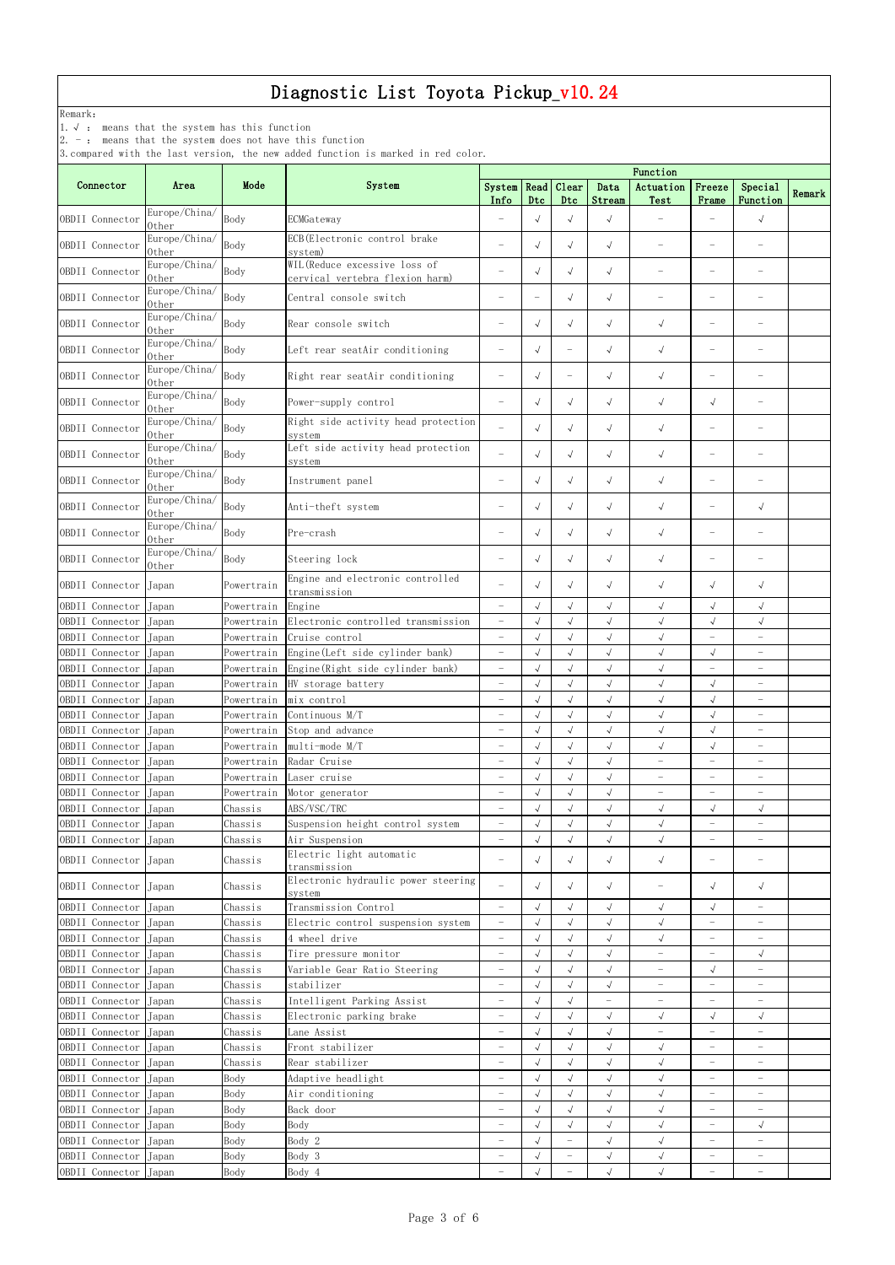Remark:

1.√ : means that the system has this function

2. - : means that the system does not have this function

|                       |                        |            |                                                                  | Function                 |                          |                                   |                          |                          |                          |                          |        |  |  |
|-----------------------|------------------------|------------|------------------------------------------------------------------|--------------------------|--------------------------|-----------------------------------|--------------------------|--------------------------|--------------------------|--------------------------|--------|--|--|
| Connector             | Area                   | Mode       | System                                                           | System Read<br>Info      | Dtc                      | Clear<br>D <sub>tc</sub>          | Data<br>Stream           | Actuation<br>Test        | Freeze<br>Frame          | Special<br>Function      | Remark |  |  |
| OBDII Connector       | Europe/China/<br>0ther | Body       | ECMGateway                                                       |                          | $\sqrt{ }$               | $\sqrt{ }$                        | $\sqrt{ }$               |                          |                          | $\sqrt{ }$               |        |  |  |
| OBDII Connector       | Europe/China/<br>0ther | Body       | ECB (Electronic control brake<br>system)                         | $\overline{\phantom{m}}$ | $\sqrt{ }$               | $\sqrt{ }$                        | $\sqrt{ }$               |                          |                          |                          |        |  |  |
| OBDII Connector       | Europe/China/<br>0ther | Body       | WIL (Reduce excessive loss of<br>cervical vertebra flexion harm) |                          | $\sqrt{ }$               | $\sqrt{ }$                        | $\sqrt{ }$               |                          | $\overline{\phantom{0}}$ |                          |        |  |  |
| OBDII Connector       | Europe/China/<br>Other | Body       | Central console switch                                           |                          | $\overline{\phantom{0}}$ | $\sqrt{ }$                        | $\sqrt{ }$               |                          | $\qquad \qquad -$        |                          |        |  |  |
| OBDII Connector       | Europe/China/<br>0ther | Body       | Rear console switch                                              | $\overline{\phantom{0}}$ | $\sqrt{ }$               | $\sqrt{ }$                        | $\sqrt{ }$               | $\sqrt{ }$               | $\overline{\phantom{m}}$ |                          |        |  |  |
| OBDII Connector       | Europe/China/<br>0ther | Body       | Left rear seatAir conditioning                                   | $\overline{\phantom{0}}$ | $\sqrt{ }$               |                                   | $\sqrt{ }$               | $\sqrt{ }$               | $\overline{\phantom{0}}$ |                          |        |  |  |
| OBDII Connector       | Europe/China/<br>0ther | Body       | Right rear seatAir conditioning                                  | $\overline{\phantom{0}}$ | $\sqrt{ }$               |                                   | $\sqrt{ }$               | $\sqrt{ }$               |                          |                          |        |  |  |
| OBDII Connector       | Europe/China/<br>0ther | Body       | Power-supply control                                             | $\overline{\phantom{0}}$ | $\sqrt{ }$               | $\sqrt{ }$                        | $\sqrt{ }$               | $\sqrt{ }$               | $\sqrt{ }$               |                          |        |  |  |
| OBDII Connector       | Europe/China/<br>0ther | Body       | Right side activity head protection<br>system                    |                          | $\sqrt{ }$               | $\sqrt{ }$                        | $\sqrt{ }$               | $\sqrt{ }$               | $\overline{\phantom{0}}$ |                          |        |  |  |
| OBDII Connector       | Europe/China/<br>0ther | Body       | Left side activity head protection<br>system                     |                          | $\sqrt{ }$               | $\sqrt{ }$                        | $\sqrt{ }$               | $\sqrt{ }$               | $\overline{\phantom{0}}$ |                          |        |  |  |
| OBDII Connector       | Europe/China/<br>0ther | Body       | Instrument panel                                                 | $\overline{\phantom{m}}$ | $\sqrt{ }$               | $\sqrt{ }$                        | $\sqrt{ }$               | $\sqrt{ }$               |                          |                          |        |  |  |
| OBDII Connector       | Europe/China/<br>0ther | Body       | Anti-theft system                                                | $\overline{\phantom{m}}$ | $\sqrt{ }$               | $\sqrt{ }$                        | $\sqrt{}$                | $\sqrt{ }$               | $\overline{\phantom{0}}$ | $\sqrt{ }$               |        |  |  |
| OBDII Connector       | Europe/China/<br>0ther | Body       | Pre-crash                                                        | $\overline{\phantom{m}}$ | $\sqrt{ }$               | $\sqrt{ }$                        | $\sqrt{ }$               | $\sqrt{ }$               | $\overline{\phantom{0}}$ | $\overline{\phantom{0}}$ |        |  |  |
| OBDII Connector       | Europe/China/<br>Other | Body       | Steering lock                                                    |                          | $\sqrt{ }$               | $\sqrt{ }$                        | $\sqrt{ }$               | $\sqrt{ }$               | $\overline{\phantom{0}}$ |                          |        |  |  |
| OBDII Connector       | Japan                  | Powertrain | Engine and electronic controlled<br>transmission                 |                          | $\sqrt{ }$               | $\sqrt{ }$                        | $\sqrt{ }$               | $\sqrt{ }$               | $\sqrt{ }$               | $\sqrt{ }$               |        |  |  |
| OBDII Connector       | Japan                  | Powertrain | Engine                                                           | $\overline{\phantom{0}}$ | $\sqrt{ }$               | $\sqrt{}$                         | $\sqrt{}$                | $\sqrt{ }$               | $\sqrt{}$                | $\sqrt{ }$               |        |  |  |
| OBDII Connector       | Japan                  | Powertrain | Electronic controlled transmission                               |                          | $\sqrt{ }$               | $\checkmark$                      | $\sqrt{ }$               | $\sqrt{ }$               | $\sqrt{}$                | $\sqrt{ }$               |        |  |  |
| OBDII Connector Japan |                        | Powertrain | Cruise control                                                   |                          | $\checkmark$             | $\sqrt{}$                         | $\checkmark$             | $\sqrt{ }$               |                          |                          |        |  |  |
| OBDII Connector       | Japan                  | Powertrain | Engine (Left side cylinder bank)                                 | $\overline{\phantom{m}}$ | $\sqrt{2}$               | $\sqrt{ }$                        | $\sqrt{2}$               | $\sqrt{ }$               | $\sqrt{}$                | $\overline{\phantom{m}}$ |        |  |  |
| OBDII Connector       | Japan                  | Powertrain | Engine (Right side cylinder bank)                                | $\overline{\phantom{0}}$ | $\sqrt{ }$               | $\sqrt{}$                         | $\sqrt{2}$               | $\sqrt{2}$               | $\equiv$                 | $\overline{\phantom{0}}$ |        |  |  |
| OBDII Connector       | Japan                  | Powertrain | HV storage battery                                               | $\overline{\phantom{m}}$ | $\sqrt{ }$               | $\sqrt{}$                         | $\sqrt{}$                | $\sqrt{}$                | $\sqrt{}$                | $\qquad \qquad -$        |        |  |  |
| OBDII Connector       | Japan                  | Powertrain | mix control                                                      | $\overline{\phantom{0}}$ | $\sqrt{ }$               | $\sqrt{}$                         | $\sqrt{}$                | $\sqrt{ }$               | $\sqrt{ }$               | $\qquad \qquad -$        |        |  |  |
| OBDII Connector       | Japan                  | Powertrain | Continuous M/T                                                   | $\overline{\phantom{m}}$ | $\sqrt{ }$               | $\sqrt{ }$                        | $\sqrt{ }$               | $\sqrt{ }$               | $\sqrt{}$                | $\overline{\phantom{m}}$ |        |  |  |
| OBDII Connector       | Japan                  | Powertrain | Stop and advance                                                 | $\overline{\phantom{0}}$ | $\sqrt{ }$               | $\sqrt{2}$                        | $\sqrt{ }$               | $\sqrt{ }$               | $\sqrt{ }$               | $\qquad \qquad -$        |        |  |  |
| OBDII Connector       | Japan                  | Powertrain | multi-mode M/T                                                   |                          | $\sqrt{ }$               | $\sqrt{}$                         | $\sqrt{}$                | $\sqrt{ }$               | $\sqrt{}$                | $\overline{\phantom{a}}$ |        |  |  |
| OBDII Connector       | Japan                  | Powertrain | Radar Cruise                                                     | $\overline{\phantom{m}}$ | $\sqrt{}$                | $\sqrt{ }$                        | $\sqrt{}$                | $\equiv$                 | $\qquad \qquad -$        | $\overline{\phantom{0}}$ |        |  |  |
| OBDII Connector       | Japan                  | Powertrain | Laser cruise                                                     |                          | $\sqrt{ }$               | $\sqrt{}$                         | $\sqrt{2}$               | $\overline{\phantom{0}}$ | $\overline{\phantom{0}}$ | $\overline{\phantom{0}}$ |        |  |  |
| OBDII Connector       | Japan                  | Powertrain | Motor generator                                                  | $\overline{\phantom{0}}$ | $\sqrt{ }$               | $\sqrt{ }$                        | $\sqrt{}$                | $\overline{\phantom{0}}$ | $\qquad \qquad -$        | $\qquad \qquad -$        |        |  |  |
| OBDII Connector       | Japan                  | Chassis    | ABS/VSC/TRC                                                      | $\overline{\phantom{0}}$ | $\sqrt{ }$               | $\sqrt{}$                         | $\sqrt{2}$               | $\sqrt{}$                | $\sqrt{}$                | $\sqrt{ }$               |        |  |  |
| OBDII Connector       | Japan                  | Chassis    | Suspension height control system                                 | $\overline{\phantom{0}}$ | $\sqrt{ }$               | $\sqrt{}$                         | $\sqrt{}$                | $\sqrt{ }$               | $\overline{\phantom{0}}$ | $\qquad \qquad -$        |        |  |  |
| OBDII Connector       | Japan                  | Chassis    | Air Suspension                                                   | $\overline{\phantom{0}}$ | $\sqrt{ }$               | $\sqrt{}$                         | $\sqrt{}$                | $\sqrt{ }$               | $\overline{\phantom{0}}$ | $\qquad \qquad -$        |        |  |  |
| OBDII Connector       | Japan                  | Chassis    | Electric light automatic<br>transmission                         | $\overline{\phantom{m}}$ | $\sqrt{ }$               | $\sqrt{ }$                        | $\sqrt{ }$               | $\sqrt{ }$               | $\overline{\phantom{0}}$ | $\overline{\phantom{0}}$ |        |  |  |
| OBDII Connector       | Japan                  | Chassis    | Electronic hydraulic power steering<br>system                    |                          | $\sqrt{ }$               | $\sqrt{ }$                        | $\sqrt{ }$               | $\overline{\phantom{0}}$ | $\sqrt{}$                | $\sqrt{ }$               |        |  |  |
| OBDII Connector       | Japan                  | Chassis    | Transmission Control                                             | $\overline{\phantom{0}}$ | $\sqrt{ }$               | $\sqrt{}$                         | $\sqrt{}$                | $\sqrt{ }$               | $\sqrt{}$                | $\overline{\phantom{0}}$ |        |  |  |
| OBDII Connector       | Japan                  | Chassis    | Electric control suspension system                               | $\overline{\phantom{0}}$ | $\sqrt{ }$               | $\sqrt{}$                         | $\sqrt{}$                | $\sqrt{ }$               | $\equiv$                 | $\qquad \qquad -$        |        |  |  |
| OBDII Connector       | Japan                  | Chassis    | 4 wheel drive                                                    | $\overline{\phantom{0}}$ | $\sqrt{ }$               | $\sqrt{}$                         | $\sqrt{}$                | $\sqrt{ }$               | $\qquad \qquad -$        | $\qquad \qquad -$        |        |  |  |
| OBDII Connector       | Japan                  | Chassis    | Tire pressure monitor                                            | $\overline{\phantom{0}}$ | $\sqrt{}$                | $\sqrt{2}$                        | $\sqrt{ }$               | $\equiv$                 | $\equiv$                 | $\sqrt{ }$               |        |  |  |
| OBDII Connector       | Japan                  | Chassis    | Variable Gear Ratio Steering                                     | $\overline{\phantom{0}}$ | $\sqrt{ }$               | $\sqrt{}$                         | $\sqrt{ }$               | $\overline{\phantom{0}}$ | $\sqrt{}$                | $\overline{\phantom{m}}$ |        |  |  |
| OBDII Connector       | Japan                  | Chassis    | stabilizer                                                       | $\overline{\phantom{0}}$ | $\sqrt{ }$               | $\sqrt{2}$                        | $\sqrt{ }$               | $\overline{\phantom{0}}$ | $\overline{\phantom{0}}$ | $\qquad \qquad -$        |        |  |  |
| OBDII Connector       | Japan                  | Chassis    | Intelligent Parking Assist                                       | $\overline{\phantom{m}}$ | $\sqrt{}$                | $\sqrt{}$                         | $\overline{\phantom{0}}$ | $\overline{\phantom{0}}$ | $\overline{\phantom{0}}$ | $\overline{\phantom{a}}$ |        |  |  |
| OBDII Connector       | Japan                  | Chassis    | Electronic parking brake                                         | $\overline{\phantom{m}}$ | $\sqrt{ }$               | $\sqrt{ }$                        | $\sqrt{}$                | $\sqrt{ }$               | $\sqrt{}$                | $\sqrt{ }$               |        |  |  |
| OBDII Connector       | Japan                  | Chassis    | Lane Assist                                                      | $\overline{\phantom{0}}$ | $\sqrt{ }$               | $\sqrt{}$                         | $\sqrt{2}$               | $\equiv$                 | $\equiv$                 | $\overline{\phantom{0}}$ |        |  |  |
| OBDII Connector       | Japan                  | Chassis    | Front stabilizer                                                 | $\overline{\phantom{0}}$ | $\sqrt{ }$               | $\sqrt{}$                         | $\sqrt{}$                | $\sqrt{}$                | $\overline{\phantom{0}}$ | $\qquad \qquad -$        |        |  |  |
| OBDII Connector       | Japan                  | Chassis    | Rear stabilizer                                                  | $\overline{\phantom{0}}$ | $\sqrt{ }$               | $\sqrt{}$                         | $\sqrt{}$                | $\sqrt{ }$               | $\overline{\phantom{0}}$ | $\qquad \qquad -$        |        |  |  |
| OBDII Connector       | Japan                  | Body       | Adaptive headlight                                               | $\overline{\phantom{0}}$ | $\sqrt{ }$               | $\sqrt{}$                         | $\sqrt{ }$               | $\sqrt{ }$               | $\overline{\phantom{0}}$ | $\overline{\phantom{0}}$ |        |  |  |
| OBDII Connector       | Japan                  | Body       | Air conditioning                                                 | $\overline{\phantom{0}}$ | $\sqrt{}$                | $\sqrt{2}$                        | $\sqrt{ }$               | $\sqrt{ }$               | $\overline{\phantom{0}}$ | $\qquad \qquad -$        |        |  |  |
| OBDII Connector Japan |                        | Body       | Back door                                                        |                          |                          | $\sqrt{}$                         | $\sqrt{ }$               | $\checkmark$             |                          |                          |        |  |  |
| OBDII Connector       | Japan                  | Body       | Body                                                             | $\overline{\phantom{m}}$ | $\sqrt{ }$               | $\sqrt{ }$                        | $\sqrt{ }$               | $\checkmark$             | $\overline{\phantom{0}}$ | $\sqrt{ }$               |        |  |  |
| OBDII Connector       | Japan                  | Body       | Body 2                                                           | $\overline{\phantom{a}}$ | $\sqrt{}$                | $\hspace{0.1mm}-\hspace{0.1mm}$   | $\sqrt{}$                | $\checkmark$             | $\overline{\phantom{a}}$ | $\overline{\phantom{a}}$ |        |  |  |
| OBDII Connector       | Japan                  | Body       | Body 3                                                           | $\overline{\phantom{0}}$ | $\sqrt{ }$               | $\overline{\phantom{a}}$          | $\sqrt{}$                | $\sqrt{}$                | $\overline{\phantom{0}}$ | $\overline{\phantom{m}}$ |        |  |  |
| OBDII Connector       | Japan                  | Body       | Body 4                                                           | $\overline{\phantom{0}}$ | $\sqrt{}$                | $\hspace{1.0cm} - \hspace{1.0cm}$ | $\sqrt{ }$               | $\sqrt{ }$               | $\qquad \qquad -$        | $\overline{\phantom{0}}$ |        |  |  |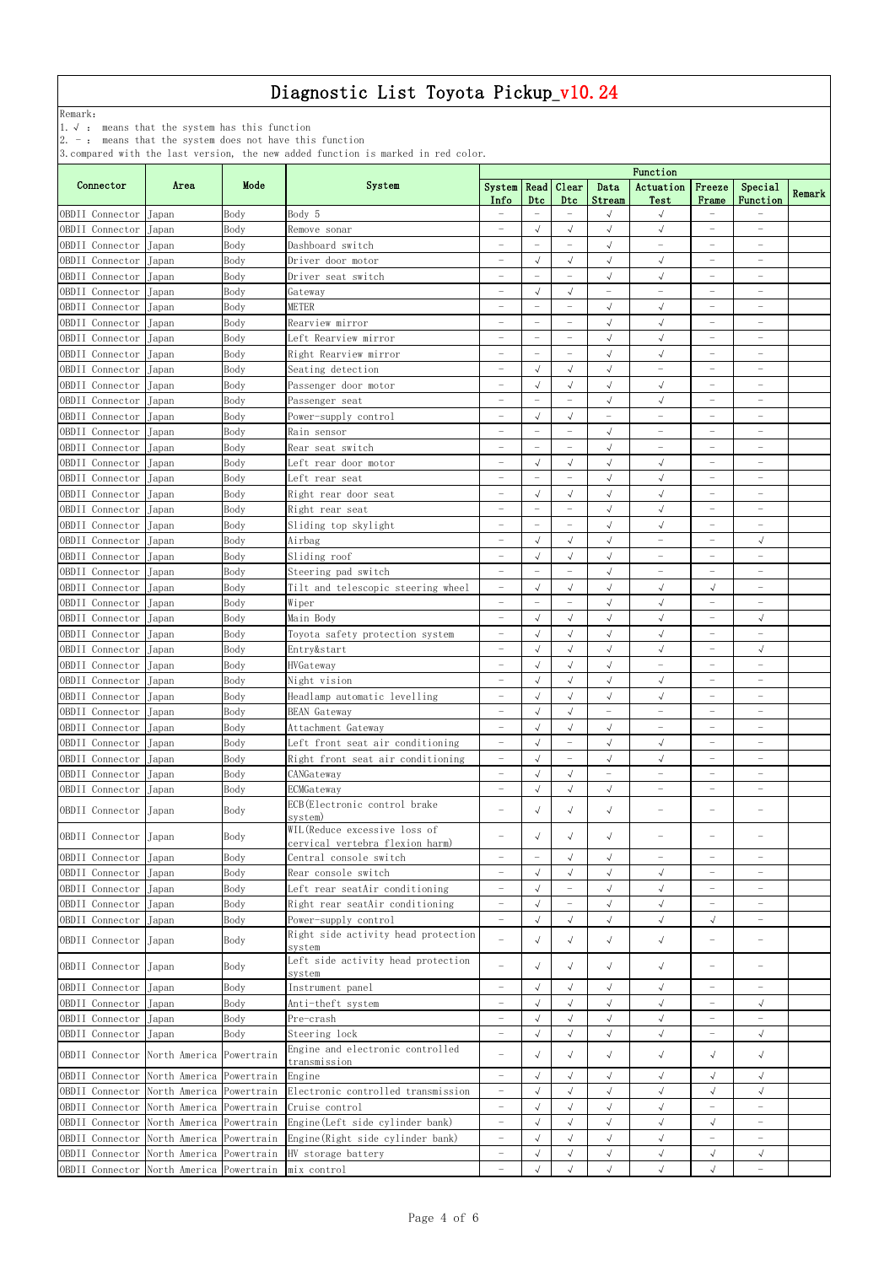Remark:

1.√ : means that the system has this function

2. - : means that the system does not have this function

|                                                         |                          |              |                                                                             | of compared write the rase version, the new added ranceron to marked in red coror.<br>Function |                          |                          |                          |                                  |                          |                          |        |
|---------------------------------------------------------|--------------------------|--------------|-----------------------------------------------------------------------------|------------------------------------------------------------------------------------------------|--------------------------|--------------------------|--------------------------|----------------------------------|--------------------------|--------------------------|--------|
| Connector                                               | Area                     | Mode         | System                                                                      | System Read Clear                                                                              |                          |                          | Data                     | Actuation                        | Freeze                   | Special                  |        |
|                                                         |                          |              |                                                                             | Info                                                                                           | Dtc                      | D <sub>tc</sub>          | Stream                   | Test                             | Frame                    | Function                 | Remark |
| OBDII Connector                                         | Japan                    | Body         | Body 5                                                                      |                                                                                                |                          |                          | $\checkmark$             | $\sqrt{2}$                       |                          |                          |        |
| OBDII Connector                                         | Japan                    | Body         | Remove sonar                                                                | $\overline{\phantom{m}}$                                                                       | $\sqrt{ }$               | $\sqrt{ }$               | $\sqrt{}$                | $\sqrt{ }$                       | $\overline{\phantom{0}}$ | $-$                      |        |
| OBDII Connector                                         | Japan                    | Body         | Dashboard switch                                                            |                                                                                                |                          |                          | $\sqrt{ }$               | $\overline{\phantom{0}}$         | $\overline{\phantom{0}}$ | $\qquad \qquad -$        |        |
| OBDII Connector                                         | Japan                    | Body         | Driver door motor                                                           | $\overline{\phantom{0}}$                                                                       | $\sqrt{ }$               | $\sqrt{ }$               | $\sqrt{2}$               | $\sqrt{}$                        | $\qquad \qquad -$        | $\qquad \qquad -$        |        |
| OBDII Connector                                         | Japan                    | Body         | Driver seat switch                                                          | $\overline{\phantom{0}}$                                                                       | $\frac{1}{2}$            | $\overline{\phantom{0}}$ | $\sqrt{ }$               | $\sqrt{}$                        | $\overline{\phantom{0}}$ | $\qquad \qquad -$        |        |
| OBDII Connector                                         | Japan                    | Body         | Gateway                                                                     | $\overline{\phantom{m}}$                                                                       | $\sqrt{ }$               | $\sqrt{ }$               |                          | $\equiv$                         | $\overline{\phantom{0}}$ | $\qquad \qquad -$        |        |
| OBDII Connector                                         | Japan                    | Body         | METER                                                                       |                                                                                                |                          |                          | $\sqrt{2}$               | $\sqrt{ }$                       | $\overline{\phantom{0}}$ | $\qquad \qquad -$        |        |
| OBDII Connector                                         | Japan                    | Body         | Rearview mirror                                                             | $\overline{\phantom{m}}$                                                                       | $\overline{\phantom{a}}$ | $\overline{\phantom{0}}$ | $\sqrt{}$                | $\sqrt{}$                        | $\overline{\phantom{0}}$ | $\overline{\phantom{0}}$ |        |
| OBDII Connector                                         | Japan                    | Body         | Left Rearview mirror                                                        | $\overline{\phantom{m}}$                                                                       | $\frac{1}{2}$            | $\overline{\phantom{a}}$ | $\sqrt{2}$               | $\sqrt{2}$                       | $\overline{\phantom{0}}$ | $\qquad \qquad -$        |        |
| OBDII Connector                                         | Japan                    | Body         | Right Rearview mirror                                                       | $\overline{\phantom{0}}$                                                                       | $\equiv$                 |                          | $\sqrt{}$                | $\sqrt{ }$                       | $\overline{\phantom{0}}$ |                          |        |
| OBDII Connector                                         | Japan                    | Body         | Seating detection                                                           | $\overline{\phantom{m}}$                                                                       | $\sqrt{ }$               | $\sqrt{ }$               | $\sqrt{ }$               | $\overline{\phantom{0}}$         | $\overline{\phantom{0}}$ | $\qquad \qquad -$        |        |
| OBDII Connector                                         | Japan                    | Body         | Passenger door motor                                                        | $\overline{\phantom{m}}$                                                                       | $\sqrt{ }$               | $\sqrt{ }$               | $\sqrt{}$                | $\sqrt{}$                        | $\overline{\phantom{0}}$ | $\qquad \qquad -$        |        |
| OBDII Connector                                         | Japan                    | Body         | Passenger seat                                                              | $\overline{\phantom{m}}$                                                                       | $\overline{\phantom{a}}$ | $\overline{\phantom{0}}$ | $\sqrt{ }$               | $\sqrt{ }$                       | $\qquad \qquad -$        | $\overline{\phantom{0}}$ |        |
| OBDII Connector                                         | Japan                    | Body         | Power-supply control                                                        | $\overline{\phantom{m}}$                                                                       | $\checkmark$             | $\sqrt{ }$               | $\overline{\phantom{0}}$ | $\overline{\phantom{0}}$         | $\overline{\phantom{0}}$ | $\qquad \qquad -$        |        |
| OBDII Connector                                         | Japan                    | Body         | Rain sensor                                                                 | $\overline{\phantom{m}}$                                                                       |                          | $\overline{\phantom{0}}$ | $\sqrt{ }$               | $\overline{\phantom{0}}$         | $\overline{\phantom{0}}$ | $\qquad \qquad -$        |        |
| OBDII Connector                                         | Japan                    | Body         | Rear seat switch                                                            | $\overline{\phantom{m}}$                                                                       |                          |                          | $\sqrt{ }$               | $\qquad \qquad -$                | $\qquad \qquad -$        | $\qquad \qquad -$        |        |
| OBDII Connector                                         | Japan                    | Body         | Left rear door motor                                                        | $\overline{\phantom{m}}$                                                                       | $\sqrt{ }$               | $\sqrt{ }$               | $\sqrt{ }$               | $\checkmark$                     | $\overline{\phantom{0}}$ | $\overline{\phantom{0}}$ |        |
| OBDII Connector                                         | Japan                    | Body         | Left rear seat                                                              | $\overline{\phantom{m}}$                                                                       | $\equiv$                 | $\overline{\phantom{a}}$ | $\sqrt{2}$               | $\sqrt{2}$                       | $\qquad \qquad -$        | $\qquad \qquad -$        |        |
| OBDII Connector                                         | Japan                    | Body         | Right rear door seat                                                        | $\overline{\phantom{0}}$                                                                       | $\sqrt{ }$               | $\sqrt{ }$               | $\sqrt{ }$               | $\sqrt{ }$                       | $\overline{\phantom{0}}$ |                          |        |
| OBDII Connector                                         | Japan                    | Body         | Right rear seat                                                             | $\overline{\phantom{m}}$                                                                       | $\overline{\phantom{a}}$ |                          | $\sqrt{}$                | $\sqrt{}$                        | $\qquad \qquad -$        | $\overline{\phantom{0}}$ |        |
| OBDII Connector                                         | Japan                    | Body         | Sliding top skylight                                                        | $\overline{\phantom{m}}$                                                                       | $\overline{\phantom{m}}$ |                          | $\sqrt{ }$               | $\sqrt{}$                        | $\overline{\phantom{0}}$ | $\qquad \qquad -$        |        |
| OBDII Connector                                         | Japan                    | Body         | Airbag                                                                      | $\overline{\phantom{0}}$                                                                       | $\sqrt{}$                | $\sqrt{ }$               | $\sqrt{ }$               | $\qquad \qquad -$                | $\qquad \qquad -$        | $\sqrt{}$                |        |
| OBDII Connector                                         | Japan                    | Body         | Sliding roof                                                                | $\overline{\phantom{m}}$                                                                       | $\sqrt{ }$               | $\sqrt{ }$               | $\sqrt{ }$               | $\overline{\phantom{0}}$         | $\overline{\phantom{0}}$ | $\overline{\phantom{0}}$ |        |
| OBDII Connector                                         | Japan                    | Body         | Steering pad switch                                                         | $\overline{\phantom{m}}$                                                                       |                          |                          | $\sqrt{ }$               | $\overline{\phantom{0}}$         | $\overline{\phantom{0}}$ | $\overline{\phantom{0}}$ |        |
| OBDII Connector                                         | $\rm Japan$              | Body         | Tilt and telescopic steering wheel                                          | $\overline{\phantom{m}}$                                                                       | $\sqrt{ }$               | $\sqrt{ }$               | $\sqrt{ }$               | $\sqrt{ }$                       | $\sqrt{}$                | $\overline{\phantom{m}}$ |        |
| OBDII Connector                                         | Japan                    | Body         | Wiper                                                                       | $\overline{\phantom{0}}$                                                                       | $\overline{\phantom{a}}$ |                          | $\sqrt{}$                | $\sqrt{ }$                       | $\overline{\phantom{0}}$ | $\overline{\phantom{0}}$ |        |
| OBDII Connector                                         | Japan                    | Body         | Main Body                                                                   | $\overline{\phantom{m}}$                                                                       | $\sqrt{\phantom{a}}$     | $\sqrt{ }$               | $\sqrt{}$                | $\sqrt{}$                        | $\overline{\phantom{0}}$ | $\sqrt{ }$               |        |
| OBDII Connector Japan                                   |                          | Body         | Toyota safety protection system                                             |                                                                                                | $\sqrt{ }$               | $\sqrt{}$                | $\sqrt{\phantom{a}}$     | $\sqrt{ }$                       |                          |                          |        |
| OBDII Connector                                         | Japan                    | Body         | Entry&start                                                                 | $\overline{\phantom{0}}$                                                                       | $\sqrt{ }$               | $\sqrt{ }$               | $\sqrt{ }$               | $\sqrt{}$                        | $\overline{\phantom{0}}$ | $\sqrt{}$                |        |
| OBDII Connector                                         | Japan                    | Body         | HVGateway                                                                   | $\overline{\phantom{0}}$                                                                       | $\sqrt{ }$               | $\sqrt{ }$               | $\sqrt{2}$               | $\overline{\phantom{0}}$         | $\overline{\phantom{0}}$ | $\overline{\phantom{0}}$ |        |
| OBDII Connector                                         | Japan                    | Body         | Night vision                                                                | $\overline{\phantom{a}}$                                                                       | $\sqrt{}$                | $\sqrt{ }$               | $\sqrt{ }$               | $\sqrt{ }$                       | $\overline{\phantom{0}}$ | $\qquad \qquad -$        |        |
| OBDII Connector                                         | Japan                    | Body         | Headlamp automatic levelling                                                | $\overline{\phantom{m}}$                                                                       | $\sqrt{ }$               | $\sqrt{ }$               | $\sqrt{ }$               | $\sqrt{ }$                       | $\overline{\phantom{0}}$ | $\qquad \qquad -$        |        |
| OBDII Connector                                         | Japan                    | Body         | <b>BEAN</b> Gateway                                                         | $\overline{\phantom{m}}$                                                                       | $\sqrt{\phantom{a}}$     | $\sqrt{ }$               | $\overline{\phantom{0}}$ | $\overline{\phantom{0}}$         | $\overline{\phantom{0}}$ | $\qquad \qquad -$        |        |
| OBDII Connector                                         | Japan                    | Body         | Attachment Gateway                                                          | $\overline{\phantom{m}}$                                                                       | $\sqrt{ }$               | $\sqrt{ }$               | $\sqrt{2}$               | $\overline{\phantom{0}}$         | $\qquad \qquad -$        | $\overline{\phantom{m}}$ |        |
| OBDII Connector                                         | Japan                    | Body         | Left front seat air conditioning                                            | $\overline{\phantom{0}}$                                                                       | $\sqrt{ }$               | $\overline{\phantom{0}}$ | $\sqrt{ }$               | $\sqrt{ }$                       | $\equiv$                 | $\overline{\phantom{0}}$ |        |
| OBDII Connector                                         | Japan                    | Body         | Right front seat air conditioning                                           | $\overline{\phantom{m}}$                                                                       | $\sqrt{ }$               | $\overline{\phantom{0}}$ | $\sqrt{}$                | $\sqrt{}$                        | $\overline{\phantom{0}}$ | $\overline{\phantom{0}}$ |        |
| OBDII Connector                                         | Japan                    | Body         | CANGateway                                                                  | $\overline{\phantom{0}}$                                                                       | $\sqrt{ }$               | $\sqrt{2}$               | $\overline{\phantom{0}}$ | $\overline{\phantom{0}}$         | $\overline{\phantom{0}}$ | $\qquad \qquad -$        |        |
| OBDII Connector                                         | Japan                    | Body         | ECMGateway                                                                  | $\overline{\phantom{0}}$                                                                       | $\sqrt{ }$               | $\sqrt{ }$               | $\sqrt{}$                | $\qquad \qquad -$                | $\overline{\phantom{0}}$ | $\qquad \qquad -$        |        |
| OBDII Connector                                         | Japan                    | Body         | ECB (Electronic control brake<br>system)                                    |                                                                                                | $\sqrt{ }$               | $\sqrt{ }$               | $\sqrt{2}$               |                                  | $\overline{\phantom{0}}$ |                          |        |
| OBDII Connector                                         | Japan                    | Body         | WIL (Reduce excessive loss of                                               |                                                                                                | $\sqrt{ }$               | $\sqrt{ }$               | $\sqrt{ }$               | $\overbrace{\phantom{12322111}}$ |                          |                          |        |
|                                                         |                          |              | cervical vertebra flexion harm)                                             |                                                                                                | $\overline{\phantom{0}}$ | $\sqrt{ }$               |                          | $\equiv$                         | $\overline{\phantom{0}}$ | $\overline{\phantom{0}}$ |        |
| OBDII Connector<br>OBDII Connector                      | Japan                    | Body         | Central console switch                                                      | $\overline{\phantom{0}}$                                                                       | $\sqrt{ }$               | $\sqrt{ }$               | $\sqrt{}$<br>$\sqrt{}$   |                                  | $\overline{\phantom{0}}$ | $\qquad \qquad -$        |        |
| OBDII Connector                                         | Japan                    | Body<br>Body | Rear console switch                                                         | $\overline{\phantom{0}}$                                                                       | $\sqrt{ }$               |                          | $\sqrt{ }$               | $\sqrt{}$<br>$\sqrt{}$           | $\overline{\phantom{0}}$ | $\qquad \qquad -$        |        |
| OBDII Connector                                         | Japan                    | Body         | Left rear seatAir conditioning<br>Right rear seatAir conditioning           | $\overline{\phantom{0}}$                                                                       | $\sqrt{ }$               | $\overline{\phantom{0}}$ | $\sqrt{ }$               | $\sqrt{}$                        | $\overline{\phantom{0}}$ | $\qquad \qquad -$        |        |
| OBDII Connector                                         | Japan<br>Japan           | Body         | Power-supply control                                                        | $\overline{\phantom{0}}$                                                                       | $\sqrt{ }$               | $\sqrt{ }$               | $\sqrt{2}$               | $\sqrt{2}$                       | $\sqrt{}$                | $\overline{\phantom{0}}$ |        |
| OBDII Connector                                         | Japan                    | Body         | Right side activity head protection                                         |                                                                                                | $\sqrt{ }$               | $\sqrt{ }$               | $\sqrt{ }$               | $\sqrt{ }$                       | $\overline{\phantom{0}}$ |                          |        |
| OBDII Connector                                         | Japan                    | Body         | system<br>Left side activity head protection                                |                                                                                                | $\sqrt{ }$               | $\sqrt{ }$               | $\sqrt{2}$               | $\sqrt{ }$                       | $\overline{\phantom{0}}$ |                          |        |
| OBDII Connector                                         | Japan                    | Body         | system<br>Instrument panel                                                  | $\overline{\phantom{0}}$                                                                       | $\sqrt{ }$               | $\sqrt{ }$               | $\sqrt{ }$               | $\sqrt{}$                        | $\overline{\phantom{0}}$ | $\overline{\phantom{0}}$ |        |
| OBDII Connector                                         | Japan                    | Body         | Anti-theft system                                                           | $\overline{\phantom{0}}$                                                                       | $\sqrt{ }$               | $\sqrt{ }$               | $\sqrt{2}$               | $\sqrt{}$                        | $\qquad \qquad -$        | $\sqrt{}$                |        |
| OBDII Connector                                         | Japan                    | Body         | Pre-crash                                                                   | $\overline{\phantom{0}}$                                                                       | $\sqrt{ }$               | $\sqrt{ }$               | $\sqrt{ }$               | $\sqrt{ }$                       | $\qquad \qquad -$        | $\overline{\phantom{m}}$ |        |
| OBDII Connector                                         | Japan                    | Body         | Steering lock                                                               | $\overline{\phantom{m}}$                                                                       | $\checkmark$             | $\sqrt{ }$               | $\sqrt{ }$               | $\sqrt{\phantom{a}}$             | $\overline{\phantom{0}}$ | $\sqrt{ }$               |        |
| OBDII Connector North America Powertrain                |                          |              | Engine and electronic controlled                                            | $\overline{\phantom{m}}$                                                                       | $\sqrt{ }$               | $\sqrt{ }$               | $\sqrt{ }$               | $\sqrt{\phantom{a}}$             | $\sqrt{ }$               | $\sqrt{}$                |        |
| OBDII Connector                                         | North America Powertrain |              | transmission<br>Engine                                                      | $\overline{\phantom{a}}$                                                                       | $\sqrt{ }$               | $\sqrt{ }$               | $\sqrt{ }$               | $\sqrt{}$                        | $\sqrt{}$                | $\sqrt{}$                |        |
|                                                         |                          |              | OBDII Connector North America Powertrain Electronic controlled transmission | $\overline{\phantom{m}}$                                                                       | $\sqrt{ }$               |                          | $\sqrt{ }$               | $\sqrt{ }$                       | $\sqrt{ }$               | $\sqrt{}$                |        |
| OBDII Connector North America Powertrain Cruise control |                          |              |                                                                             | $\overline{\phantom{m}}$                                                                       | $\sqrt{ }$               |                          | $\sqrt{ }$               | $\sqrt{2}$                       |                          | $\overline{\phantom{0}}$ |        |
| OBDII Connector                                         | North America Powertrain |              | Engine (Left side cylinder bank)                                            | $\overline{\phantom{m}}$                                                                       | $\sqrt{ }$               | $\sqrt{ }$               | $\sqrt{}$                | $\sqrt{}$                        | $\sqrt{}$                | $\overline{\phantom{a}}$ |        |
| OBDII Connector                                         | North America Powertrain |              | Engine (Right side cylinder bank)                                           | $\overline{\phantom{m}}$                                                                       | $\sqrt{ }$               | $\sqrt{\phantom{a}}$     | $\sqrt{ }$               | $\sqrt{}$                        | $\overline{\phantom{0}}$ | $\overline{\phantom{m}}$ |        |
| OBDII Connector                                         | North America Powertrain |              | HV storage battery                                                          | $\overline{\phantom{m}}$                                                                       | $\sqrt{ }$               | $\sqrt{ }$               | $\sqrt{ }$               | $\sqrt{}$                        | $\sqrt{ }$               | $\sqrt{ }$               |        |
| OBDII Connector                                         | North America Powertrain |              | mix control                                                                 | $\overline{\phantom{m}}$                                                                       | $\sqrt{ }$               | $\sqrt{ }$               | $\sqrt{ }$               | $\sqrt{ }$                       | $\sqrt{ }$               | $\overline{\phantom{a}}$ |        |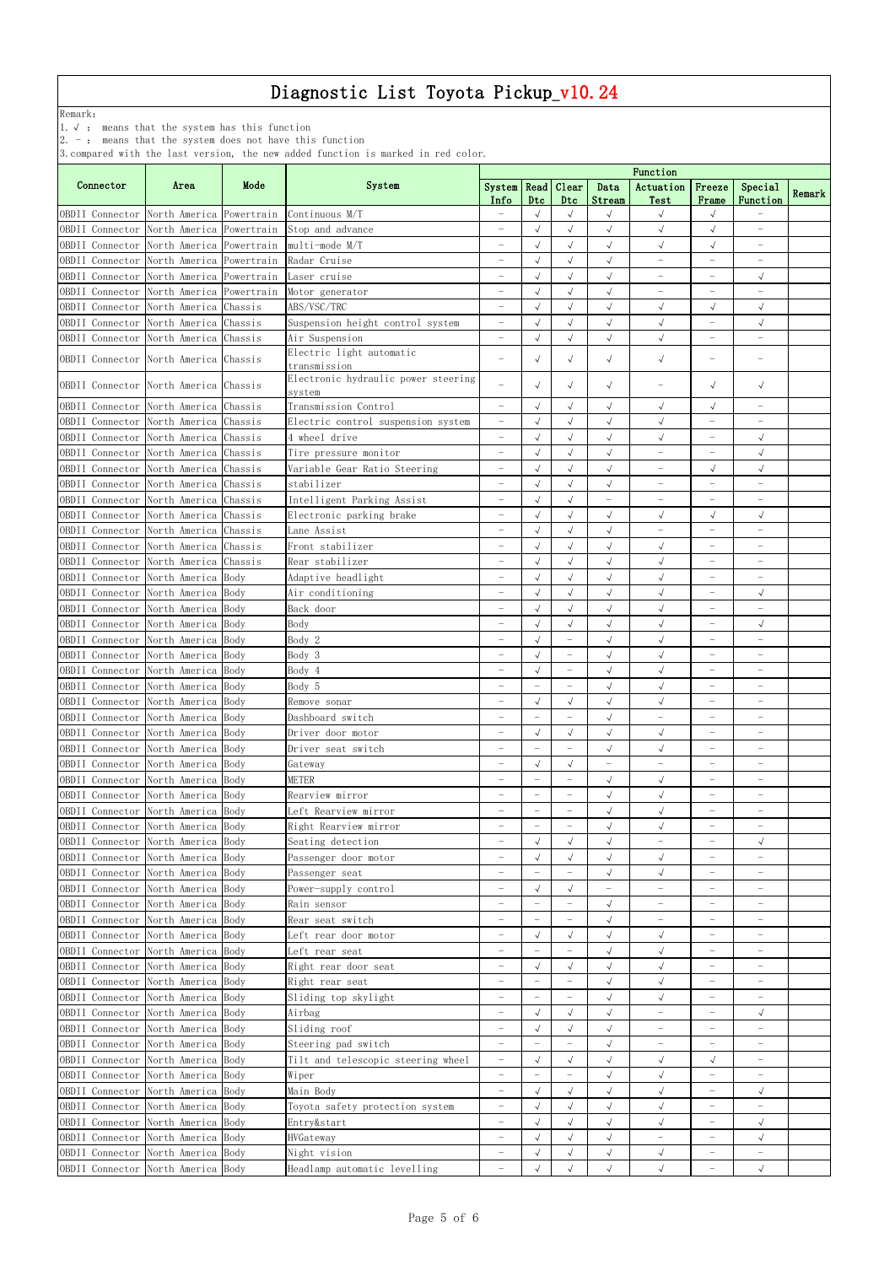Remark:

1.√ : means that the system has this function

2. - : means that the system does not have this function

| Mode<br>Connector<br>Area<br>System<br>System   Read   Clear<br>Data<br>Actuation<br>Freeze<br>Special<br>Remark<br>Info<br>Dtc<br>Dtc<br>Stream<br>Function<br>Test<br>Frame<br>OBDII Connector North America Powertrain Continuous M/T<br>$\sqrt{}$<br>$\sqrt{ }$<br>$\sqrt{ }$<br>$\sqrt{ }$<br>$\overline{\phantom{0}}$<br>$\sqrt{}$<br>$\sqrt{}$<br>$\sqrt{ }$<br>$\sqrt{}$<br>$\sqrt{ }$<br>OBDII Connector<br>North America Powertrain<br>Stop and advance<br>$\overline{\phantom{0}}$<br>North America Powertrain multi-mode M/T<br>OBDII Connector<br>$\sqrt{}$<br>$\sqrt{}$<br>$\sqrt{ }$<br>$\sqrt{ }$<br>$\sqrt{ }$<br>$\overline{\phantom{0}}$<br>$\overline{\phantom{0}}$<br>North America Powertrain<br>Radar Cruise<br>$\sqrt{ }$<br>$\sqrt{}$<br>$\sqrt{ }$<br>OBDII Connector<br>$\overline{\phantom{0}}$<br>$\overline{\phantom{m}}$<br>$\overline{\phantom{0}}$<br>$\overline{\phantom{0}}$<br>North America Powertrain<br>$\sqrt{ }$<br>OBDII Connector<br>$\sqrt{ }$<br>$\sqrt{ }$<br>$\sqrt{ }$<br>Laser cruise<br>$\overline{\phantom{0}}$<br>$\overline{\phantom{m}}$<br>$\overline{\phantom{0}}$<br>North America Powertrain<br>Motor generator<br>$\sqrt{ }$<br>$\sqrt{ }$<br>OBDII Connector<br>$\sqrt{ }$<br>$\overline{\phantom{0}}$<br>$\overline{\phantom{0}}$<br>$\overline{\phantom{0}}$<br>$\overline{\phantom{0}}$<br>North America Chassis<br>ABS/VSC/TRC<br>$\sqrt{ }$<br>$\sqrt{ }$<br>$\sqrt{ }$<br>$\sqrt{ }$<br>$\sqrt{}$<br>OBDII Connector<br>North America Chassis<br>$\sqrt{ }$<br>$\sqrt{ }$<br>$\sqrt{}$<br>$\sqrt{}$<br>OBDII Connector<br>Suspension height control system<br>$\sqrt{}$<br>$\overline{\phantom{m}}$<br>$\overline{\phantom{0}}$<br>$\sqrt{ }$<br>$\sqrt{}$<br>$\sqrt{ }$<br>Air Suspension<br>$\sqrt{}$<br>OBDII Connector<br>North America Chassis<br>$\overline{\phantom{a}}$<br>Electric light automatic<br>OBDII Connector North America Chassis<br>$\sqrt{ }$<br>$\sqrt{ }$<br>$\sqrt{ }$<br>$\sqrt{ }$<br>$\overline{\phantom{a}}$<br>transmission<br>Electronic hydraulic power steering<br>OBDII Connector North America Chassis<br>$\sqrt{ }$<br>$\sqrt{ }$<br>$\sqrt{ }$<br>$\sqrt{ }$<br>$\sqrt{}$<br>$\overbrace{\phantom{123221111}}$<br>system<br>Transmission Control<br>$\sqrt{}$<br>OBDII Connector North America Chassis<br>$\sqrt{ }$<br>$\sqrt{ }$<br>$\sqrt{ }$<br>$\sqrt{ }$<br>$\overline{\phantom{m}}$<br>$\overline{\phantom{0}}$<br>$\sqrt{ }$<br>OBDII Connector North America Chassis<br>$\sqrt{ }$<br>$\sqrt{}$<br>$\sqrt{}$<br>Electric control suspension system<br>$\overline{\phantom{a}}$<br>OBDII Connector North America Chassis<br>$\sqrt{ }$<br>$\sqrt{}$<br>4 wheel drive<br>$\sqrt{ }$<br>$\sqrt{ }$<br>$\overline{\phantom{0}}$<br>$\overline{\phantom{0}}$<br>$\sqrt{}$<br>$\sqrt{2}$<br>$\sqrt{ }$<br>$\sqrt{ }$<br>North America Chassis<br>OBDII Connector<br>Tire pressure monitor<br>$\overline{\phantom{0}}$<br>$\overline{\phantom{0}}$<br>$\overline{\phantom{0}}$<br>$\sqrt{}$<br>$\sqrt{ }$<br>$\sqrt{}$<br>North America Chassis<br>Variable Gear Ratio Steering<br>$\sqrt{2}$<br>$\sqrt{ }$<br>$\overline{\phantom{0}}$<br>$\overline{\phantom{m}}$<br>North America Chassis<br>stabilizer<br>$\sqrt{ }$<br>$\sqrt{}$<br>$\sqrt{ }$<br>OBDII Connector<br>$\overline{\phantom{0}}$<br>$\overline{\phantom{0}}$<br>$\overline{\phantom{0}}$<br>North America Chassis<br>Intelligent Parking Assist<br>$\sqrt{ }$<br>OBDII Connector<br>$\sqrt{ }$<br>$\qquad \qquad -$<br>$\overline{\phantom{0}}$<br>$\overline{\phantom{m}}$<br>$\overline{\phantom{0}}$<br>$\overline{\phantom{0}}$<br>North America Chassis<br>$\sqrt{ }$<br>$\sqrt{ }$<br>$\sqrt{ }$<br>$\sqrt{ }$<br>$\sqrt{ }$<br>OBDII Connector<br>Electronic parking brake<br>$\sqrt{ }$<br>North America Chassis<br>Lane Assist<br>$\sqrt{ }$<br>$\sqrt{ }$<br>$\sqrt{ }$<br>$\overline{\phantom{0}}$<br>$\overline{\phantom{0}}$<br>$\overline{\phantom{0}}$<br>$\overline{\phantom{0}}$<br>$\sqrt{ }$<br>OBDII Connector<br>North America Chassis<br>Front stabilizer<br>$\sqrt{ }$<br>$\sqrt{ }$<br>$\sqrt{ }$<br>$\overline{\phantom{m}}$<br>$\overline{\phantom{0}}$<br>$\overline{\phantom{0}}$<br>$\sqrt{ }$<br>$\sqrt{ }$<br>North America Chassis<br>Rear stabilizer<br>$\sqrt{ }$<br>$\sqrt{}$<br>OBDII Connector<br>$\overline{\phantom{a}}$<br>$\overline{\phantom{0}}$<br>North America Body<br>$\sqrt{ }$<br>$\sqrt{2}$<br>$\sqrt{ }$<br>$\sqrt{}$<br>OBDII Connector<br>Adaptive headlight<br>$\overline{\phantom{m}}$<br>$\overline{\phantom{0}}$<br>$\sqrt{}$<br>$\sqrt{2}$<br>$\sqrt{ }$<br>$\sqrt{ }$<br>$\sqrt{ }$<br>North America Body<br>OBDII Connector<br>Air conditioning<br>$\overline{\phantom{0}}$<br>$\overline{\phantom{0}}$<br>OBDII Connector<br>North America Body<br>Back door<br>$\sqrt{ }$<br>$\sqrt{2}$<br>$\sqrt{ }$<br>$\sqrt{}$<br>$\overline{\phantom{0}}$<br>$\overline{\phantom{0}}$<br>$\overline{\phantom{0}}$<br>Body<br>OBDII Connector North America Body<br>$\sqrt{ }$<br>$\sqrt{2}$<br>$\sqrt{ }$<br>$\sqrt{ }$<br>$\sqrt{ }$<br>$\overline{\phantom{0}}$<br>OBDII Connector North America Body<br>Body 2<br>$\sqrt{ }$<br>$\sqrt{ }$<br>$\sqrt{ }$<br>$\overline{\phantom{a}}$<br>$\overline{\phantom{m}}$<br>Body 3<br>North America Body<br>$\sqrt{}$<br>$\sqrt{ }$<br>$\sqrt{ }$<br>OBDII Connector<br>$\overline{\phantom{0}}$<br>$\overline{\phantom{0}}$<br>$\overline{\phantom{m}}$<br>$\overline{\phantom{0}}$<br>$\sqrt{ }$<br>$\sqrt{}$<br>OBDII Connector<br>North America Body<br>Body 4<br>$\sqrt{ }$<br>$\overline{\phantom{m}}$<br>$\overline{\phantom{0}}$<br>$\overline{\phantom{0}}$<br>Body 5<br>OBDII Connector<br>North America Body<br>$\sqrt{ }$<br>$\sqrt{}$<br>$\overline{\phantom{0}}$<br>$\overline{\phantom{0}}$<br>$\overline{\phantom{m}}$<br>$\overline{\phantom{0}}$<br>$\overline{\phantom{0}}$<br>$\sqrt{ }$<br>$\sqrt{}$<br>$\sqrt{ }$<br>OBDII Connector<br>North America Body<br>$\sqrt{ }$<br>Remove sonar<br>$\overline{\phantom{a}}$<br>$\sqrt{ }$<br>North America Body<br>Dashboard switch<br>$\qquad \qquad -$<br>$\overline{\phantom{m}}$<br>$\overline{\phantom{0}}$<br>$\overline{\phantom{m}}$<br>$\overline{\phantom{m}}$<br>$\overline{\phantom{0}}$<br>$\sqrt{ }$<br>$\sqrt{}$<br>North America Body<br>$\sqrt{ }$<br>$\sqrt{ }$<br>OBDII Connector<br>Driver door motor<br>$\overline{\phantom{0}}$<br>$\overline{\phantom{0}}$<br>$\overline{\phantom{0}}$<br>North America Body<br>OBDII Connector<br>Driver seat switch<br>$\sqrt{ }$<br>$\sqrt{ }$<br>$\overline{\phantom{0}}$<br>$\overline{\phantom{m}}$<br>$\overline{\phantom{m}}$<br>$\overline{\phantom{m}}$<br>$\overline{\phantom{0}}$<br>North America Body<br>Gateway<br>$\sqrt{ }$<br>$\sqrt{ }$<br>OBDII Connector<br>$\overline{\phantom{0}}$<br>$\overline{\phantom{0}}$<br>$\overline{\phantom{m}}$<br>$\overline{\phantom{0}}$<br>$\overline{\phantom{0}}$<br>METER<br>$\sqrt{ }$<br>$\sqrt{ }$<br>OBDII Connector<br>North America Body<br>$\qquad \qquad -$<br>$\overline{\phantom{m}}$<br>$\overline{\phantom{a}}$<br>$\overline{\phantom{m}}$<br>$\overline{\phantom{0}}$<br>OBDII Connector<br>North America Body<br>$\sqrt{}$<br>$\sqrt{ }$<br>Rearview mirror<br>$\overline{\phantom{a}}$<br>$\overline{\phantom{m}}$<br>$\overline{\phantom{0}}$<br>$\overline{\phantom{m}}$<br>$\overline{\phantom{0}}$<br>$\sqrt{ }$<br>$\checkmark$<br>OBDII Connector<br>North America Body<br>Left Rearview mirror<br>$\overline{\phantom{m}}$<br>$\overline{\phantom{0}}$<br>$\overline{\phantom{0}}$<br>$\qquad \qquad -$<br>$\overline{\phantom{0}}$<br>OBDII Connector<br>North America Body<br>Right Rearview mirror<br>$\sqrt{ }$<br>$\sqrt{ }$<br>$\overline{\phantom{0}}$<br>$\overline{\phantom{m}}$<br>$\overline{\phantom{0}}$<br>$\overline{\phantom{0}}$<br>$\overline{\phantom{0}}$<br>$\sqrt{}$<br>$\sqrt{ }$<br>North America Body<br>$\sqrt{ }$<br>$\sqrt{ }$<br>OBDII Connector<br>Seating detection<br>$\overline{\phantom{a}}$<br>$\overline{\phantom{m}}$<br>North America Body<br>$\sqrt{}$<br>$\sqrt{ }$<br>$\sqrt{ }$<br>$\sqrt{ }$<br>OBDII Connector<br>Passenger door motor<br>$\overline{\phantom{m}}$<br>$\overline{\phantom{m}}$<br>$\overline{\phantom{0}}$<br>$\sqrt{ }$<br>$\sqrt{}$<br>North America Body<br>OBDII Connector<br>Passenger seat<br>$\qquad \qquad -$<br>$\overline{\phantom{0}}$<br>$\overline{\phantom{0}}$<br>North America Body<br>$\sqrt{}$<br>$\sqrt{ }$<br>OBDII Connector<br>Power-supply control<br>$\overline{\phantom{0}}$<br>$\overline{\phantom{0}}$<br>$\overline{\phantom{0}}$<br>$\overline{\phantom{0}}$<br>$\overline{\phantom{0}}$<br>North America Body<br>OBDII Connector<br>Rain sensor<br>$\sqrt{ }$<br>$\overline{\phantom{0}}$<br>$\overline{\phantom{m}}$<br>$\overline{\phantom{0}}$<br>$\overline{\phantom{a}}$<br>$\overline{\phantom{0}}$<br>$\overline{\phantom{0}}$<br>$\checkmark$<br>OBDII Connector<br>North America Body<br>Rear seat switch<br>$\overline{\phantom{0}}$<br>$\overline{\phantom{m}}$<br>$\overline{\phantom{m}}$<br>$\overline{\phantom{m}}$<br>$\overline{\phantom{m}}$<br>$\overline{\phantom{0}}$<br>OBDII Connector<br>North America Body<br>$\sqrt{}$<br>Left rear door motor<br>$\sqrt{ }$<br>$\sqrt{ }$<br>$\checkmark$<br>$\overline{\phantom{m}}$<br>$\overline{\phantom{0}}$<br>$\overline{\phantom{0}}$<br>North America Body<br>$\sqrt{ }$<br>$\sqrt{ }$<br>OBDII Connector<br>Left rear seat<br>$\overline{\phantom{0}}$<br>$\overline{\phantom{m}}$<br>$\overline{\phantom{m}}$<br>$\overline{\phantom{0}}$<br>OBDII Connector<br>North America Body<br>$\sqrt{}$<br>$\sqrt{ }$<br>$\sqrt{ }$<br>$\sqrt{ }$<br>Right rear door seat<br>$\overline{\phantom{0}}$<br>$\overline{\phantom{0}}$<br>$\overline{\phantom{0}}$<br>$\sqrt{}$<br>$\sqrt{ }$<br>North America Body<br>OBDII Connector<br>Right rear seat<br>$\overline{\phantom{0}}$<br>$\overline{\phantom{0}}$<br>$\overline{\phantom{m}}$<br>$\overline{\phantom{0}}$<br>$\overline{\phantom{0}}$<br>$\sqrt{ }$<br>OBDII Connector<br>North America Body<br>$\sqrt{ }$<br>Sliding top skylight<br>$\qquad \qquad -$<br>$\overline{\phantom{m}}$<br>$\overline{\phantom{m}}$<br>$\overline{\phantom{m}}$<br>$\overline{\phantom{0}}$<br>North America Body<br>Airbag<br>$\sqrt{ }$<br>$\sqrt{ }$<br>$\sqrt{2}$<br>OBDII Connector<br>$\sqrt{ }$<br>$\overline{\phantom{0}}$<br>$\overline{\phantom{0}}$<br>$\overline{\phantom{0}}$<br>$\sqrt{ }$<br>North America Body<br>Sliding roof<br>$\sqrt{ }$<br>OBDII Connector<br>$\sqrt{ }$<br>$\overline{\phantom{0}}$<br>$\overline{\phantom{m}}$<br>$\overline{\phantom{0}}$<br>North America Body<br>$\sqrt{ }$<br>OBDII Connector<br>Steering pad switch<br>$\overline{\phantom{m}}$<br>$\qquad \qquad -$<br>$\overline{\phantom{m}}$<br>$\overline{\phantom{0}}$<br>$\overline{\phantom{m}}$<br>$\overline{\phantom{0}}$<br>OBDII Connector<br>North America Body<br>Tilt and telescopic steering wheel<br>$\sqrt{ }$<br>$\sqrt{ }$<br>$\sqrt{ }$<br>$\sqrt{ }$<br>$\sqrt{ }$<br>$\overline{\phantom{a}}$<br>$\overline{\phantom{0}}$<br>North America Body<br>Wiper<br>$\sqrt{ }$<br>$\sqrt{}$<br>OBDII Connector<br>$\overline{\phantom{0}}$<br>$\overline{\phantom{m}}$<br>$\overline{\phantom{m}}$<br>$\overline{\phantom{m}}$<br>$\overline{\phantom{0}}$<br>$\checkmark$<br>$\sqrt{}$<br>OBDII Connector North America Body<br>Main Body<br>$\sqrt{ }$<br>$\sqrt{}$<br>$\overline{\phantom{a}}$<br>$\sqrt{}$<br>OBDII Connector North America Body<br>$\sqrt{}$<br>$\sqrt{ }$<br>Toyota safety protection system<br>$\overline{\phantom{m}}$<br>$\overline{\phantom{0}}$<br>OBDII Connector North America Body<br>Entry&start<br>$\sqrt{ }$<br>$\sqrt{ }$<br>$\sqrt{\phantom{a}}$<br>$\sqrt{ }$<br>$\checkmark$<br>$\overline{\phantom{m}}$<br>$\overline{\phantom{m}}$<br>North America Body<br>HVGateway<br>$\sqrt{2}$<br>OBDII Connector<br>$\sqrt{ }$<br>$\sqrt{ }$<br>$\sqrt{ }$<br>$\overline{\phantom{a}}$<br>$\overline{\phantom{0}}$<br>$\overline{\phantom{m}}$<br>North America Body<br>Night vision<br>$\sqrt{ }$<br>$\sqrt{ }$<br>$\sqrt{}$<br>OBDII Connector<br>$\sqrt{ }$<br>$\overline{\phantom{0}}$<br>$\overline{\phantom{0}}$<br>$\overline{\phantom{m}}$<br>North America Body |                 |  |                              | Function                 |            |            |            |            |                          |            |  |
|------------------------------------------------------------------------------------------------------------------------------------------------------------------------------------------------------------------------------------------------------------------------------------------------------------------------------------------------------------------------------------------------------------------------------------------------------------------------------------------------------------------------------------------------------------------------------------------------------------------------------------------------------------------------------------------------------------------------------------------------------------------------------------------------------------------------------------------------------------------------------------------------------------------------------------------------------------------------------------------------------------------------------------------------------------------------------------------------------------------------------------------------------------------------------------------------------------------------------------------------------------------------------------------------------------------------------------------------------------------------------------------------------------------------------------------------------------------------------------------------------------------------------------------------------------------------------------------------------------------------------------------------------------------------------------------------------------------------------------------------------------------------------------------------------------------------------------------------------------------------------------------------------------------------------------------------------------------------------------------------------------------------------------------------------------------------------------------------------------------------------------------------------------------------------------------------------------------------------------------------------------------------------------------------------------------------------------------------------------------------------------------------------------------------------------------------------------------------------------------------------------------------------------------------------------------------------------------------------------------------------------------------------------------------------------------------------------------------------------------------------------------------------------------------------------------------------------------------------------------------------------------------------------------------------------------------------------------------------------------------------------------------------------------------------------------------------------------------------------------------------------------------------------------------------------------------------------------------------------------------------------------------------------------------------------------------------------------------------------------------------------------------------------------------------------------------------------------------------------------------------------------------------------------------------------------------------------------------------------------------------------------------------------------------------------------------------------------------------------------------------------------------------------------------------------------------------------------------------------------------------------------------------------------------------------------------------------------------------------------------------------------------------------------------------------------------------------------------------------------------------------------------------------------------------------------------------------------------------------------------------------------------------------------------------------------------------------------------------------------------------------------------------------------------------------------------------------------------------------------------------------------------------------------------------------------------------------------------------------------------------------------------------------------------------------------------------------------------------------------------------------------------------------------------------------------------------------------------------------------------------------------------------------------------------------------------------------------------------------------------------------------------------------------------------------------------------------------------------------------------------------------------------------------------------------------------------------------------------------------------------------------------------------------------------------------------------------------------------------------------------------------------------------------------------------------------------------------------------------------------------------------------------------------------------------------------------------------------------------------------------------------------------------------------------------------------------------------------------------------------------------------------------------------------------------------------------------------------------------------------------------------------------------------------------------------------------------------------------------------------------------------------------------------------------------------------------------------------------------------------------------------------------------------------------------------------------------------------------------------------------------------------------------------------------------------------------------------------------------------------------------------------------------------------------------------------------------------------------------------------------------------------------------------------------------------------------------------------------------------------------------------------------------------------------------------------------------------------------------------------------------------------------------------------------------------------------------------------------------------------------------------------------------------------------------------------------------------------------------------------------------------------------------------------------------------------------------------------------------------------------------------------------------------------------------------------------------------------------------------------------------------------------------------------------------------------------------------------------------------------------------------------------------------------------------------------------------------------------------------------------------------------------------------------------------------------------------------------------------------------------------------------------------------------------------------------------------------------------------------------------------------------------------------------------------------------------------------------------------------------------------------------------------------------------------------------------------------------------------------------------------------------------------------------------------------------------------------------------------------------------------------------------------------------------------------------------------------------------------------------------------------------------------------------------------------------------------------------------------------------------------------------------------------------------------------------------------------------------------------------------------------------------------------------------------------------------------------------------------------------------------------------------------------------------------------------------------------------------------------------------------------------------------------------------------------------------------------------------------------------------------------------------------------------------------------------------------------------------------------------------------------------------------------------------------------------------------------------------------------------------------------------------------------------------------------------------------------------------------------------------------------------------------------------------------------------------------------------------------------------------------------------------------------------------------------------------------------------------------------------------------------------------------------------------------------------------------------------------------------------------------------------------------------------------------------------------------------------------------------------------------------------------------------------------------------------------------------------------------------------------------------------------------------------------------------------------------------------------------------------------------------------------------------------------------------------------------------------------------------------------------------------------------------------------------------------------------------------------------------------------------------------------------------------------------------------------------------------------------------------------------------------------------------------------------------------------------------------------------------------------------------------------------------------------------------------------------------------------------------------------------------------------------------------------------------------------------------------------------------------------------------------------------------------------------------------------------------------------------------------------------------------------------------------------------------------------------------------------------------------------------------------------------------------------------------------------------------------------------------------------------------------------------------------------------------------------------------------------------------------------------------------------------------------------------------------------------------------------------------------------------------------------------------------------------------------------------------------------------------------------------------------------------------------------------------------------------------------------------------------------------------------------------------------------------------------------------------------------------------------------------------------------------------------------------------------------------------------------------------------------------------------------------------------------------------------------------------------------------------------------------------------------------------------------------------------------------------------------------------------------------------------------------------------------------------------------------------------------------------------------------------------------------------------|-----------------|--|------------------------------|--------------------------|------------|------------|------------|------------|--------------------------|------------|--|
|                                                                                                                                                                                                                                                                                                                                                                                                                                                                                                                                                                                                                                                                                                                                                                                                                                                                                                                                                                                                                                                                                                                                                                                                                                                                                                                                                                                                                                                                                                                                                                                                                                                                                                                                                                                                                                                                                                                                                                                                                                                                                                                                                                                                                                                                                                                                                                                                                                                                                                                                                                                                                                                                                                                                                                                                                                                                                                                                                                                                                                                                                                                                                                                                                                                                                                                                                                                                                                                                                                                                                                                                                                                                                                                                                                                                                                                                                                                                                                                                                                                                                                                                                                                                                                                                                                                                                                                                                                                                                                                                                                                                                                                                                                                                                                                                                                                                                                                                                                                                                                                                                                                                                                                                                                                                                                                                                                                                                                                                                                                                                                                                                                                                                                                                                                                                                                                                                                                                                                                                                                                                                                                                                                                                                                                                                                                                                                                                                                                                                                                                                                                                                                                                                                                                                                                                                                                                                                                                                                                                                                                                                                                                                                                                                                                                                                                                                                                                                                                                                                                                                                                                                                                                                                                                                                                                                                                                                                                                                                                                                                                                                                                                                                                                                                                                                                                                                                                                                                                                                                                                                                                                                                                                                                                                                                                                                                                                                                                                                                                                                                                                                                                                                                                                                                                                                                                                                                                                                                                                                                                                                                                                                                                                                                                                                                                                                                                                                                                                                                                                                                                                                                                                                                                                                                                                                                                                                                                                                                                                                                                                                                                                                                                                                                                                                                                                                                                                                                                                                                                                                                                                                                                                                                                                                                                                                                                                                                                                                                                                                                                                                                                                                                                                                                                                                                                                                                                                                                                                                                                                                                                                                                                                                                                                                                                                                                |                 |  |                              |                          |            |            |            |            |                          |            |  |
|                                                                                                                                                                                                                                                                                                                                                                                                                                                                                                                                                                                                                                                                                                                                                                                                                                                                                                                                                                                                                                                                                                                                                                                                                                                                                                                                                                                                                                                                                                                                                                                                                                                                                                                                                                                                                                                                                                                                                                                                                                                                                                                                                                                                                                                                                                                                                                                                                                                                                                                                                                                                                                                                                                                                                                                                                                                                                                                                                                                                                                                                                                                                                                                                                                                                                                                                                                                                                                                                                                                                                                                                                                                                                                                                                                                                                                                                                                                                                                                                                                                                                                                                                                                                                                                                                                                                                                                                                                                                                                                                                                                                                                                                                                                                                                                                                                                                                                                                                                                                                                                                                                                                                                                                                                                                                                                                                                                                                                                                                                                                                                                                                                                                                                                                                                                                                                                                                                                                                                                                                                                                                                                                                                                                                                                                                                                                                                                                                                                                                                                                                                                                                                                                                                                                                                                                                                                                                                                                                                                                                                                                                                                                                                                                                                                                                                                                                                                                                                                                                                                                                                                                                                                                                                                                                                                                                                                                                                                                                                                                                                                                                                                                                                                                                                                                                                                                                                                                                                                                                                                                                                                                                                                                                                                                                                                                                                                                                                                                                                                                                                                                                                                                                                                                                                                                                                                                                                                                                                                                                                                                                                                                                                                                                                                                                                                                                                                                                                                                                                                                                                                                                                                                                                                                                                                                                                                                                                                                                                                                                                                                                                                                                                                                                                                                                                                                                                                                                                                                                                                                                                                                                                                                                                                                                                                                                                                                                                                                                                                                                                                                                                                                                                                                                                                                                                                                                                                                                                                                                                                                                                                                                                                                                                                                                                                                                                |                 |  |                              |                          |            |            |            |            |                          |            |  |
|                                                                                                                                                                                                                                                                                                                                                                                                                                                                                                                                                                                                                                                                                                                                                                                                                                                                                                                                                                                                                                                                                                                                                                                                                                                                                                                                                                                                                                                                                                                                                                                                                                                                                                                                                                                                                                                                                                                                                                                                                                                                                                                                                                                                                                                                                                                                                                                                                                                                                                                                                                                                                                                                                                                                                                                                                                                                                                                                                                                                                                                                                                                                                                                                                                                                                                                                                                                                                                                                                                                                                                                                                                                                                                                                                                                                                                                                                                                                                                                                                                                                                                                                                                                                                                                                                                                                                                                                                                                                                                                                                                                                                                                                                                                                                                                                                                                                                                                                                                                                                                                                                                                                                                                                                                                                                                                                                                                                                                                                                                                                                                                                                                                                                                                                                                                                                                                                                                                                                                                                                                                                                                                                                                                                                                                                                                                                                                                                                                                                                                                                                                                                                                                                                                                                                                                                                                                                                                                                                                                                                                                                                                                                                                                                                                                                                                                                                                                                                                                                                                                                                                                                                                                                                                                                                                                                                                                                                                                                                                                                                                                                                                                                                                                                                                                                                                                                                                                                                                                                                                                                                                                                                                                                                                                                                                                                                                                                                                                                                                                                                                                                                                                                                                                                                                                                                                                                                                                                                                                                                                                                                                                                                                                                                                                                                                                                                                                                                                                                                                                                                                                                                                                                                                                                                                                                                                                                                                                                                                                                                                                                                                                                                                                                                                                                                                                                                                                                                                                                                                                                                                                                                                                                                                                                                                                                                                                                                                                                                                                                                                                                                                                                                                                                                                                                                                                                                                                                                                                                                                                                                                                                                                                                                                                                                                                                                                |                 |  |                              |                          |            |            |            |            |                          |            |  |
|                                                                                                                                                                                                                                                                                                                                                                                                                                                                                                                                                                                                                                                                                                                                                                                                                                                                                                                                                                                                                                                                                                                                                                                                                                                                                                                                                                                                                                                                                                                                                                                                                                                                                                                                                                                                                                                                                                                                                                                                                                                                                                                                                                                                                                                                                                                                                                                                                                                                                                                                                                                                                                                                                                                                                                                                                                                                                                                                                                                                                                                                                                                                                                                                                                                                                                                                                                                                                                                                                                                                                                                                                                                                                                                                                                                                                                                                                                                                                                                                                                                                                                                                                                                                                                                                                                                                                                                                                                                                                                                                                                                                                                                                                                                                                                                                                                                                                                                                                                                                                                                                                                                                                                                                                                                                                                                                                                                                                                                                                                                                                                                                                                                                                                                                                                                                                                                                                                                                                                                                                                                                                                                                                                                                                                                                                                                                                                                                                                                                                                                                                                                                                                                                                                                                                                                                                                                                                                                                                                                                                                                                                                                                                                                                                                                                                                                                                                                                                                                                                                                                                                                                                                                                                                                                                                                                                                                                                                                                                                                                                                                                                                                                                                                                                                                                                                                                                                                                                                                                                                                                                                                                                                                                                                                                                                                                                                                                                                                                                                                                                                                                                                                                                                                                                                                                                                                                                                                                                                                                                                                                                                                                                                                                                                                                                                                                                                                                                                                                                                                                                                                                                                                                                                                                                                                                                                                                                                                                                                                                                                                                                                                                                                                                                                                                                                                                                                                                                                                                                                                                                                                                                                                                                                                                                                                                                                                                                                                                                                                                                                                                                                                                                                                                                                                                                                                                                                                                                                                                                                                                                                                                                                                                                                                                                                                                                                |                 |  |                              |                          |            |            |            |            |                          |            |  |
|                                                                                                                                                                                                                                                                                                                                                                                                                                                                                                                                                                                                                                                                                                                                                                                                                                                                                                                                                                                                                                                                                                                                                                                                                                                                                                                                                                                                                                                                                                                                                                                                                                                                                                                                                                                                                                                                                                                                                                                                                                                                                                                                                                                                                                                                                                                                                                                                                                                                                                                                                                                                                                                                                                                                                                                                                                                                                                                                                                                                                                                                                                                                                                                                                                                                                                                                                                                                                                                                                                                                                                                                                                                                                                                                                                                                                                                                                                                                                                                                                                                                                                                                                                                                                                                                                                                                                                                                                                                                                                                                                                                                                                                                                                                                                                                                                                                                                                                                                                                                                                                                                                                                                                                                                                                                                                                                                                                                                                                                                                                                                                                                                                                                                                                                                                                                                                                                                                                                                                                                                                                                                                                                                                                                                                                                                                                                                                                                                                                                                                                                                                                                                                                                                                                                                                                                                                                                                                                                                                                                                                                                                                                                                                                                                                                                                                                                                                                                                                                                                                                                                                                                                                                                                                                                                                                                                                                                                                                                                                                                                                                                                                                                                                                                                                                                                                                                                                                                                                                                                                                                                                                                                                                                                                                                                                                                                                                                                                                                                                                                                                                                                                                                                                                                                                                                                                                                                                                                                                                                                                                                                                                                                                                                                                                                                                                                                                                                                                                                                                                                                                                                                                                                                                                                                                                                                                                                                                                                                                                                                                                                                                                                                                                                                                                                                                                                                                                                                                                                                                                                                                                                                                                                                                                                                                                                                                                                                                                                                                                                                                                                                                                                                                                                                                                                                                                                                                                                                                                                                                                                                                                                                                                                                                                                                                                                                                |                 |  |                              |                          |            |            |            |            |                          |            |  |
|                                                                                                                                                                                                                                                                                                                                                                                                                                                                                                                                                                                                                                                                                                                                                                                                                                                                                                                                                                                                                                                                                                                                                                                                                                                                                                                                                                                                                                                                                                                                                                                                                                                                                                                                                                                                                                                                                                                                                                                                                                                                                                                                                                                                                                                                                                                                                                                                                                                                                                                                                                                                                                                                                                                                                                                                                                                                                                                                                                                                                                                                                                                                                                                                                                                                                                                                                                                                                                                                                                                                                                                                                                                                                                                                                                                                                                                                                                                                                                                                                                                                                                                                                                                                                                                                                                                                                                                                                                                                                                                                                                                                                                                                                                                                                                                                                                                                                                                                                                                                                                                                                                                                                                                                                                                                                                                                                                                                                                                                                                                                                                                                                                                                                                                                                                                                                                                                                                                                                                                                                                                                                                                                                                                                                                                                                                                                                                                                                                                                                                                                                                                                                                                                                                                                                                                                                                                                                                                                                                                                                                                                                                                                                                                                                                                                                                                                                                                                                                                                                                                                                                                                                                                                                                                                                                                                                                                                                                                                                                                                                                                                                                                                                                                                                                                                                                                                                                                                                                                                                                                                                                                                                                                                                                                                                                                                                                                                                                                                                                                                                                                                                                                                                                                                                                                                                                                                                                                                                                                                                                                                                                                                                                                                                                                                                                                                                                                                                                                                                                                                                                                                                                                                                                                                                                                                                                                                                                                                                                                                                                                                                                                                                                                                                                                                                                                                                                                                                                                                                                                                                                                                                                                                                                                                                                                                                                                                                                                                                                                                                                                                                                                                                                                                                                                                                                                                                                                                                                                                                                                                                                                                                                                                                                                                                                                                                                |                 |  |                              |                          |            |            |            |            |                          |            |  |
|                                                                                                                                                                                                                                                                                                                                                                                                                                                                                                                                                                                                                                                                                                                                                                                                                                                                                                                                                                                                                                                                                                                                                                                                                                                                                                                                                                                                                                                                                                                                                                                                                                                                                                                                                                                                                                                                                                                                                                                                                                                                                                                                                                                                                                                                                                                                                                                                                                                                                                                                                                                                                                                                                                                                                                                                                                                                                                                                                                                                                                                                                                                                                                                                                                                                                                                                                                                                                                                                                                                                                                                                                                                                                                                                                                                                                                                                                                                                                                                                                                                                                                                                                                                                                                                                                                                                                                                                                                                                                                                                                                                                                                                                                                                                                                                                                                                                                                                                                                                                                                                                                                                                                                                                                                                                                                                                                                                                                                                                                                                                                                                                                                                                                                                                                                                                                                                                                                                                                                                                                                                                                                                                                                                                                                                                                                                                                                                                                                                                                                                                                                                                                                                                                                                                                                                                                                                                                                                                                                                                                                                                                                                                                                                                                                                                                                                                                                                                                                                                                                                                                                                                                                                                                                                                                                                                                                                                                                                                                                                                                                                                                                                                                                                                                                                                                                                                                                                                                                                                                                                                                                                                                                                                                                                                                                                                                                                                                                                                                                                                                                                                                                                                                                                                                                                                                                                                                                                                                                                                                                                                                                                                                                                                                                                                                                                                                                                                                                                                                                                                                                                                                                                                                                                                                                                                                                                                                                                                                                                                                                                                                                                                                                                                                                                                                                                                                                                                                                                                                                                                                                                                                                                                                                                                                                                                                                                                                                                                                                                                                                                                                                                                                                                                                                                                                                                                                                                                                                                                                                                                                                                                                                                                                                                                                                                                                                |                 |  |                              |                          |            |            |            |            |                          |            |  |
|                                                                                                                                                                                                                                                                                                                                                                                                                                                                                                                                                                                                                                                                                                                                                                                                                                                                                                                                                                                                                                                                                                                                                                                                                                                                                                                                                                                                                                                                                                                                                                                                                                                                                                                                                                                                                                                                                                                                                                                                                                                                                                                                                                                                                                                                                                                                                                                                                                                                                                                                                                                                                                                                                                                                                                                                                                                                                                                                                                                                                                                                                                                                                                                                                                                                                                                                                                                                                                                                                                                                                                                                                                                                                                                                                                                                                                                                                                                                                                                                                                                                                                                                                                                                                                                                                                                                                                                                                                                                                                                                                                                                                                                                                                                                                                                                                                                                                                                                                                                                                                                                                                                                                                                                                                                                                                                                                                                                                                                                                                                                                                                                                                                                                                                                                                                                                                                                                                                                                                                                                                                                                                                                                                                                                                                                                                                                                                                                                                                                                                                                                                                                                                                                                                                                                                                                                                                                                                                                                                                                                                                                                                                                                                                                                                                                                                                                                                                                                                                                                                                                                                                                                                                                                                                                                                                                                                                                                                                                                                                                                                                                                                                                                                                                                                                                                                                                                                                                                                                                                                                                                                                                                                                                                                                                                                                                                                                                                                                                                                                                                                                                                                                                                                                                                                                                                                                                                                                                                                                                                                                                                                                                                                                                                                                                                                                                                                                                                                                                                                                                                                                                                                                                                                                                                                                                                                                                                                                                                                                                                                                                                                                                                                                                                                                                                                                                                                                                                                                                                                                                                                                                                                                                                                                                                                                                                                                                                                                                                                                                                                                                                                                                                                                                                                                                                                                                                                                                                                                                                                                                                                                                                                                                                                                                                                                                                                |                 |  |                              |                          |            |            |            |            |                          |            |  |
|                                                                                                                                                                                                                                                                                                                                                                                                                                                                                                                                                                                                                                                                                                                                                                                                                                                                                                                                                                                                                                                                                                                                                                                                                                                                                                                                                                                                                                                                                                                                                                                                                                                                                                                                                                                                                                                                                                                                                                                                                                                                                                                                                                                                                                                                                                                                                                                                                                                                                                                                                                                                                                                                                                                                                                                                                                                                                                                                                                                                                                                                                                                                                                                                                                                                                                                                                                                                                                                                                                                                                                                                                                                                                                                                                                                                                                                                                                                                                                                                                                                                                                                                                                                                                                                                                                                                                                                                                                                                                                                                                                                                                                                                                                                                                                                                                                                                                                                                                                                                                                                                                                                                                                                                                                                                                                                                                                                                                                                                                                                                                                                                                                                                                                                                                                                                                                                                                                                                                                                                                                                                                                                                                                                                                                                                                                                                                                                                                                                                                                                                                                                                                                                                                                                                                                                                                                                                                                                                                                                                                                                                                                                                                                                                                                                                                                                                                                                                                                                                                                                                                                                                                                                                                                                                                                                                                                                                                                                                                                                                                                                                                                                                                                                                                                                                                                                                                                                                                                                                                                                                                                                                                                                                                                                                                                                                                                                                                                                                                                                                                                                                                                                                                                                                                                                                                                                                                                                                                                                                                                                                                                                                                                                                                                                                                                                                                                                                                                                                                                                                                                                                                                                                                                                                                                                                                                                                                                                                                                                                                                                                                                                                                                                                                                                                                                                                                                                                                                                                                                                                                                                                                                                                                                                                                                                                                                                                                                                                                                                                                                                                                                                                                                                                                                                                                                                                                                                                                                                                                                                                                                                                                                                                                                                                                                                                                                |                 |  |                              |                          |            |            |            |            |                          |            |  |
|                                                                                                                                                                                                                                                                                                                                                                                                                                                                                                                                                                                                                                                                                                                                                                                                                                                                                                                                                                                                                                                                                                                                                                                                                                                                                                                                                                                                                                                                                                                                                                                                                                                                                                                                                                                                                                                                                                                                                                                                                                                                                                                                                                                                                                                                                                                                                                                                                                                                                                                                                                                                                                                                                                                                                                                                                                                                                                                                                                                                                                                                                                                                                                                                                                                                                                                                                                                                                                                                                                                                                                                                                                                                                                                                                                                                                                                                                                                                                                                                                                                                                                                                                                                                                                                                                                                                                                                                                                                                                                                                                                                                                                                                                                                                                                                                                                                                                                                                                                                                                                                                                                                                                                                                                                                                                                                                                                                                                                                                                                                                                                                                                                                                                                                                                                                                                                                                                                                                                                                                                                                                                                                                                                                                                                                                                                                                                                                                                                                                                                                                                                                                                                                                                                                                                                                                                                                                                                                                                                                                                                                                                                                                                                                                                                                                                                                                                                                                                                                                                                                                                                                                                                                                                                                                                                                                                                                                                                                                                                                                                                                                                                                                                                                                                                                                                                                                                                                                                                                                                                                                                                                                                                                                                                                                                                                                                                                                                                                                                                                                                                                                                                                                                                                                                                                                                                                                                                                                                                                                                                                                                                                                                                                                                                                                                                                                                                                                                                                                                                                                                                                                                                                                                                                                                                                                                                                                                                                                                                                                                                                                                                                                                                                                                                                                                                                                                                                                                                                                                                                                                                                                                                                                                                                                                                                                                                                                                                                                                                                                                                                                                                                                                                                                                                                                                                                                                                                                                                                                                                                                                                                                                                                                                                                                                                                                                                |                 |  |                              |                          |            |            |            |            |                          |            |  |
|                                                                                                                                                                                                                                                                                                                                                                                                                                                                                                                                                                                                                                                                                                                                                                                                                                                                                                                                                                                                                                                                                                                                                                                                                                                                                                                                                                                                                                                                                                                                                                                                                                                                                                                                                                                                                                                                                                                                                                                                                                                                                                                                                                                                                                                                                                                                                                                                                                                                                                                                                                                                                                                                                                                                                                                                                                                                                                                                                                                                                                                                                                                                                                                                                                                                                                                                                                                                                                                                                                                                                                                                                                                                                                                                                                                                                                                                                                                                                                                                                                                                                                                                                                                                                                                                                                                                                                                                                                                                                                                                                                                                                                                                                                                                                                                                                                                                                                                                                                                                                                                                                                                                                                                                                                                                                                                                                                                                                                                                                                                                                                                                                                                                                                                                                                                                                                                                                                                                                                                                                                                                                                                                                                                                                                                                                                                                                                                                                                                                                                                                                                                                                                                                                                                                                                                                                                                                                                                                                                                                                                                                                                                                                                                                                                                                                                                                                                                                                                                                                                                                                                                                                                                                                                                                                                                                                                                                                                                                                                                                                                                                                                                                                                                                                                                                                                                                                                                                                                                                                                                                                                                                                                                                                                                                                                                                                                                                                                                                                                                                                                                                                                                                                                                                                                                                                                                                                                                                                                                                                                                                                                                                                                                                                                                                                                                                                                                                                                                                                                                                                                                                                                                                                                                                                                                                                                                                                                                                                                                                                                                                                                                                                                                                                                                                                                                                                                                                                                                                                                                                                                                                                                                                                                                                                                                                                                                                                                                                                                                                                                                                                                                                                                                                                                                                                                                                                                                                                                                                                                                                                                                                                                                                                                                                                                                                                                |                 |  |                              |                          |            |            |            |            |                          |            |  |
|                                                                                                                                                                                                                                                                                                                                                                                                                                                                                                                                                                                                                                                                                                                                                                                                                                                                                                                                                                                                                                                                                                                                                                                                                                                                                                                                                                                                                                                                                                                                                                                                                                                                                                                                                                                                                                                                                                                                                                                                                                                                                                                                                                                                                                                                                                                                                                                                                                                                                                                                                                                                                                                                                                                                                                                                                                                                                                                                                                                                                                                                                                                                                                                                                                                                                                                                                                                                                                                                                                                                                                                                                                                                                                                                                                                                                                                                                                                                                                                                                                                                                                                                                                                                                                                                                                                                                                                                                                                                                                                                                                                                                                                                                                                                                                                                                                                                                                                                                                                                                                                                                                                                                                                                                                                                                                                                                                                                                                                                                                                                                                                                                                                                                                                                                                                                                                                                                                                                                                                                                                                                                                                                                                                                                                                                                                                                                                                                                                                                                                                                                                                                                                                                                                                                                                                                                                                                                                                                                                                                                                                                                                                                                                                                                                                                                                                                                                                                                                                                                                                                                                                                                                                                                                                                                                                                                                                                                                                                                                                                                                                                                                                                                                                                                                                                                                                                                                                                                                                                                                                                                                                                                                                                                                                                                                                                                                                                                                                                                                                                                                                                                                                                                                                                                                                                                                                                                                                                                                                                                                                                                                                                                                                                                                                                                                                                                                                                                                                                                                                                                                                                                                                                                                                                                                                                                                                                                                                                                                                                                                                                                                                                                                                                                                                                                                                                                                                                                                                                                                                                                                                                                                                                                                                                                                                                                                                                                                                                                                                                                                                                                                                                                                                                                                                                                                                                                                                                                                                                                                                                                                                                                                                                                                                                                                                                                                |                 |  |                              |                          |            |            |            |            |                          |            |  |
|                                                                                                                                                                                                                                                                                                                                                                                                                                                                                                                                                                                                                                                                                                                                                                                                                                                                                                                                                                                                                                                                                                                                                                                                                                                                                                                                                                                                                                                                                                                                                                                                                                                                                                                                                                                                                                                                                                                                                                                                                                                                                                                                                                                                                                                                                                                                                                                                                                                                                                                                                                                                                                                                                                                                                                                                                                                                                                                                                                                                                                                                                                                                                                                                                                                                                                                                                                                                                                                                                                                                                                                                                                                                                                                                                                                                                                                                                                                                                                                                                                                                                                                                                                                                                                                                                                                                                                                                                                                                                                                                                                                                                                                                                                                                                                                                                                                                                                                                                                                                                                                                                                                                                                                                                                                                                                                                                                                                                                                                                                                                                                                                                                                                                                                                                                                                                                                                                                                                                                                                                                                                                                                                                                                                                                                                                                                                                                                                                                                                                                                                                                                                                                                                                                                                                                                                                                                                                                                                                                                                                                                                                                                                                                                                                                                                                                                                                                                                                                                                                                                                                                                                                                                                                                                                                                                                                                                                                                                                                                                                                                                                                                                                                                                                                                                                                                                                                                                                                                                                                                                                                                                                                                                                                                                                                                                                                                                                                                                                                                                                                                                                                                                                                                                                                                                                                                                                                                                                                                                                                                                                                                                                                                                                                                                                                                                                                                                                                                                                                                                                                                                                                                                                                                                                                                                                                                                                                                                                                                                                                                                                                                                                                                                                                                                                                                                                                                                                                                                                                                                                                                                                                                                                                                                                                                                                                                                                                                                                                                                                                                                                                                                                                                                                                                                                                                                                                                                                                                                                                                                                                                                                                                                                                                                                                                                                                                |                 |  |                              |                          |            |            |            |            |                          |            |  |
|                                                                                                                                                                                                                                                                                                                                                                                                                                                                                                                                                                                                                                                                                                                                                                                                                                                                                                                                                                                                                                                                                                                                                                                                                                                                                                                                                                                                                                                                                                                                                                                                                                                                                                                                                                                                                                                                                                                                                                                                                                                                                                                                                                                                                                                                                                                                                                                                                                                                                                                                                                                                                                                                                                                                                                                                                                                                                                                                                                                                                                                                                                                                                                                                                                                                                                                                                                                                                                                                                                                                                                                                                                                                                                                                                                                                                                                                                                                                                                                                                                                                                                                                                                                                                                                                                                                                                                                                                                                                                                                                                                                                                                                                                                                                                                                                                                                                                                                                                                                                                                                                                                                                                                                                                                                                                                                                                                                                                                                                                                                                                                                                                                                                                                                                                                                                                                                                                                                                                                                                                                                                                                                                                                                                                                                                                                                                                                                                                                                                                                                                                                                                                                                                                                                                                                                                                                                                                                                                                                                                                                                                                                                                                                                                                                                                                                                                                                                                                                                                                                                                                                                                                                                                                                                                                                                                                                                                                                                                                                                                                                                                                                                                                                                                                                                                                                                                                                                                                                                                                                                                                                                                                                                                                                                                                                                                                                                                                                                                                                                                                                                                                                                                                                                                                                                                                                                                                                                                                                                                                                                                                                                                                                                                                                                                                                                                                                                                                                                                                                                                                                                                                                                                                                                                                                                                                                                                                                                                                                                                                                                                                                                                                                                                                                                                                                                                                                                                                                                                                                                                                                                                                                                                                                                                                                                                                                                                                                                                                                                                                                                                                                                                                                                                                                                                                                                                                                                                                                                                                                                                                                                                                                                                                                                                                                                                                                |                 |  |                              |                          |            |            |            |            |                          |            |  |
|                                                                                                                                                                                                                                                                                                                                                                                                                                                                                                                                                                                                                                                                                                                                                                                                                                                                                                                                                                                                                                                                                                                                                                                                                                                                                                                                                                                                                                                                                                                                                                                                                                                                                                                                                                                                                                                                                                                                                                                                                                                                                                                                                                                                                                                                                                                                                                                                                                                                                                                                                                                                                                                                                                                                                                                                                                                                                                                                                                                                                                                                                                                                                                                                                                                                                                                                                                                                                                                                                                                                                                                                                                                                                                                                                                                                                                                                                                                                                                                                                                                                                                                                                                                                                                                                                                                                                                                                                                                                                                                                                                                                                                                                                                                                                                                                                                                                                                                                                                                                                                                                                                                                                                                                                                                                                                                                                                                                                                                                                                                                                                                                                                                                                                                                                                                                                                                                                                                                                                                                                                                                                                                                                                                                                                                                                                                                                                                                                                                                                                                                                                                                                                                                                                                                                                                                                                                                                                                                                                                                                                                                                                                                                                                                                                                                                                                                                                                                                                                                                                                                                                                                                                                                                                                                                                                                                                                                                                                                                                                                                                                                                                                                                                                                                                                                                                                                                                                                                                                                                                                                                                                                                                                                                                                                                                                                                                                                                                                                                                                                                                                                                                                                                                                                                                                                                                                                                                                                                                                                                                                                                                                                                                                                                                                                                                                                                                                                                                                                                                                                                                                                                                                                                                                                                                                                                                                                                                                                                                                                                                                                                                                                                                                                                                                                                                                                                                                                                                                                                                                                                                                                                                                                                                                                                                                                                                                                                                                                                                                                                                                                                                                                                                                                                                                                                                                                                                                                                                                                                                                                                                                                                                                                                                                                                                                                                                |                 |  |                              |                          |            |            |            |            |                          |            |  |
|                                                                                                                                                                                                                                                                                                                                                                                                                                                                                                                                                                                                                                                                                                                                                                                                                                                                                                                                                                                                                                                                                                                                                                                                                                                                                                                                                                                                                                                                                                                                                                                                                                                                                                                                                                                                                                                                                                                                                                                                                                                                                                                                                                                                                                                                                                                                                                                                                                                                                                                                                                                                                                                                                                                                                                                                                                                                                                                                                                                                                                                                                                                                                                                                                                                                                                                                                                                                                                                                                                                                                                                                                                                                                                                                                                                                                                                                                                                                                                                                                                                                                                                                                                                                                                                                                                                                                                                                                                                                                                                                                                                                                                                                                                                                                                                                                                                                                                                                                                                                                                                                                                                                                                                                                                                                                                                                                                                                                                                                                                                                                                                                                                                                                                                                                                                                                                                                                                                                                                                                                                                                                                                                                                                                                                                                                                                                                                                                                                                                                                                                                                                                                                                                                                                                                                                                                                                                                                                                                                                                                                                                                                                                                                                                                                                                                                                                                                                                                                                                                                                                                                                                                                                                                                                                                                                                                                                                                                                                                                                                                                                                                                                                                                                                                                                                                                                                                                                                                                                                                                                                                                                                                                                                                                                                                                                                                                                                                                                                                                                                                                                                                                                                                                                                                                                                                                                                                                                                                                                                                                                                                                                                                                                                                                                                                                                                                                                                                                                                                                                                                                                                                                                                                                                                                                                                                                                                                                                                                                                                                                                                                                                                                                                                                                                                                                                                                                                                                                                                                                                                                                                                                                                                                                                                                                                                                                                                                                                                                                                                                                                                                                                                                                                                                                                                                                                                                                                                                                                                                                                                                                                                                                                                                                                                                                                                                                |                 |  |                              |                          |            |            |            |            |                          |            |  |
|                                                                                                                                                                                                                                                                                                                                                                                                                                                                                                                                                                                                                                                                                                                                                                                                                                                                                                                                                                                                                                                                                                                                                                                                                                                                                                                                                                                                                                                                                                                                                                                                                                                                                                                                                                                                                                                                                                                                                                                                                                                                                                                                                                                                                                                                                                                                                                                                                                                                                                                                                                                                                                                                                                                                                                                                                                                                                                                                                                                                                                                                                                                                                                                                                                                                                                                                                                                                                                                                                                                                                                                                                                                                                                                                                                                                                                                                                                                                                                                                                                                                                                                                                                                                                                                                                                                                                                                                                                                                                                                                                                                                                                                                                                                                                                                                                                                                                                                                                                                                                                                                                                                                                                                                                                                                                                                                                                                                                                                                                                                                                                                                                                                                                                                                                                                                                                                                                                                                                                                                                                                                                                                                                                                                                                                                                                                                                                                                                                                                                                                                                                                                                                                                                                                                                                                                                                                                                                                                                                                                                                                                                                                                                                                                                                                                                                                                                                                                                                                                                                                                                                                                                                                                                                                                                                                                                                                                                                                                                                                                                                                                                                                                                                                                                                                                                                                                                                                                                                                                                                                                                                                                                                                                                                                                                                                                                                                                                                                                                                                                                                                                                                                                                                                                                                                                                                                                                                                                                                                                                                                                                                                                                                                                                                                                                                                                                                                                                                                                                                                                                                                                                                                                                                                                                                                                                                                                                                                                                                                                                                                                                                                                                                                                                                                                                                                                                                                                                                                                                                                                                                                                                                                                                                                                                                                                                                                                                                                                                                                                                                                                                                                                                                                                                                                                                                                                                                                                                                                                                                                                                                                                                                                                                                                                                                                                                                |                 |  |                              |                          |            |            |            |            |                          |            |  |
|                                                                                                                                                                                                                                                                                                                                                                                                                                                                                                                                                                                                                                                                                                                                                                                                                                                                                                                                                                                                                                                                                                                                                                                                                                                                                                                                                                                                                                                                                                                                                                                                                                                                                                                                                                                                                                                                                                                                                                                                                                                                                                                                                                                                                                                                                                                                                                                                                                                                                                                                                                                                                                                                                                                                                                                                                                                                                                                                                                                                                                                                                                                                                                                                                                                                                                                                                                                                                                                                                                                                                                                                                                                                                                                                                                                                                                                                                                                                                                                                                                                                                                                                                                                                                                                                                                                                                                                                                                                                                                                                                                                                                                                                                                                                                                                                                                                                                                                                                                                                                                                                                                                                                                                                                                                                                                                                                                                                                                                                                                                                                                                                                                                                                                                                                                                                                                                                                                                                                                                                                                                                                                                                                                                                                                                                                                                                                                                                                                                                                                                                                                                                                                                                                                                                                                                                                                                                                                                                                                                                                                                                                                                                                                                                                                                                                                                                                                                                                                                                                                                                                                                                                                                                                                                                                                                                                                                                                                                                                                                                                                                                                                                                                                                                                                                                                                                                                                                                                                                                                                                                                                                                                                                                                                                                                                                                                                                                                                                                                                                                                                                                                                                                                                                                                                                                                                                                                                                                                                                                                                                                                                                                                                                                                                                                                                                                                                                                                                                                                                                                                                                                                                                                                                                                                                                                                                                                                                                                                                                                                                                                                                                                                                                                                                                                                                                                                                                                                                                                                                                                                                                                                                                                                                                                                                                                                                                                                                                                                                                                                                                                                                                                                                                                                                                                                                                                                                                                                                                                                                                                                                                                                                                                                                                                                                                                                                | OBDII Connector |  |                              |                          |            |            |            |            |                          |            |  |
|                                                                                                                                                                                                                                                                                                                                                                                                                                                                                                                                                                                                                                                                                                                                                                                                                                                                                                                                                                                                                                                                                                                                                                                                                                                                                                                                                                                                                                                                                                                                                                                                                                                                                                                                                                                                                                                                                                                                                                                                                                                                                                                                                                                                                                                                                                                                                                                                                                                                                                                                                                                                                                                                                                                                                                                                                                                                                                                                                                                                                                                                                                                                                                                                                                                                                                                                                                                                                                                                                                                                                                                                                                                                                                                                                                                                                                                                                                                                                                                                                                                                                                                                                                                                                                                                                                                                                                                                                                                                                                                                                                                                                                                                                                                                                                                                                                                                                                                                                                                                                                                                                                                                                                                                                                                                                                                                                                                                                                                                                                                                                                                                                                                                                                                                                                                                                                                                                                                                                                                                                                                                                                                                                                                                                                                                                                                                                                                                                                                                                                                                                                                                                                                                                                                                                                                                                                                                                                                                                                                                                                                                                                                                                                                                                                                                                                                                                                                                                                                                                                                                                                                                                                                                                                                                                                                                                                                                                                                                                                                                                                                                                                                                                                                                                                                                                                                                                                                                                                                                                                                                                                                                                                                                                                                                                                                                                                                                                                                                                                                                                                                                                                                                                                                                                                                                                                                                                                                                                                                                                                                                                                                                                                                                                                                                                                                                                                                                                                                                                                                                                                                                                                                                                                                                                                                                                                                                                                                                                                                                                                                                                                                                                                                                                                                                                                                                                                                                                                                                                                                                                                                                                                                                                                                                                                                                                                                                                                                                                                                                                                                                                                                                                                                                                                                                                                                                                                                                                                                                                                                                                                                                                                                                                                                                                                                                                                |                 |  |                              |                          |            |            |            |            |                          |            |  |
|                                                                                                                                                                                                                                                                                                                                                                                                                                                                                                                                                                                                                                                                                                                                                                                                                                                                                                                                                                                                                                                                                                                                                                                                                                                                                                                                                                                                                                                                                                                                                                                                                                                                                                                                                                                                                                                                                                                                                                                                                                                                                                                                                                                                                                                                                                                                                                                                                                                                                                                                                                                                                                                                                                                                                                                                                                                                                                                                                                                                                                                                                                                                                                                                                                                                                                                                                                                                                                                                                                                                                                                                                                                                                                                                                                                                                                                                                                                                                                                                                                                                                                                                                                                                                                                                                                                                                                                                                                                                                                                                                                                                                                                                                                                                                                                                                                                                                                                                                                                                                                                                                                                                                                                                                                                                                                                                                                                                                                                                                                                                                                                                                                                                                                                                                                                                                                                                                                                                                                                                                                                                                                                                                                                                                                                                                                                                                                                                                                                                                                                                                                                                                                                                                                                                                                                                                                                                                                                                                                                                                                                                                                                                                                                                                                                                                                                                                                                                                                                                                                                                                                                                                                                                                                                                                                                                                                                                                                                                                                                                                                                                                                                                                                                                                                                                                                                                                                                                                                                                                                                                                                                                                                                                                                                                                                                                                                                                                                                                                                                                                                                                                                                                                                                                                                                                                                                                                                                                                                                                                                                                                                                                                                                                                                                                                                                                                                                                                                                                                                                                                                                                                                                                                                                                                                                                                                                                                                                                                                                                                                                                                                                                                                                                                                                                                                                                                                                                                                                                                                                                                                                                                                                                                                                                                                                                                                                                                                                                                                                                                                                                                                                                                                                                                                                                                                                                                                                                                                                                                                                                                                                                                                                                                                                                                                                                                                |                 |  |                              |                          |            |            |            |            |                          |            |  |
|                                                                                                                                                                                                                                                                                                                                                                                                                                                                                                                                                                                                                                                                                                                                                                                                                                                                                                                                                                                                                                                                                                                                                                                                                                                                                                                                                                                                                                                                                                                                                                                                                                                                                                                                                                                                                                                                                                                                                                                                                                                                                                                                                                                                                                                                                                                                                                                                                                                                                                                                                                                                                                                                                                                                                                                                                                                                                                                                                                                                                                                                                                                                                                                                                                                                                                                                                                                                                                                                                                                                                                                                                                                                                                                                                                                                                                                                                                                                                                                                                                                                                                                                                                                                                                                                                                                                                                                                                                                                                                                                                                                                                                                                                                                                                                                                                                                                                                                                                                                                                                                                                                                                                                                                                                                                                                                                                                                                                                                                                                                                                                                                                                                                                                                                                                                                                                                                                                                                                                                                                                                                                                                                                                                                                                                                                                                                                                                                                                                                                                                                                                                                                                                                                                                                                                                                                                                                                                                                                                                                                                                                                                                                                                                                                                                                                                                                                                                                                                                                                                                                                                                                                                                                                                                                                                                                                                                                                                                                                                                                                                                                                                                                                                                                                                                                                                                                                                                                                                                                                                                                                                                                                                                                                                                                                                                                                                                                                                                                                                                                                                                                                                                                                                                                                                                                                                                                                                                                                                                                                                                                                                                                                                                                                                                                                                                                                                                                                                                                                                                                                                                                                                                                                                                                                                                                                                                                                                                                                                                                                                                                                                                                                                                                                                                                                                                                                                                                                                                                                                                                                                                                                                                                                                                                                                                                                                                                                                                                                                                                                                                                                                                                                                                                                                                                                                                                                                                                                                                                                                                                                                                                                                                                                                                                                                                                                                |                 |  |                              |                          |            |            |            |            |                          |            |  |
|                                                                                                                                                                                                                                                                                                                                                                                                                                                                                                                                                                                                                                                                                                                                                                                                                                                                                                                                                                                                                                                                                                                                                                                                                                                                                                                                                                                                                                                                                                                                                                                                                                                                                                                                                                                                                                                                                                                                                                                                                                                                                                                                                                                                                                                                                                                                                                                                                                                                                                                                                                                                                                                                                                                                                                                                                                                                                                                                                                                                                                                                                                                                                                                                                                                                                                                                                                                                                                                                                                                                                                                                                                                                                                                                                                                                                                                                                                                                                                                                                                                                                                                                                                                                                                                                                                                                                                                                                                                                                                                                                                                                                                                                                                                                                                                                                                                                                                                                                                                                                                                                                                                                                                                                                                                                                                                                                                                                                                                                                                                                                                                                                                                                                                                                                                                                                                                                                                                                                                                                                                                                                                                                                                                                                                                                                                                                                                                                                                                                                                                                                                                                                                                                                                                                                                                                                                                                                                                                                                                                                                                                                                                                                                                                                                                                                                                                                                                                                                                                                                                                                                                                                                                                                                                                                                                                                                                                                                                                                                                                                                                                                                                                                                                                                                                                                                                                                                                                                                                                                                                                                                                                                                                                                                                                                                                                                                                                                                                                                                                                                                                                                                                                                                                                                                                                                                                                                                                                                                                                                                                                                                                                                                                                                                                                                                                                                                                                                                                                                                                                                                                                                                                                                                                                                                                                                                                                                                                                                                                                                                                                                                                                                                                                                                                                                                                                                                                                                                                                                                                                                                                                                                                                                                                                                                                                                                                                                                                                                                                                                                                                                                                                                                                                                                                                                                                                                                                                                                                                                                                                                                                                                                                                                                                                                                                                                                | OBDII Connector |  |                              |                          |            |            |            |            |                          |            |  |
|                                                                                                                                                                                                                                                                                                                                                                                                                                                                                                                                                                                                                                                                                                                                                                                                                                                                                                                                                                                                                                                                                                                                                                                                                                                                                                                                                                                                                                                                                                                                                                                                                                                                                                                                                                                                                                                                                                                                                                                                                                                                                                                                                                                                                                                                                                                                                                                                                                                                                                                                                                                                                                                                                                                                                                                                                                                                                                                                                                                                                                                                                                                                                                                                                                                                                                                                                                                                                                                                                                                                                                                                                                                                                                                                                                                                                                                                                                                                                                                                                                                                                                                                                                                                                                                                                                                                                                                                                                                                                                                                                                                                                                                                                                                                                                                                                                                                                                                                                                                                                                                                                                                                                                                                                                                                                                                                                                                                                                                                                                                                                                                                                                                                                                                                                                                                                                                                                                                                                                                                                                                                                                                                                                                                                                                                                                                                                                                                                                                                                                                                                                                                                                                                                                                                                                                                                                                                                                                                                                                                                                                                                                                                                                                                                                                                                                                                                                                                                                                                                                                                                                                                                                                                                                                                                                                                                                                                                                                                                                                                                                                                                                                                                                                                                                                                                                                                                                                                                                                                                                                                                                                                                                                                                                                                                                                                                                                                                                                                                                                                                                                                                                                                                                                                                                                                                                                                                                                                                                                                                                                                                                                                                                                                                                                                                                                                                                                                                                                                                                                                                                                                                                                                                                                                                                                                                                                                                                                                                                                                                                                                                                                                                                                                                                                                                                                                                                                                                                                                                                                                                                                                                                                                                                                                                                                                                                                                                                                                                                                                                                                                                                                                                                                                                                                                                                                                                                                                                                                                                                                                                                                                                                                                                                                                                                                                                                |                 |  |                              |                          |            |            |            |            |                          |            |  |
|                                                                                                                                                                                                                                                                                                                                                                                                                                                                                                                                                                                                                                                                                                                                                                                                                                                                                                                                                                                                                                                                                                                                                                                                                                                                                                                                                                                                                                                                                                                                                                                                                                                                                                                                                                                                                                                                                                                                                                                                                                                                                                                                                                                                                                                                                                                                                                                                                                                                                                                                                                                                                                                                                                                                                                                                                                                                                                                                                                                                                                                                                                                                                                                                                                                                                                                                                                                                                                                                                                                                                                                                                                                                                                                                                                                                                                                                                                                                                                                                                                                                                                                                                                                                                                                                                                                                                                                                                                                                                                                                                                                                                                                                                                                                                                                                                                                                                                                                                                                                                                                                                                                                                                                                                                                                                                                                                                                                                                                                                                                                                                                                                                                                                                                                                                                                                                                                                                                                                                                                                                                                                                                                                                                                                                                                                                                                                                                                                                                                                                                                                                                                                                                                                                                                                                                                                                                                                                                                                                                                                                                                                                                                                                                                                                                                                                                                                                                                                                                                                                                                                                                                                                                                                                                                                                                                                                                                                                                                                                                                                                                                                                                                                                                                                                                                                                                                                                                                                                                                                                                                                                                                                                                                                                                                                                                                                                                                                                                                                                                                                                                                                                                                                                                                                                                                                                                                                                                                                                                                                                                                                                                                                                                                                                                                                                                                                                                                                                                                                                                                                                                                                                                                                                                                                                                                                                                                                                                                                                                                                                                                                                                                                                                                                                                                                                                                                                                                                                                                                                                                                                                                                                                                                                                                                                                                                                                                                                                                                                                                                                                                                                                                                                                                                                                                                                                                                                                                                                                                                                                                                                                                                                                                                                                                                                                                                                |                 |  |                              |                          |            |            |            |            |                          |            |  |
|                                                                                                                                                                                                                                                                                                                                                                                                                                                                                                                                                                                                                                                                                                                                                                                                                                                                                                                                                                                                                                                                                                                                                                                                                                                                                                                                                                                                                                                                                                                                                                                                                                                                                                                                                                                                                                                                                                                                                                                                                                                                                                                                                                                                                                                                                                                                                                                                                                                                                                                                                                                                                                                                                                                                                                                                                                                                                                                                                                                                                                                                                                                                                                                                                                                                                                                                                                                                                                                                                                                                                                                                                                                                                                                                                                                                                                                                                                                                                                                                                                                                                                                                                                                                                                                                                                                                                                                                                                                                                                                                                                                                                                                                                                                                                                                                                                                                                                                                                                                                                                                                                                                                                                                                                                                                                                                                                                                                                                                                                                                                                                                                                                                                                                                                                                                                                                                                                                                                                                                                                                                                                                                                                                                                                                                                                                                                                                                                                                                                                                                                                                                                                                                                                                                                                                                                                                                                                                                                                                                                                                                                                                                                                                                                                                                                                                                                                                                                                                                                                                                                                                                                                                                                                                                                                                                                                                                                                                                                                                                                                                                                                                                                                                                                                                                                                                                                                                                                                                                                                                                                                                                                                                                                                                                                                                                                                                                                                                                                                                                                                                                                                                                                                                                                                                                                                                                                                                                                                                                                                                                                                                                                                                                                                                                                                                                                                                                                                                                                                                                                                                                                                                                                                                                                                                                                                                                                                                                                                                                                                                                                                                                                                                                                                                                                                                                                                                                                                                                                                                                                                                                                                                                                                                                                                                                                                                                                                                                                                                                                                                                                                                                                                                                                                                                                                                                                                                                                                                                                                                                                                                                                                                                                                                                                                                                                                                |                 |  |                              |                          |            |            |            |            |                          |            |  |
|                                                                                                                                                                                                                                                                                                                                                                                                                                                                                                                                                                                                                                                                                                                                                                                                                                                                                                                                                                                                                                                                                                                                                                                                                                                                                                                                                                                                                                                                                                                                                                                                                                                                                                                                                                                                                                                                                                                                                                                                                                                                                                                                                                                                                                                                                                                                                                                                                                                                                                                                                                                                                                                                                                                                                                                                                                                                                                                                                                                                                                                                                                                                                                                                                                                                                                                                                                                                                                                                                                                                                                                                                                                                                                                                                                                                                                                                                                                                                                                                                                                                                                                                                                                                                                                                                                                                                                                                                                                                                                                                                                                                                                                                                                                                                                                                                                                                                                                                                                                                                                                                                                                                                                                                                                                                                                                                                                                                                                                                                                                                                                                                                                                                                                                                                                                                                                                                                                                                                                                                                                                                                                                                                                                                                                                                                                                                                                                                                                                                                                                                                                                                                                                                                                                                                                                                                                                                                                                                                                                                                                                                                                                                                                                                                                                                                                                                                                                                                                                                                                                                                                                                                                                                                                                                                                                                                                                                                                                                                                                                                                                                                                                                                                                                                                                                                                                                                                                                                                                                                                                                                                                                                                                                                                                                                                                                                                                                                                                                                                                                                                                                                                                                                                                                                                                                                                                                                                                                                                                                                                                                                                                                                                                                                                                                                                                                                                                                                                                                                                                                                                                                                                                                                                                                                                                                                                                                                                                                                                                                                                                                                                                                                                                                                                                                                                                                                                                                                                                                                                                                                                                                                                                                                                                                                                                                                                                                                                                                                                                                                                                                                                                                                                                                                                                                                                                                                                                                                                                                                                                                                                                                                                                                                                                                                                                                                                |                 |  |                              |                          |            |            |            |            |                          |            |  |
|                                                                                                                                                                                                                                                                                                                                                                                                                                                                                                                                                                                                                                                                                                                                                                                                                                                                                                                                                                                                                                                                                                                                                                                                                                                                                                                                                                                                                                                                                                                                                                                                                                                                                                                                                                                                                                                                                                                                                                                                                                                                                                                                                                                                                                                                                                                                                                                                                                                                                                                                                                                                                                                                                                                                                                                                                                                                                                                                                                                                                                                                                                                                                                                                                                                                                                                                                                                                                                                                                                                                                                                                                                                                                                                                                                                                                                                                                                                                                                                                                                                                                                                                                                                                                                                                                                                                                                                                                                                                                                                                                                                                                                                                                                                                                                                                                                                                                                                                                                                                                                                                                                                                                                                                                                                                                                                                                                                                                                                                                                                                                                                                                                                                                                                                                                                                                                                                                                                                                                                                                                                                                                                                                                                                                                                                                                                                                                                                                                                                                                                                                                                                                                                                                                                                                                                                                                                                                                                                                                                                                                                                                                                                                                                                                                                                                                                                                                                                                                                                                                                                                                                                                                                                                                                                                                                                                                                                                                                                                                                                                                                                                                                                                                                                                                                                                                                                                                                                                                                                                                                                                                                                                                                                                                                                                                                                                                                                                                                                                                                                                                                                                                                                                                                                                                                                                                                                                                                                                                                                                                                                                                                                                                                                                                                                                                                                                                                                                                                                                                                                                                                                                                                                                                                                                                                                                                                                                                                                                                                                                                                                                                                                                                                                                                                                                                                                                                                                                                                                                                                                                                                                                                                                                                                                                                                                                                                                                                                                                                                                                                                                                                                                                                                                                                                                                                                                                                                                                                                                                                                                                                                                                                                                                                                                                                                                                                |                 |  |                              |                          |            |            |            |            |                          |            |  |
|                                                                                                                                                                                                                                                                                                                                                                                                                                                                                                                                                                                                                                                                                                                                                                                                                                                                                                                                                                                                                                                                                                                                                                                                                                                                                                                                                                                                                                                                                                                                                                                                                                                                                                                                                                                                                                                                                                                                                                                                                                                                                                                                                                                                                                                                                                                                                                                                                                                                                                                                                                                                                                                                                                                                                                                                                                                                                                                                                                                                                                                                                                                                                                                                                                                                                                                                                                                                                                                                                                                                                                                                                                                                                                                                                                                                                                                                                                                                                                                                                                                                                                                                                                                                                                                                                                                                                                                                                                                                                                                                                                                                                                                                                                                                                                                                                                                                                                                                                                                                                                                                                                                                                                                                                                                                                                                                                                                                                                                                                                                                                                                                                                                                                                                                                                                                                                                                                                                                                                                                                                                                                                                                                                                                                                                                                                                                                                                                                                                                                                                                                                                                                                                                                                                                                                                                                                                                                                                                                                                                                                                                                                                                                                                                                                                                                                                                                                                                                                                                                                                                                                                                                                                                                                                                                                                                                                                                                                                                                                                                                                                                                                                                                                                                                                                                                                                                                                                                                                                                                                                                                                                                                                                                                                                                                                                                                                                                                                                                                                                                                                                                                                                                                                                                                                                                                                                                                                                                                                                                                                                                                                                                                                                                                                                                                                                                                                                                                                                                                                                                                                                                                                                                                                                                                                                                                                                                                                                                                                                                                                                                                                                                                                                                                                                                                                                                                                                                                                                                                                                                                                                                                                                                                                                                                                                                                                                                                                                                                                                                                                                                                                                                                                                                                                                                                                                                                                                                                                                                                                                                                                                                                                                                                                                                                                                                                                |                 |  |                              |                          |            |            |            |            |                          |            |  |
|                                                                                                                                                                                                                                                                                                                                                                                                                                                                                                                                                                                                                                                                                                                                                                                                                                                                                                                                                                                                                                                                                                                                                                                                                                                                                                                                                                                                                                                                                                                                                                                                                                                                                                                                                                                                                                                                                                                                                                                                                                                                                                                                                                                                                                                                                                                                                                                                                                                                                                                                                                                                                                                                                                                                                                                                                                                                                                                                                                                                                                                                                                                                                                                                                                                                                                                                                                                                                                                                                                                                                                                                                                                                                                                                                                                                                                                                                                                                                                                                                                                                                                                                                                                                                                                                                                                                                                                                                                                                                                                                                                                                                                                                                                                                                                                                                                                                                                                                                                                                                                                                                                                                                                                                                                                                                                                                                                                                                                                                                                                                                                                                                                                                                                                                                                                                                                                                                                                                                                                                                                                                                                                                                                                                                                                                                                                                                                                                                                                                                                                                                                                                                                                                                                                                                                                                                                                                                                                                                                                                                                                                                                                                                                                                                                                                                                                                                                                                                                                                                                                                                                                                                                                                                                                                                                                                                                                                                                                                                                                                                                                                                                                                                                                                                                                                                                                                                                                                                                                                                                                                                                                                                                                                                                                                                                                                                                                                                                                                                                                                                                                                                                                                                                                                                                                                                                                                                                                                                                                                                                                                                                                                                                                                                                                                                                                                                                                                                                                                                                                                                                                                                                                                                                                                                                                                                                                                                                                                                                                                                                                                                                                                                                                                                                                                                                                                                                                                                                                                                                                                                                                                                                                                                                                                                                                                                                                                                                                                                                                                                                                                                                                                                                                                                                                                                                                                                                                                                                                                                                                                                                                                                                                                                                                                                                                                                                |                 |  |                              |                          |            |            |            |            |                          |            |  |
|                                                                                                                                                                                                                                                                                                                                                                                                                                                                                                                                                                                                                                                                                                                                                                                                                                                                                                                                                                                                                                                                                                                                                                                                                                                                                                                                                                                                                                                                                                                                                                                                                                                                                                                                                                                                                                                                                                                                                                                                                                                                                                                                                                                                                                                                                                                                                                                                                                                                                                                                                                                                                                                                                                                                                                                                                                                                                                                                                                                                                                                                                                                                                                                                                                                                                                                                                                                                                                                                                                                                                                                                                                                                                                                                                                                                                                                                                                                                                                                                                                                                                                                                                                                                                                                                                                                                                                                                                                                                                                                                                                                                                                                                                                                                                                                                                                                                                                                                                                                                                                                                                                                                                                                                                                                                                                                                                                                                                                                                                                                                                                                                                                                                                                                                                                                                                                                                                                                                                                                                                                                                                                                                                                                                                                                                                                                                                                                                                                                                                                                                                                                                                                                                                                                                                                                                                                                                                                                                                                                                                                                                                                                                                                                                                                                                                                                                                                                                                                                                                                                                                                                                                                                                                                                                                                                                                                                                                                                                                                                                                                                                                                                                                                                                                                                                                                                                                                                                                                                                                                                                                                                                                                                                                                                                                                                                                                                                                                                                                                                                                                                                                                                                                                                                                                                                                                                                                                                                                                                                                                                                                                                                                                                                                                                                                                                                                                                                                                                                                                                                                                                                                                                                                                                                                                                                                                                                                                                                                                                                                                                                                                                                                                                                                                                                                                                                                                                                                                                                                                                                                                                                                                                                                                                                                                                                                                                                                                                                                                                                                                                                                                                                                                                                                                                                                                                                                                                                                                                                                                                                                                                                                                                                                                                                                                                                                                |                 |  |                              |                          |            |            |            |            |                          |            |  |
|                                                                                                                                                                                                                                                                                                                                                                                                                                                                                                                                                                                                                                                                                                                                                                                                                                                                                                                                                                                                                                                                                                                                                                                                                                                                                                                                                                                                                                                                                                                                                                                                                                                                                                                                                                                                                                                                                                                                                                                                                                                                                                                                                                                                                                                                                                                                                                                                                                                                                                                                                                                                                                                                                                                                                                                                                                                                                                                                                                                                                                                                                                                                                                                                                                                                                                                                                                                                                                                                                                                                                                                                                                                                                                                                                                                                                                                                                                                                                                                                                                                                                                                                                                                                                                                                                                                                                                                                                                                                                                                                                                                                                                                                                                                                                                                                                                                                                                                                                                                                                                                                                                                                                                                                                                                                                                                                                                                                                                                                                                                                                                                                                                                                                                                                                                                                                                                                                                                                                                                                                                                                                                                                                                                                                                                                                                                                                                                                                                                                                                                                                                                                                                                                                                                                                                                                                                                                                                                                                                                                                                                                                                                                                                                                                                                                                                                                                                                                                                                                                                                                                                                                                                                                                                                                                                                                                                                                                                                                                                                                                                                                                                                                                                                                                                                                                                                                                                                                                                                                                                                                                                                                                                                                                                                                                                                                                                                                                                                                                                                                                                                                                                                                                                                                                                                                                                                                                                                                                                                                                                                                                                                                                                                                                                                                                                                                                                                                                                                                                                                                                                                                                                                                                                                                                                                                                                                                                                                                                                                                                                                                                                                                                                                                                                                                                                                                                                                                                                                                                                                                                                                                                                                                                                                                                                                                                                                                                                                                                                                                                                                                                                                                                                                                                                                                                                                                                                                                                                                                                                                                                                                                                                                                                                                                                                                                                                |                 |  |                              |                          |            |            |            |            |                          |            |  |
|                                                                                                                                                                                                                                                                                                                                                                                                                                                                                                                                                                                                                                                                                                                                                                                                                                                                                                                                                                                                                                                                                                                                                                                                                                                                                                                                                                                                                                                                                                                                                                                                                                                                                                                                                                                                                                                                                                                                                                                                                                                                                                                                                                                                                                                                                                                                                                                                                                                                                                                                                                                                                                                                                                                                                                                                                                                                                                                                                                                                                                                                                                                                                                                                                                                                                                                                                                                                                                                                                                                                                                                                                                                                                                                                                                                                                                                                                                                                                                                                                                                                                                                                                                                                                                                                                                                                                                                                                                                                                                                                                                                                                                                                                                                                                                                                                                                                                                                                                                                                                                                                                                                                                                                                                                                                                                                                                                                                                                                                                                                                                                                                                                                                                                                                                                                                                                                                                                                                                                                                                                                                                                                                                                                                                                                                                                                                                                                                                                                                                                                                                                                                                                                                                                                                                                                                                                                                                                                                                                                                                                                                                                                                                                                                                                                                                                                                                                                                                                                                                                                                                                                                                                                                                                                                                                                                                                                                                                                                                                                                                                                                                                                                                                                                                                                                                                                                                                                                                                                                                                                                                                                                                                                                                                                                                                                                                                                                                                                                                                                                                                                                                                                                                                                                                                                                                                                                                                                                                                                                                                                                                                                                                                                                                                                                                                                                                                                                                                                                                                                                                                                                                                                                                                                                                                                                                                                                                                                                                                                                                                                                                                                                                                                                                                                                                                                                                                                                                                                                                                                                                                                                                                                                                                                                                                                                                                                                                                                                                                                                                                                                                                                                                                                                                                                                                                                                                                                                                                                                                                                                                                                                                                                                                                                                                                                                                                |                 |  |                              |                          |            |            |            |            |                          |            |  |
|                                                                                                                                                                                                                                                                                                                                                                                                                                                                                                                                                                                                                                                                                                                                                                                                                                                                                                                                                                                                                                                                                                                                                                                                                                                                                                                                                                                                                                                                                                                                                                                                                                                                                                                                                                                                                                                                                                                                                                                                                                                                                                                                                                                                                                                                                                                                                                                                                                                                                                                                                                                                                                                                                                                                                                                                                                                                                                                                                                                                                                                                                                                                                                                                                                                                                                                                                                                                                                                                                                                                                                                                                                                                                                                                                                                                                                                                                                                                                                                                                                                                                                                                                                                                                                                                                                                                                                                                                                                                                                                                                                                                                                                                                                                                                                                                                                                                                                                                                                                                                                                                                                                                                                                                                                                                                                                                                                                                                                                                                                                                                                                                                                                                                                                                                                                                                                                                                                                                                                                                                                                                                                                                                                                                                                                                                                                                                                                                                                                                                                                                                                                                                                                                                                                                                                                                                                                                                                                                                                                                                                                                                                                                                                                                                                                                                                                                                                                                                                                                                                                                                                                                                                                                                                                                                                                                                                                                                                                                                                                                                                                                                                                                                                                                                                                                                                                                                                                                                                                                                                                                                                                                                                                                                                                                                                                                                                                                                                                                                                                                                                                                                                                                                                                                                                                                                                                                                                                                                                                                                                                                                                                                                                                                                                                                                                                                                                                                                                                                                                                                                                                                                                                                                                                                                                                                                                                                                                                                                                                                                                                                                                                                                                                                                                                                                                                                                                                                                                                                                                                                                                                                                                                                                                                                                                                                                                                                                                                                                                                                                                                                                                                                                                                                                                                                                                                                                                                                                                                                                                                                                                                                                                                                                                                                                                                                                                |                 |  |                              |                          |            |            |            |            |                          |            |  |
|                                                                                                                                                                                                                                                                                                                                                                                                                                                                                                                                                                                                                                                                                                                                                                                                                                                                                                                                                                                                                                                                                                                                                                                                                                                                                                                                                                                                                                                                                                                                                                                                                                                                                                                                                                                                                                                                                                                                                                                                                                                                                                                                                                                                                                                                                                                                                                                                                                                                                                                                                                                                                                                                                                                                                                                                                                                                                                                                                                                                                                                                                                                                                                                                                                                                                                                                                                                                                                                                                                                                                                                                                                                                                                                                                                                                                                                                                                                                                                                                                                                                                                                                                                                                                                                                                                                                                                                                                                                                                                                                                                                                                                                                                                                                                                                                                                                                                                                                                                                                                                                                                                                                                                                                                                                                                                                                                                                                                                                                                                                                                                                                                                                                                                                                                                                                                                                                                                                                                                                                                                                                                                                                                                                                                                                                                                                                                                                                                                                                                                                                                                                                                                                                                                                                                                                                                                                                                                                                                                                                                                                                                                                                                                                                                                                                                                                                                                                                                                                                                                                                                                                                                                                                                                                                                                                                                                                                                                                                                                                                                                                                                                                                                                                                                                                                                                                                                                                                                                                                                                                                                                                                                                                                                                                                                                                                                                                                                                                                                                                                                                                                                                                                                                                                                                                                                                                                                                                                                                                                                                                                                                                                                                                                                                                                                                                                                                                                                                                                                                                                                                                                                                                                                                                                                                                                                                                                                                                                                                                                                                                                                                                                                                                                                                                                                                                                                                                                                                                                                                                                                                                                                                                                                                                                                                                                                                                                                                                                                                                                                                                                                                                                                                                                                                                                                                                                                                                                                                                                                                                                                                                                                                                                                                                                                                                                                                | OBDII Connector |  |                              |                          |            |            |            |            |                          |            |  |
|                                                                                                                                                                                                                                                                                                                                                                                                                                                                                                                                                                                                                                                                                                                                                                                                                                                                                                                                                                                                                                                                                                                                                                                                                                                                                                                                                                                                                                                                                                                                                                                                                                                                                                                                                                                                                                                                                                                                                                                                                                                                                                                                                                                                                                                                                                                                                                                                                                                                                                                                                                                                                                                                                                                                                                                                                                                                                                                                                                                                                                                                                                                                                                                                                                                                                                                                                                                                                                                                                                                                                                                                                                                                                                                                                                                                                                                                                                                                                                                                                                                                                                                                                                                                                                                                                                                                                                                                                                                                                                                                                                                                                                                                                                                                                                                                                                                                                                                                                                                                                                                                                                                                                                                                                                                                                                                                                                                                                                                                                                                                                                                                                                                                                                                                                                                                                                                                                                                                                                                                                                                                                                                                                                                                                                                                                                                                                                                                                                                                                                                                                                                                                                                                                                                                                                                                                                                                                                                                                                                                                                                                                                                                                                                                                                                                                                                                                                                                                                                                                                                                                                                                                                                                                                                                                                                                                                                                                                                                                                                                                                                                                                                                                                                                                                                                                                                                                                                                                                                                                                                                                                                                                                                                                                                                                                                                                                                                                                                                                                                                                                                                                                                                                                                                                                                                                                                                                                                                                                                                                                                                                                                                                                                                                                                                                                                                                                                                                                                                                                                                                                                                                                                                                                                                                                                                                                                                                                                                                                                                                                                                                                                                                                                                                                                                                                                                                                                                                                                                                                                                                                                                                                                                                                                                                                                                                                                                                                                                                                                                                                                                                                                                                                                                                                                                                                                                                                                                                                                                                                                                                                                                                                                                                                                                                                                                                                |                 |  |                              |                          |            |            |            |            |                          |            |  |
|                                                                                                                                                                                                                                                                                                                                                                                                                                                                                                                                                                                                                                                                                                                                                                                                                                                                                                                                                                                                                                                                                                                                                                                                                                                                                                                                                                                                                                                                                                                                                                                                                                                                                                                                                                                                                                                                                                                                                                                                                                                                                                                                                                                                                                                                                                                                                                                                                                                                                                                                                                                                                                                                                                                                                                                                                                                                                                                                                                                                                                                                                                                                                                                                                                                                                                                                                                                                                                                                                                                                                                                                                                                                                                                                                                                                                                                                                                                                                                                                                                                                                                                                                                                                                                                                                                                                                                                                                                                                                                                                                                                                                                                                                                                                                                                                                                                                                                                                                                                                                                                                                                                                                                                                                                                                                                                                                                                                                                                                                                                                                                                                                                                                                                                                                                                                                                                                                                                                                                                                                                                                                                                                                                                                                                                                                                                                                                                                                                                                                                                                                                                                                                                                                                                                                                                                                                                                                                                                                                                                                                                                                                                                                                                                                                                                                                                                                                                                                                                                                                                                                                                                                                                                                                                                                                                                                                                                                                                                                                                                                                                                                                                                                                                                                                                                                                                                                                                                                                                                                                                                                                                                                                                                                                                                                                                                                                                                                                                                                                                                                                                                                                                                                                                                                                                                                                                                                                                                                                                                                                                                                                                                                                                                                                                                                                                                                                                                                                                                                                                                                                                                                                                                                                                                                                                                                                                                                                                                                                                                                                                                                                                                                                                                                                                                                                                                                                                                                                                                                                                                                                                                                                                                                                                                                                                                                                                                                                                                                                                                                                                                                                                                                                                                                                                                                                                                                                                                                                                                                                                                                                                                                                                                                                                                                                                                                                |                 |  |                              |                          |            |            |            |            |                          |            |  |
|                                                                                                                                                                                                                                                                                                                                                                                                                                                                                                                                                                                                                                                                                                                                                                                                                                                                                                                                                                                                                                                                                                                                                                                                                                                                                                                                                                                                                                                                                                                                                                                                                                                                                                                                                                                                                                                                                                                                                                                                                                                                                                                                                                                                                                                                                                                                                                                                                                                                                                                                                                                                                                                                                                                                                                                                                                                                                                                                                                                                                                                                                                                                                                                                                                                                                                                                                                                                                                                                                                                                                                                                                                                                                                                                                                                                                                                                                                                                                                                                                                                                                                                                                                                                                                                                                                                                                                                                                                                                                                                                                                                                                                                                                                                                                                                                                                                                                                                                                                                                                                                                                                                                                                                                                                                                                                                                                                                                                                                                                                                                                                                                                                                                                                                                                                                                                                                                                                                                                                                                                                                                                                                                                                                                                                                                                                                                                                                                                                                                                                                                                                                                                                                                                                                                                                                                                                                                                                                                                                                                                                                                                                                                                                                                                                                                                                                                                                                                                                                                                                                                                                                                                                                                                                                                                                                                                                                                                                                                                                                                                                                                                                                                                                                                                                                                                                                                                                                                                                                                                                                                                                                                                                                                                                                                                                                                                                                                                                                                                                                                                                                                                                                                                                                                                                                                                                                                                                                                                                                                                                                                                                                                                                                                                                                                                                                                                                                                                                                                                                                                                                                                                                                                                                                                                                                                                                                                                                                                                                                                                                                                                                                                                                                                                                                                                                                                                                                                                                                                                                                                                                                                                                                                                                                                                                                                                                                                                                                                                                                                                                                                                                                                                                                                                                                                                                                                                                                                                                                                                                                                                                                                                                                                                                                                                                                                                                |                 |  |                              |                          |            |            |            |            |                          |            |  |
|                                                                                                                                                                                                                                                                                                                                                                                                                                                                                                                                                                                                                                                                                                                                                                                                                                                                                                                                                                                                                                                                                                                                                                                                                                                                                                                                                                                                                                                                                                                                                                                                                                                                                                                                                                                                                                                                                                                                                                                                                                                                                                                                                                                                                                                                                                                                                                                                                                                                                                                                                                                                                                                                                                                                                                                                                                                                                                                                                                                                                                                                                                                                                                                                                                                                                                                                                                                                                                                                                                                                                                                                                                                                                                                                                                                                                                                                                                                                                                                                                                                                                                                                                                                                                                                                                                                                                                                                                                                                                                                                                                                                                                                                                                                                                                                                                                                                                                                                                                                                                                                                                                                                                                                                                                                                                                                                                                                                                                                                                                                                                                                                                                                                                                                                                                                                                                                                                                                                                                                                                                                                                                                                                                                                                                                                                                                                                                                                                                                                                                                                                                                                                                                                                                                                                                                                                                                                                                                                                                                                                                                                                                                                                                                                                                                                                                                                                                                                                                                                                                                                                                                                                                                                                                                                                                                                                                                                                                                                                                                                                                                                                                                                                                                                                                                                                                                                                                                                                                                                                                                                                                                                                                                                                                                                                                                                                                                                                                                                                                                                                                                                                                                                                                                                                                                                                                                                                                                                                                                                                                                                                                                                                                                                                                                                                                                                                                                                                                                                                                                                                                                                                                                                                                                                                                                                                                                                                                                                                                                                                                                                                                                                                                                                                                                                                                                                                                                                                                                                                                                                                                                                                                                                                                                                                                                                                                                                                                                                                                                                                                                                                                                                                                                                                                                                                                                                                                                                                                                                                                                                                                                                                                                                                                                                                                                                                                |                 |  |                              |                          |            |            |            |            |                          |            |  |
|                                                                                                                                                                                                                                                                                                                                                                                                                                                                                                                                                                                                                                                                                                                                                                                                                                                                                                                                                                                                                                                                                                                                                                                                                                                                                                                                                                                                                                                                                                                                                                                                                                                                                                                                                                                                                                                                                                                                                                                                                                                                                                                                                                                                                                                                                                                                                                                                                                                                                                                                                                                                                                                                                                                                                                                                                                                                                                                                                                                                                                                                                                                                                                                                                                                                                                                                                                                                                                                                                                                                                                                                                                                                                                                                                                                                                                                                                                                                                                                                                                                                                                                                                                                                                                                                                                                                                                                                                                                                                                                                                                                                                                                                                                                                                                                                                                                                                                                                                                                                                                                                                                                                                                                                                                                                                                                                                                                                                                                                                                                                                                                                                                                                                                                                                                                                                                                                                                                                                                                                                                                                                                                                                                                                                                                                                                                                                                                                                                                                                                                                                                                                                                                                                                                                                                                                                                                                                                                                                                                                                                                                                                                                                                                                                                                                                                                                                                                                                                                                                                                                                                                                                                                                                                                                                                                                                                                                                                                                                                                                                                                                                                                                                                                                                                                                                                                                                                                                                                                                                                                                                                                                                                                                                                                                                                                                                                                                                                                                                                                                                                                                                                                                                                                                                                                                                                                                                                                                                                                                                                                                                                                                                                                                                                                                                                                                                                                                                                                                                                                                                                                                                                                                                                                                                                                                                                                                                                                                                                                                                                                                                                                                                                                                                                                                                                                                                                                                                                                                                                                                                                                                                                                                                                                                                                                                                                                                                                                                                                                                                                                                                                                                                                                                                                                                                                                                                                                                                                                                                                                                                                                                                                                                                                                                                                                                                                |                 |  |                              |                          |            |            |            |            |                          |            |  |
|                                                                                                                                                                                                                                                                                                                                                                                                                                                                                                                                                                                                                                                                                                                                                                                                                                                                                                                                                                                                                                                                                                                                                                                                                                                                                                                                                                                                                                                                                                                                                                                                                                                                                                                                                                                                                                                                                                                                                                                                                                                                                                                                                                                                                                                                                                                                                                                                                                                                                                                                                                                                                                                                                                                                                                                                                                                                                                                                                                                                                                                                                                                                                                                                                                                                                                                                                                                                                                                                                                                                                                                                                                                                                                                                                                                                                                                                                                                                                                                                                                                                                                                                                                                                                                                                                                                                                                                                                                                                                                                                                                                                                                                                                                                                                                                                                                                                                                                                                                                                                                                                                                                                                                                                                                                                                                                                                                                                                                                                                                                                                                                                                                                                                                                                                                                                                                                                                                                                                                                                                                                                                                                                                                                                                                                                                                                                                                                                                                                                                                                                                                                                                                                                                                                                                                                                                                                                                                                                                                                                                                                                                                                                                                                                                                                                                                                                                                                                                                                                                                                                                                                                                                                                                                                                                                                                                                                                                                                                                                                                                                                                                                                                                                                                                                                                                                                                                                                                                                                                                                                                                                                                                                                                                                                                                                                                                                                                                                                                                                                                                                                                                                                                                                                                                                                                                                                                                                                                                                                                                                                                                                                                                                                                                                                                                                                                                                                                                                                                                                                                                                                                                                                                                                                                                                                                                                                                                                                                                                                                                                                                                                                                                                                                                                                                                                                                                                                                                                                                                                                                                                                                                                                                                                                                                                                                                                                                                                                                                                                                                                                                                                                                                                                                                                                                                                                                                                                                                                                                                                                                                                                                                                                                                                                                                                                                                                |                 |  |                              |                          |            |            |            |            |                          |            |  |
|                                                                                                                                                                                                                                                                                                                                                                                                                                                                                                                                                                                                                                                                                                                                                                                                                                                                                                                                                                                                                                                                                                                                                                                                                                                                                                                                                                                                                                                                                                                                                                                                                                                                                                                                                                                                                                                                                                                                                                                                                                                                                                                                                                                                                                                                                                                                                                                                                                                                                                                                                                                                                                                                                                                                                                                                                                                                                                                                                                                                                                                                                                                                                                                                                                                                                                                                                                                                                                                                                                                                                                                                                                                                                                                                                                                                                                                                                                                                                                                                                                                                                                                                                                                                                                                                                                                                                                                                                                                                                                                                                                                                                                                                                                                                                                                                                                                                                                                                                                                                                                                                                                                                                                                                                                                                                                                                                                                                                                                                                                                                                                                                                                                                                                                                                                                                                                                                                                                                                                                                                                                                                                                                                                                                                                                                                                                                                                                                                                                                                                                                                                                                                                                                                                                                                                                                                                                                                                                                                                                                                                                                                                                                                                                                                                                                                                                                                                                                                                                                                                                                                                                                                                                                                                                                                                                                                                                                                                                                                                                                                                                                                                                                                                                                                                                                                                                                                                                                                                                                                                                                                                                                                                                                                                                                                                                                                                                                                                                                                                                                                                                                                                                                                                                                                                                                                                                                                                                                                                                                                                                                                                                                                                                                                                                                                                                                                                                                                                                                                                                                                                                                                                                                                                                                                                                                                                                                                                                                                                                                                                                                                                                                                                                                                                                                                                                                                                                                                                                                                                                                                                                                                                                                                                                                                                                                                                                                                                                                                                                                                                                                                                                                                                                                                                                                                                                                                                                                                                                                                                                                                                                                                                                                                                                                                                                                                                |                 |  |                              |                          |            |            |            |            |                          |            |  |
|                                                                                                                                                                                                                                                                                                                                                                                                                                                                                                                                                                                                                                                                                                                                                                                                                                                                                                                                                                                                                                                                                                                                                                                                                                                                                                                                                                                                                                                                                                                                                                                                                                                                                                                                                                                                                                                                                                                                                                                                                                                                                                                                                                                                                                                                                                                                                                                                                                                                                                                                                                                                                                                                                                                                                                                                                                                                                                                                                                                                                                                                                                                                                                                                                                                                                                                                                                                                                                                                                                                                                                                                                                                                                                                                                                                                                                                                                                                                                                                                                                                                                                                                                                                                                                                                                                                                                                                                                                                                                                                                                                                                                                                                                                                                                                                                                                                                                                                                                                                                                                                                                                                                                                                                                                                                                                                                                                                                                                                                                                                                                                                                                                                                                                                                                                                                                                                                                                                                                                                                                                                                                                                                                                                                                                                                                                                                                                                                                                                                                                                                                                                                                                                                                                                                                                                                                                                                                                                                                                                                                                                                                                                                                                                                                                                                                                                                                                                                                                                                                                                                                                                                                                                                                                                                                                                                                                                                                                                                                                                                                                                                                                                                                                                                                                                                                                                                                                                                                                                                                                                                                                                                                                                                                                                                                                                                                                                                                                                                                                                                                                                                                                                                                                                                                                                                                                                                                                                                                                                                                                                                                                                                                                                                                                                                                                                                                                                                                                                                                                                                                                                                                                                                                                                                                                                                                                                                                                                                                                                                                                                                                                                                                                                                                                                                                                                                                                                                                                                                                                                                                                                                                                                                                                                                                                                                                                                                                                                                                                                                                                                                                                                                                                                                                                                                                                                                                                                                                                                                                                                                                                                                                                                                                                                                                                                                                                |                 |  |                              |                          |            |            |            |            |                          |            |  |
|                                                                                                                                                                                                                                                                                                                                                                                                                                                                                                                                                                                                                                                                                                                                                                                                                                                                                                                                                                                                                                                                                                                                                                                                                                                                                                                                                                                                                                                                                                                                                                                                                                                                                                                                                                                                                                                                                                                                                                                                                                                                                                                                                                                                                                                                                                                                                                                                                                                                                                                                                                                                                                                                                                                                                                                                                                                                                                                                                                                                                                                                                                                                                                                                                                                                                                                                                                                                                                                                                                                                                                                                                                                                                                                                                                                                                                                                                                                                                                                                                                                                                                                                                                                                                                                                                                                                                                                                                                                                                                                                                                                                                                                                                                                                                                                                                                                                                                                                                                                                                                                                                                                                                                                                                                                                                                                                                                                                                                                                                                                                                                                                                                                                                                                                                                                                                                                                                                                                                                                                                                                                                                                                                                                                                                                                                                                                                                                                                                                                                                                                                                                                                                                                                                                                                                                                                                                                                                                                                                                                                                                                                                                                                                                                                                                                                                                                                                                                                                                                                                                                                                                                                                                                                                                                                                                                                                                                                                                                                                                                                                                                                                                                                                                                                                                                                                                                                                                                                                                                                                                                                                                                                                                                                                                                                                                                                                                                                                                                                                                                                                                                                                                                                                                                                                                                                                                                                                                                                                                                                                                                                                                                                                                                                                                                                                                                                                                                                                                                                                                                                                                                                                                                                                                                                                                                                                                                                                                                                                                                                                                                                                                                                                                                                                                                                                                                                                                                                                                                                                                                                                                                                                                                                                                                                                                                                                                                                                                                                                                                                                                                                                                                                                                                                                                                                                                                                                                                                                                                                                                                                                                                                                                                                                                                                                                                                                |                 |  |                              |                          |            |            |            |            |                          |            |  |
|                                                                                                                                                                                                                                                                                                                                                                                                                                                                                                                                                                                                                                                                                                                                                                                                                                                                                                                                                                                                                                                                                                                                                                                                                                                                                                                                                                                                                                                                                                                                                                                                                                                                                                                                                                                                                                                                                                                                                                                                                                                                                                                                                                                                                                                                                                                                                                                                                                                                                                                                                                                                                                                                                                                                                                                                                                                                                                                                                                                                                                                                                                                                                                                                                                                                                                                                                                                                                                                                                                                                                                                                                                                                                                                                                                                                                                                                                                                                                                                                                                                                                                                                                                                                                                                                                                                                                                                                                                                                                                                                                                                                                                                                                                                                                                                                                                                                                                                                                                                                                                                                                                                                                                                                                                                                                                                                                                                                                                                                                                                                                                                                                                                                                                                                                                                                                                                                                                                                                                                                                                                                                                                                                                                                                                                                                                                                                                                                                                                                                                                                                                                                                                                                                                                                                                                                                                                                                                                                                                                                                                                                                                                                                                                                                                                                                                                                                                                                                                                                                                                                                                                                                                                                                                                                                                                                                                                                                                                                                                                                                                                                                                                                                                                                                                                                                                                                                                                                                                                                                                                                                                                                                                                                                                                                                                                                                                                                                                                                                                                                                                                                                                                                                                                                                                                                                                                                                                                                                                                                                                                                                                                                                                                                                                                                                                                                                                                                                                                                                                                                                                                                                                                                                                                                                                                                                                                                                                                                                                                                                                                                                                                                                                                                                                                                                                                                                                                                                                                                                                                                                                                                                                                                                                                                                                                                                                                                                                                                                                                                                                                                                                                                                                                                                                                                                                                                                                                                                                                                                                                                                                                                                                                                                                                                                                                                                                |                 |  |                              |                          |            |            |            |            |                          |            |  |
|                                                                                                                                                                                                                                                                                                                                                                                                                                                                                                                                                                                                                                                                                                                                                                                                                                                                                                                                                                                                                                                                                                                                                                                                                                                                                                                                                                                                                                                                                                                                                                                                                                                                                                                                                                                                                                                                                                                                                                                                                                                                                                                                                                                                                                                                                                                                                                                                                                                                                                                                                                                                                                                                                                                                                                                                                                                                                                                                                                                                                                                                                                                                                                                                                                                                                                                                                                                                                                                                                                                                                                                                                                                                                                                                                                                                                                                                                                                                                                                                                                                                                                                                                                                                                                                                                                                                                                                                                                                                                                                                                                                                                                                                                                                                                                                                                                                                                                                                                                                                                                                                                                                                                                                                                                                                                                                                                                                                                                                                                                                                                                                                                                                                                                                                                                                                                                                                                                                                                                                                                                                                                                                                                                                                                                                                                                                                                                                                                                                                                                                                                                                                                                                                                                                                                                                                                                                                                                                                                                                                                                                                                                                                                                                                                                                                                                                                                                                                                                                                                                                                                                                                                                                                                                                                                                                                                                                                                                                                                                                                                                                                                                                                                                                                                                                                                                                                                                                                                                                                                                                                                                                                                                                                                                                                                                                                                                                                                                                                                                                                                                                                                                                                                                                                                                                                                                                                                                                                                                                                                                                                                                                                                                                                                                                                                                                                                                                                                                                                                                                                                                                                                                                                                                                                                                                                                                                                                                                                                                                                                                                                                                                                                                                                                                                                                                                                                                                                                                                                                                                                                                                                                                                                                                                                                                                                                                                                                                                                                                                                                                                                                                                                                                                                                                                                                                                                                                                                                                                                                                                                                                                                                                                                                                                                                                                                                                |                 |  |                              |                          |            |            |            |            |                          |            |  |
|                                                                                                                                                                                                                                                                                                                                                                                                                                                                                                                                                                                                                                                                                                                                                                                                                                                                                                                                                                                                                                                                                                                                                                                                                                                                                                                                                                                                                                                                                                                                                                                                                                                                                                                                                                                                                                                                                                                                                                                                                                                                                                                                                                                                                                                                                                                                                                                                                                                                                                                                                                                                                                                                                                                                                                                                                                                                                                                                                                                                                                                                                                                                                                                                                                                                                                                                                                                                                                                                                                                                                                                                                                                                                                                                                                                                                                                                                                                                                                                                                                                                                                                                                                                                                                                                                                                                                                                                                                                                                                                                                                                                                                                                                                                                                                                                                                                                                                                                                                                                                                                                                                                                                                                                                                                                                                                                                                                                                                                                                                                                                                                                                                                                                                                                                                                                                                                                                                                                                                                                                                                                                                                                                                                                                                                                                                                                                                                                                                                                                                                                                                                                                                                                                                                                                                                                                                                                                                                                                                                                                                                                                                                                                                                                                                                                                                                                                                                                                                                                                                                                                                                                                                                                                                                                                                                                                                                                                                                                                                                                                                                                                                                                                                                                                                                                                                                                                                                                                                                                                                                                                                                                                                                                                                                                                                                                                                                                                                                                                                                                                                                                                                                                                                                                                                                                                                                                                                                                                                                                                                                                                                                                                                                                                                                                                                                                                                                                                                                                                                                                                                                                                                                                                                                                                                                                                                                                                                                                                                                                                                                                                                                                                                                                                                                                                                                                                                                                                                                                                                                                                                                                                                                                                                                                                                                                                                                                                                                                                                                                                                                                                                                                                                                                                                                                                                                                                                                                                                                                                                                                                                                                                                                                                                                                                                                                                                |                 |  |                              |                          |            |            |            |            |                          |            |  |
|                                                                                                                                                                                                                                                                                                                                                                                                                                                                                                                                                                                                                                                                                                                                                                                                                                                                                                                                                                                                                                                                                                                                                                                                                                                                                                                                                                                                                                                                                                                                                                                                                                                                                                                                                                                                                                                                                                                                                                                                                                                                                                                                                                                                                                                                                                                                                                                                                                                                                                                                                                                                                                                                                                                                                                                                                                                                                                                                                                                                                                                                                                                                                                                                                                                                                                                                                                                                                                                                                                                                                                                                                                                                                                                                                                                                                                                                                                                                                                                                                                                                                                                                                                                                                                                                                                                                                                                                                                                                                                                                                                                                                                                                                                                                                                                                                                                                                                                                                                                                                                                                                                                                                                                                                                                                                                                                                                                                                                                                                                                                                                                                                                                                                                                                                                                                                                                                                                                                                                                                                                                                                                                                                                                                                                                                                                                                                                                                                                                                                                                                                                                                                                                                                                                                                                                                                                                                                                                                                                                                                                                                                                                                                                                                                                                                                                                                                                                                                                                                                                                                                                                                                                                                                                                                                                                                                                                                                                                                                                                                                                                                                                                                                                                                                                                                                                                                                                                                                                                                                                                                                                                                                                                                                                                                                                                                                                                                                                                                                                                                                                                                                                                                                                                                                                                                                                                                                                                                                                                                                                                                                                                                                                                                                                                                                                                                                                                                                                                                                                                                                                                                                                                                                                                                                                                                                                                                                                                                                                                                                                                                                                                                                                                                                                                                                                                                                                                                                                                                                                                                                                                                                                                                                                                                                                                                                                                                                                                                                                                                                                                                                                                                                                                                                                                                                                                                                                                                                                                                                                                                                                                                                                                                                                                                                                                                                                |                 |  |                              |                          |            |            |            |            |                          |            |  |
|                                                                                                                                                                                                                                                                                                                                                                                                                                                                                                                                                                                                                                                                                                                                                                                                                                                                                                                                                                                                                                                                                                                                                                                                                                                                                                                                                                                                                                                                                                                                                                                                                                                                                                                                                                                                                                                                                                                                                                                                                                                                                                                                                                                                                                                                                                                                                                                                                                                                                                                                                                                                                                                                                                                                                                                                                                                                                                                                                                                                                                                                                                                                                                                                                                                                                                                                                                                                                                                                                                                                                                                                                                                                                                                                                                                                                                                                                                                                                                                                                                                                                                                                                                                                                                                                                                                                                                                                                                                                                                                                                                                                                                                                                                                                                                                                                                                                                                                                                                                                                                                                                                                                                                                                                                                                                                                                                                                                                                                                                                                                                                                                                                                                                                                                                                                                                                                                                                                                                                                                                                                                                                                                                                                                                                                                                                                                                                                                                                                                                                                                                                                                                                                                                                                                                                                                                                                                                                                                                                                                                                                                                                                                                                                                                                                                                                                                                                                                                                                                                                                                                                                                                                                                                                                                                                                                                                                                                                                                                                                                                                                                                                                                                                                                                                                                                                                                                                                                                                                                                                                                                                                                                                                                                                                                                                                                                                                                                                                                                                                                                                                                                                                                                                                                                                                                                                                                                                                                                                                                                                                                                                                                                                                                                                                                                                                                                                                                                                                                                                                                                                                                                                                                                                                                                                                                                                                                                                                                                                                                                                                                                                                                                                                                                                                                                                                                                                                                                                                                                                                                                                                                                                                                                                                                                                                                                                                                                                                                                                                                                                                                                                                                                                                                                                                                                                                                                                                                                                                                                                                                                                                                                                                                                                                                                                                                                                |                 |  |                              |                          |            |            |            |            |                          |            |  |
|                                                                                                                                                                                                                                                                                                                                                                                                                                                                                                                                                                                                                                                                                                                                                                                                                                                                                                                                                                                                                                                                                                                                                                                                                                                                                                                                                                                                                                                                                                                                                                                                                                                                                                                                                                                                                                                                                                                                                                                                                                                                                                                                                                                                                                                                                                                                                                                                                                                                                                                                                                                                                                                                                                                                                                                                                                                                                                                                                                                                                                                                                                                                                                                                                                                                                                                                                                                                                                                                                                                                                                                                                                                                                                                                                                                                                                                                                                                                                                                                                                                                                                                                                                                                                                                                                                                                                                                                                                                                                                                                                                                                                                                                                                                                                                                                                                                                                                                                                                                                                                                                                                                                                                                                                                                                                                                                                                                                                                                                                                                                                                                                                                                                                                                                                                                                                                                                                                                                                                                                                                                                                                                                                                                                                                                                                                                                                                                                                                                                                                                                                                                                                                                                                                                                                                                                                                                                                                                                                                                                                                                                                                                                                                                                                                                                                                                                                                                                                                                                                                                                                                                                                                                                                                                                                                                                                                                                                                                                                                                                                                                                                                                                                                                                                                                                                                                                                                                                                                                                                                                                                                                                                                                                                                                                                                                                                                                                                                                                                                                                                                                                                                                                                                                                                                                                                                                                                                                                                                                                                                                                                                                                                                                                                                                                                                                                                                                                                                                                                                                                                                                                                                                                                                                                                                                                                                                                                                                                                                                                                                                                                                                                                                                                                                                                                                                                                                                                                                                                                                                                                                                                                                                                                                                                                                                                                                                                                                                                                                                                                                                                                                                                                                                                                                                                                                                                                                                                                                                                                                                                                                                                                                                                                                                                                                                                                                |                 |  |                              |                          |            |            |            |            |                          |            |  |
|                                                                                                                                                                                                                                                                                                                                                                                                                                                                                                                                                                                                                                                                                                                                                                                                                                                                                                                                                                                                                                                                                                                                                                                                                                                                                                                                                                                                                                                                                                                                                                                                                                                                                                                                                                                                                                                                                                                                                                                                                                                                                                                                                                                                                                                                                                                                                                                                                                                                                                                                                                                                                                                                                                                                                                                                                                                                                                                                                                                                                                                                                                                                                                                                                                                                                                                                                                                                                                                                                                                                                                                                                                                                                                                                                                                                                                                                                                                                                                                                                                                                                                                                                                                                                                                                                                                                                                                                                                                                                                                                                                                                                                                                                                                                                                                                                                                                                                                                                                                                                                                                                                                                                                                                                                                                                                                                                                                                                                                                                                                                                                                                                                                                                                                                                                                                                                                                                                                                                                                                                                                                                                                                                                                                                                                                                                                                                                                                                                                                                                                                                                                                                                                                                                                                                                                                                                                                                                                                                                                                                                                                                                                                                                                                                                                                                                                                                                                                                                                                                                                                                                                                                                                                                                                                                                                                                                                                                                                                                                                                                                                                                                                                                                                                                                                                                                                                                                                                                                                                                                                                                                                                                                                                                                                                                                                                                                                                                                                                                                                                                                                                                                                                                                                                                                                                                                                                                                                                                                                                                                                                                                                                                                                                                                                                                                                                                                                                                                                                                                                                                                                                                                                                                                                                                                                                                                                                                                                                                                                                                                                                                                                                                                                                                                                                                                                                                                                                                                                                                                                                                                                                                                                                                                                                                                                                                                                                                                                                                                                                                                                                                                                                                                                                                                                                                                                                                                                                                                                                                                                                                                                                                                                                                                                                                                                                                                |                 |  |                              |                          |            |            |            |            |                          |            |  |
|                                                                                                                                                                                                                                                                                                                                                                                                                                                                                                                                                                                                                                                                                                                                                                                                                                                                                                                                                                                                                                                                                                                                                                                                                                                                                                                                                                                                                                                                                                                                                                                                                                                                                                                                                                                                                                                                                                                                                                                                                                                                                                                                                                                                                                                                                                                                                                                                                                                                                                                                                                                                                                                                                                                                                                                                                                                                                                                                                                                                                                                                                                                                                                                                                                                                                                                                                                                                                                                                                                                                                                                                                                                                                                                                                                                                                                                                                                                                                                                                                                                                                                                                                                                                                                                                                                                                                                                                                                                                                                                                                                                                                                                                                                                                                                                                                                                                                                                                                                                                                                                                                                                                                                                                                                                                                                                                                                                                                                                                                                                                                                                                                                                                                                                                                                                                                                                                                                                                                                                                                                                                                                                                                                                                                                                                                                                                                                                                                                                                                                                                                                                                                                                                                                                                                                                                                                                                                                                                                                                                                                                                                                                                                                                                                                                                                                                                                                                                                                                                                                                                                                                                                                                                                                                                                                                                                                                                                                                                                                                                                                                                                                                                                                                                                                                                                                                                                                                                                                                                                                                                                                                                                                                                                                                                                                                                                                                                                                                                                                                                                                                                                                                                                                                                                                                                                                                                                                                                                                                                                                                                                                                                                                                                                                                                                                                                                                                                                                                                                                                                                                                                                                                                                                                                                                                                                                                                                                                                                                                                                                                                                                                                                                                                                                                                                                                                                                                                                                                                                                                                                                                                                                                                                                                                                                                                                                                                                                                                                                                                                                                                                                                                                                                                                                                                                                                                                                                                                                                                                                                                                                                                                                                                                                                                                                                                                                |                 |  |                              |                          |            |            |            |            |                          |            |  |
|                                                                                                                                                                                                                                                                                                                                                                                                                                                                                                                                                                                                                                                                                                                                                                                                                                                                                                                                                                                                                                                                                                                                                                                                                                                                                                                                                                                                                                                                                                                                                                                                                                                                                                                                                                                                                                                                                                                                                                                                                                                                                                                                                                                                                                                                                                                                                                                                                                                                                                                                                                                                                                                                                                                                                                                                                                                                                                                                                                                                                                                                                                                                                                                                                                                                                                                                                                                                                                                                                                                                                                                                                                                                                                                                                                                                                                                                                                                                                                                                                                                                                                                                                                                                                                                                                                                                                                                                                                                                                                                                                                                                                                                                                                                                                                                                                                                                                                                                                                                                                                                                                                                                                                                                                                                                                                                                                                                                                                                                                                                                                                                                                                                                                                                                                                                                                                                                                                                                                                                                                                                                                                                                                                                                                                                                                                                                                                                                                                                                                                                                                                                                                                                                                                                                                                                                                                                                                                                                                                                                                                                                                                                                                                                                                                                                                                                                                                                                                                                                                                                                                                                                                                                                                                                                                                                                                                                                                                                                                                                                                                                                                                                                                                                                                                                                                                                                                                                                                                                                                                                                                                                                                                                                                                                                                                                                                                                                                                                                                                                                                                                                                                                                                                                                                                                                                                                                                                                                                                                                                                                                                                                                                                                                                                                                                                                                                                                                                                                                                                                                                                                                                                                                                                                                                                                                                                                                                                                                                                                                                                                                                                                                                                                                                                                                                                                                                                                                                                                                                                                                                                                                                                                                                                                                                                                                                                                                                                                                                                                                                                                                                                                                                                                                                                                                                                                                                                                                                                                                                                                                                                                                                                                                                                                                                                                                                                |                 |  |                              |                          |            |            |            |            |                          |            |  |
|                                                                                                                                                                                                                                                                                                                                                                                                                                                                                                                                                                                                                                                                                                                                                                                                                                                                                                                                                                                                                                                                                                                                                                                                                                                                                                                                                                                                                                                                                                                                                                                                                                                                                                                                                                                                                                                                                                                                                                                                                                                                                                                                                                                                                                                                                                                                                                                                                                                                                                                                                                                                                                                                                                                                                                                                                                                                                                                                                                                                                                                                                                                                                                                                                                                                                                                                                                                                                                                                                                                                                                                                                                                                                                                                                                                                                                                                                                                                                                                                                                                                                                                                                                                                                                                                                                                                                                                                                                                                                                                                                                                                                                                                                                                                                                                                                                                                                                                                                                                                                                                                                                                                                                                                                                                                                                                                                                                                                                                                                                                                                                                                                                                                                                                                                                                                                                                                                                                                                                                                                                                                                                                                                                                                                                                                                                                                                                                                                                                                                                                                                                                                                                                                                                                                                                                                                                                                                                                                                                                                                                                                                                                                                                                                                                                                                                                                                                                                                                                                                                                                                                                                                                                                                                                                                                                                                                                                                                                                                                                                                                                                                                                                                                                                                                                                                                                                                                                                                                                                                                                                                                                                                                                                                                                                                                                                                                                                                                                                                                                                                                                                                                                                                                                                                                                                                                                                                                                                                                                                                                                                                                                                                                                                                                                                                                                                                                                                                                                                                                                                                                                                                                                                                                                                                                                                                                                                                                                                                                                                                                                                                                                                                                                                                                                                                                                                                                                                                                                                                                                                                                                                                                                                                                                                                                                                                                                                                                                                                                                                                                                                                                                                                                                                                                                                                                                                                                                                                                                                                                                                                                                                                                                                                                                                                                                                                                |                 |  |                              |                          |            |            |            |            |                          |            |  |
|                                                                                                                                                                                                                                                                                                                                                                                                                                                                                                                                                                                                                                                                                                                                                                                                                                                                                                                                                                                                                                                                                                                                                                                                                                                                                                                                                                                                                                                                                                                                                                                                                                                                                                                                                                                                                                                                                                                                                                                                                                                                                                                                                                                                                                                                                                                                                                                                                                                                                                                                                                                                                                                                                                                                                                                                                                                                                                                                                                                                                                                                                                                                                                                                                                                                                                                                                                                                                                                                                                                                                                                                                                                                                                                                                                                                                                                                                                                                                                                                                                                                                                                                                                                                                                                                                                                                                                                                                                                                                                                                                                                                                                                                                                                                                                                                                                                                                                                                                                                                                                                                                                                                                                                                                                                                                                                                                                                                                                                                                                                                                                                                                                                                                                                                                                                                                                                                                                                                                                                                                                                                                                                                                                                                                                                                                                                                                                                                                                                                                                                                                                                                                                                                                                                                                                                                                                                                                                                                                                                                                                                                                                                                                                                                                                                                                                                                                                                                                                                                                                                                                                                                                                                                                                                                                                                                                                                                                                                                                                                                                                                                                                                                                                                                                                                                                                                                                                                                                                                                                                                                                                                                                                                                                                                                                                                                                                                                                                                                                                                                                                                                                                                                                                                                                                                                                                                                                                                                                                                                                                                                                                                                                                                                                                                                                                                                                                                                                                                                                                                                                                                                                                                                                                                                                                                                                                                                                                                                                                                                                                                                                                                                                                                                                                                                                                                                                                                                                                                                                                                                                                                                                                                                                                                                                                                                                                                                                                                                                                                                                                                                                                                                                                                                                                                                                                                                                                                                                                                                                                                                                                                                                                                                                                                                                                                                                                |                 |  |                              |                          |            |            |            |            |                          |            |  |
|                                                                                                                                                                                                                                                                                                                                                                                                                                                                                                                                                                                                                                                                                                                                                                                                                                                                                                                                                                                                                                                                                                                                                                                                                                                                                                                                                                                                                                                                                                                                                                                                                                                                                                                                                                                                                                                                                                                                                                                                                                                                                                                                                                                                                                                                                                                                                                                                                                                                                                                                                                                                                                                                                                                                                                                                                                                                                                                                                                                                                                                                                                                                                                                                                                                                                                                                                                                                                                                                                                                                                                                                                                                                                                                                                                                                                                                                                                                                                                                                                                                                                                                                                                                                                                                                                                                                                                                                                                                                                                                                                                                                                                                                                                                                                                                                                                                                                                                                                                                                                                                                                                                                                                                                                                                                                                                                                                                                                                                                                                                                                                                                                                                                                                                                                                                                                                                                                                                                                                                                                                                                                                                                                                                                                                                                                                                                                                                                                                                                                                                                                                                                                                                                                                                                                                                                                                                                                                                                                                                                                                                                                                                                                                                                                                                                                                                                                                                                                                                                                                                                                                                                                                                                                                                                                                                                                                                                                                                                                                                                                                                                                                                                                                                                                                                                                                                                                                                                                                                                                                                                                                                                                                                                                                                                                                                                                                                                                                                                                                                                                                                                                                                                                                                                                                                                                                                                                                                                                                                                                                                                                                                                                                                                                                                                                                                                                                                                                                                                                                                                                                                                                                                                                                                                                                                                                                                                                                                                                                                                                                                                                                                                                                                                                                                                                                                                                                                                                                                                                                                                                                                                                                                                                                                                                                                                                                                                                                                                                                                                                                                                                                                                                                                                                                                                                                                                                                                                                                                                                                                                                                                                                                                                                                                                                                                                                                |                 |  |                              |                          |            |            |            |            |                          |            |  |
|                                                                                                                                                                                                                                                                                                                                                                                                                                                                                                                                                                                                                                                                                                                                                                                                                                                                                                                                                                                                                                                                                                                                                                                                                                                                                                                                                                                                                                                                                                                                                                                                                                                                                                                                                                                                                                                                                                                                                                                                                                                                                                                                                                                                                                                                                                                                                                                                                                                                                                                                                                                                                                                                                                                                                                                                                                                                                                                                                                                                                                                                                                                                                                                                                                                                                                                                                                                                                                                                                                                                                                                                                                                                                                                                                                                                                                                                                                                                                                                                                                                                                                                                                                                                                                                                                                                                                                                                                                                                                                                                                                                                                                                                                                                                                                                                                                                                                                                                                                                                                                                                                                                                                                                                                                                                                                                                                                                                                                                                                                                                                                                                                                                                                                                                                                                                                                                                                                                                                                                                                                                                                                                                                                                                                                                                                                                                                                                                                                                                                                                                                                                                                                                                                                                                                                                                                                                                                                                                                                                                                                                                                                                                                                                                                                                                                                                                                                                                                                                                                                                                                                                                                                                                                                                                                                                                                                                                                                                                                                                                                                                                                                                                                                                                                                                                                                                                                                                                                                                                                                                                                                                                                                                                                                                                                                                                                                                                                                                                                                                                                                                                                                                                                                                                                                                                                                                                                                                                                                                                                                                                                                                                                                                                                                                                                                                                                                                                                                                                                                                                                                                                                                                                                                                                                                                                                                                                                                                                                                                                                                                                                                                                                                                                                                                                                                                                                                                                                                                                                                                                                                                                                                                                                                                                                                                                                                                                                                                                                                                                                                                                                                                                                                                                                                                                                                                                                                                                                                                                                                                                                                                                                                                                                                                                                                                                                                |                 |  |                              |                          |            |            |            |            |                          |            |  |
|                                                                                                                                                                                                                                                                                                                                                                                                                                                                                                                                                                                                                                                                                                                                                                                                                                                                                                                                                                                                                                                                                                                                                                                                                                                                                                                                                                                                                                                                                                                                                                                                                                                                                                                                                                                                                                                                                                                                                                                                                                                                                                                                                                                                                                                                                                                                                                                                                                                                                                                                                                                                                                                                                                                                                                                                                                                                                                                                                                                                                                                                                                                                                                                                                                                                                                                                                                                                                                                                                                                                                                                                                                                                                                                                                                                                                                                                                                                                                                                                                                                                                                                                                                                                                                                                                                                                                                                                                                                                                                                                                                                                                                                                                                                                                                                                                                                                                                                                                                                                                                                                                                                                                                                                                                                                                                                                                                                                                                                                                                                                                                                                                                                                                                                                                                                                                                                                                                                                                                                                                                                                                                                                                                                                                                                                                                                                                                                                                                                                                                                                                                                                                                                                                                                                                                                                                                                                                                                                                                                                                                                                                                                                                                                                                                                                                                                                                                                                                                                                                                                                                                                                                                                                                                                                                                                                                                                                                                                                                                                                                                                                                                                                                                                                                                                                                                                                                                                                                                                                                                                                                                                                                                                                                                                                                                                                                                                                                                                                                                                                                                                                                                                                                                                                                                                                                                                                                                                                                                                                                                                                                                                                                                                                                                                                                                                                                                                                                                                                                                                                                                                                                                                                                                                                                                                                                                                                                                                                                                                                                                                                                                                                                                                                                                                                                                                                                                                                                                                                                                                                                                                                                                                                                                                                                                                                                                                                                                                                                                                                                                                                                                                                                                                                                                                                                                                                                                                                                                                                                                                                                                                                                                                                                                                                                                                                                                |                 |  |                              |                          |            |            |            |            |                          |            |  |
|                                                                                                                                                                                                                                                                                                                                                                                                                                                                                                                                                                                                                                                                                                                                                                                                                                                                                                                                                                                                                                                                                                                                                                                                                                                                                                                                                                                                                                                                                                                                                                                                                                                                                                                                                                                                                                                                                                                                                                                                                                                                                                                                                                                                                                                                                                                                                                                                                                                                                                                                                                                                                                                                                                                                                                                                                                                                                                                                                                                                                                                                                                                                                                                                                                                                                                                                                                                                                                                                                                                                                                                                                                                                                                                                                                                                                                                                                                                                                                                                                                                                                                                                                                                                                                                                                                                                                                                                                                                                                                                                                                                                                                                                                                                                                                                                                                                                                                                                                                                                                                                                                                                                                                                                                                                                                                                                                                                                                                                                                                                                                                                                                                                                                                                                                                                                                                                                                                                                                                                                                                                                                                                                                                                                                                                                                                                                                                                                                                                                                                                                                                                                                                                                                                                                                                                                                                                                                                                                                                                                                                                                                                                                                                                                                                                                                                                                                                                                                                                                                                                                                                                                                                                                                                                                                                                                                                                                                                                                                                                                                                                                                                                                                                                                                                                                                                                                                                                                                                                                                                                                                                                                                                                                                                                                                                                                                                                                                                                                                                                                                                                                                                                                                                                                                                                                                                                                                                                                                                                                                                                                                                                                                                                                                                                                                                                                                                                                                                                                                                                                                                                                                                                                                                                                                                                                                                                                                                                                                                                                                                                                                                                                                                                                                                                                                                                                                                                                                                                                                                                                                                                                                                                                                                                                                                                                                                                                                                                                                                                                                                                                                                                                                                                                                                                                                                                                                                                                                                                                                                                                                                                                                                                                                                                                                                                                                                |                 |  |                              |                          |            |            |            |            |                          |            |  |
|                                                                                                                                                                                                                                                                                                                                                                                                                                                                                                                                                                                                                                                                                                                                                                                                                                                                                                                                                                                                                                                                                                                                                                                                                                                                                                                                                                                                                                                                                                                                                                                                                                                                                                                                                                                                                                                                                                                                                                                                                                                                                                                                                                                                                                                                                                                                                                                                                                                                                                                                                                                                                                                                                                                                                                                                                                                                                                                                                                                                                                                                                                                                                                                                                                                                                                                                                                                                                                                                                                                                                                                                                                                                                                                                                                                                                                                                                                                                                                                                                                                                                                                                                                                                                                                                                                                                                                                                                                                                                                                                                                                                                                                                                                                                                                                                                                                                                                                                                                                                                                                                                                                                                                                                                                                                                                                                                                                                                                                                                                                                                                                                                                                                                                                                                                                                                                                                                                                                                                                                                                                                                                                                                                                                                                                                                                                                                                                                                                                                                                                                                                                                                                                                                                                                                                                                                                                                                                                                                                                                                                                                                                                                                                                                                                                                                                                                                                                                                                                                                                                                                                                                                                                                                                                                                                                                                                                                                                                                                                                                                                                                                                                                                                                                                                                                                                                                                                                                                                                                                                                                                                                                                                                                                                                                                                                                                                                                                                                                                                                                                                                                                                                                                                                                                                                                                                                                                                                                                                                                                                                                                                                                                                                                                                                                                                                                                                                                                                                                                                                                                                                                                                                                                                                                                                                                                                                                                                                                                                                                                                                                                                                                                                                                                                                                                                                                                                                                                                                                                                                                                                                                                                                                                                                                                                                                                                                                                                                                                                                                                                                                                                                                                                                                                                                                                                                                                                                                                                                                                                                                                                                                                                                                                                                                                                                                                                |                 |  |                              |                          |            |            |            |            |                          |            |  |
|                                                                                                                                                                                                                                                                                                                                                                                                                                                                                                                                                                                                                                                                                                                                                                                                                                                                                                                                                                                                                                                                                                                                                                                                                                                                                                                                                                                                                                                                                                                                                                                                                                                                                                                                                                                                                                                                                                                                                                                                                                                                                                                                                                                                                                                                                                                                                                                                                                                                                                                                                                                                                                                                                                                                                                                                                                                                                                                                                                                                                                                                                                                                                                                                                                                                                                                                                                                                                                                                                                                                                                                                                                                                                                                                                                                                                                                                                                                                                                                                                                                                                                                                                                                                                                                                                                                                                                                                                                                                                                                                                                                                                                                                                                                                                                                                                                                                                                                                                                                                                                                                                                                                                                                                                                                                                                                                                                                                                                                                                                                                                                                                                                                                                                                                                                                                                                                                                                                                                                                                                                                                                                                                                                                                                                                                                                                                                                                                                                                                                                                                                                                                                                                                                                                                                                                                                                                                                                                                                                                                                                                                                                                                                                                                                                                                                                                                                                                                                                                                                                                                                                                                                                                                                                                                                                                                                                                                                                                                                                                                                                                                                                                                                                                                                                                                                                                                                                                                                                                                                                                                                                                                                                                                                                                                                                                                                                                                                                                                                                                                                                                                                                                                                                                                                                                                                                                                                                                                                                                                                                                                                                                                                                                                                                                                                                                                                                                                                                                                                                                                                                                                                                                                                                                                                                                                                                                                                                                                                                                                                                                                                                                                                                                                                                                                                                                                                                                                                                                                                                                                                                                                                                                                                                                                                                                                                                                                                                                                                                                                                                                                                                                                                                                                                                                                                                                                                                                                                                                                                                                                                                                                                                                                                                                                                                                                                                |                 |  |                              |                          |            |            |            |            |                          |            |  |
|                                                                                                                                                                                                                                                                                                                                                                                                                                                                                                                                                                                                                                                                                                                                                                                                                                                                                                                                                                                                                                                                                                                                                                                                                                                                                                                                                                                                                                                                                                                                                                                                                                                                                                                                                                                                                                                                                                                                                                                                                                                                                                                                                                                                                                                                                                                                                                                                                                                                                                                                                                                                                                                                                                                                                                                                                                                                                                                                                                                                                                                                                                                                                                                                                                                                                                                                                                                                                                                                                                                                                                                                                                                                                                                                                                                                                                                                                                                                                                                                                                                                                                                                                                                                                                                                                                                                                                                                                                                                                                                                                                                                                                                                                                                                                                                                                                                                                                                                                                                                                                                                                                                                                                                                                                                                                                                                                                                                                                                                                                                                                                                                                                                                                                                                                                                                                                                                                                                                                                                                                                                                                                                                                                                                                                                                                                                                                                                                                                                                                                                                                                                                                                                                                                                                                                                                                                                                                                                                                                                                                                                                                                                                                                                                                                                                                                                                                                                                                                                                                                                                                                                                                                                                                                                                                                                                                                                                                                                                                                                                                                                                                                                                                                                                                                                                                                                                                                                                                                                                                                                                                                                                                                                                                                                                                                                                                                                                                                                                                                                                                                                                                                                                                                                                                                                                                                                                                                                                                                                                                                                                                                                                                                                                                                                                                                                                                                                                                                                                                                                                                                                                                                                                                                                                                                                                                                                                                                                                                                                                                                                                                                                                                                                                                                                                                                                                                                                                                                                                                                                                                                                                                                                                                                                                                                                                                                                                                                                                                                                                                                                                                                                                                                                                                                                                                                                                                                                                                                                                                                                                                                                                                                                                                                                                                                                                                                |                 |  |                              |                          |            |            |            |            |                          |            |  |
|                                                                                                                                                                                                                                                                                                                                                                                                                                                                                                                                                                                                                                                                                                                                                                                                                                                                                                                                                                                                                                                                                                                                                                                                                                                                                                                                                                                                                                                                                                                                                                                                                                                                                                                                                                                                                                                                                                                                                                                                                                                                                                                                                                                                                                                                                                                                                                                                                                                                                                                                                                                                                                                                                                                                                                                                                                                                                                                                                                                                                                                                                                                                                                                                                                                                                                                                                                                                                                                                                                                                                                                                                                                                                                                                                                                                                                                                                                                                                                                                                                                                                                                                                                                                                                                                                                                                                                                                                                                                                                                                                                                                                                                                                                                                                                                                                                                                                                                                                                                                                                                                                                                                                                                                                                                                                                                                                                                                                                                                                                                                                                                                                                                                                                                                                                                                                                                                                                                                                                                                                                                                                                                                                                                                                                                                                                                                                                                                                                                                                                                                                                                                                                                                                                                                                                                                                                                                                                                                                                                                                                                                                                                                                                                                                                                                                                                                                                                                                                                                                                                                                                                                                                                                                                                                                                                                                                                                                                                                                                                                                                                                                                                                                                                                                                                                                                                                                                                                                                                                                                                                                                                                                                                                                                                                                                                                                                                                                                                                                                                                                                                                                                                                                                                                                                                                                                                                                                                                                                                                                                                                                                                                                                                                                                                                                                                                                                                                                                                                                                                                                                                                                                                                                                                                                                                                                                                                                                                                                                                                                                                                                                                                                                                                                                                                                                                                                                                                                                                                                                                                                                                                                                                                                                                                                                                                                                                                                                                                                                                                                                                                                                                                                                                                                                                                                                                                                                                                                                                                                                                                                                                                                                                                                                                                                                                                                                |                 |  |                              |                          |            |            |            |            |                          |            |  |
|                                                                                                                                                                                                                                                                                                                                                                                                                                                                                                                                                                                                                                                                                                                                                                                                                                                                                                                                                                                                                                                                                                                                                                                                                                                                                                                                                                                                                                                                                                                                                                                                                                                                                                                                                                                                                                                                                                                                                                                                                                                                                                                                                                                                                                                                                                                                                                                                                                                                                                                                                                                                                                                                                                                                                                                                                                                                                                                                                                                                                                                                                                                                                                                                                                                                                                                                                                                                                                                                                                                                                                                                                                                                                                                                                                                                                                                                                                                                                                                                                                                                                                                                                                                                                                                                                                                                                                                                                                                                                                                                                                                                                                                                                                                                                                                                                                                                                                                                                                                                                                                                                                                                                                                                                                                                                                                                                                                                                                                                                                                                                                                                                                                                                                                                                                                                                                                                                                                                                                                                                                                                                                                                                                                                                                                                                                                                                                                                                                                                                                                                                                                                                                                                                                                                                                                                                                                                                                                                                                                                                                                                                                                                                                                                                                                                                                                                                                                                                                                                                                                                                                                                                                                                                                                                                                                                                                                                                                                                                                                                                                                                                                                                                                                                                                                                                                                                                                                                                                                                                                                                                                                                                                                                                                                                                                                                                                                                                                                                                                                                                                                                                                                                                                                                                                                                                                                                                                                                                                                                                                                                                                                                                                                                                                                                                                                                                                                                                                                                                                                                                                                                                                                                                                                                                                                                                                                                                                                                                                                                                                                                                                                                                                                                                                                                                                                                                                                                                                                                                                                                                                                                                                                                                                                                                                                                                                                                                                                                                                                                                                                                                                                                                                                                                                                                                                                                                                                                                                                                                                                                                                                                                                                                                                                                                                                                                                | OBDII Connector |  | Headlamp automatic levelling | $\overline{\phantom{a}}$ | $\sqrt{ }$ | $\sqrt{ }$ | $\sqrt{ }$ | $\sqrt{ }$ | $\overline{\phantom{a}}$ | $\sqrt{ }$ |  |